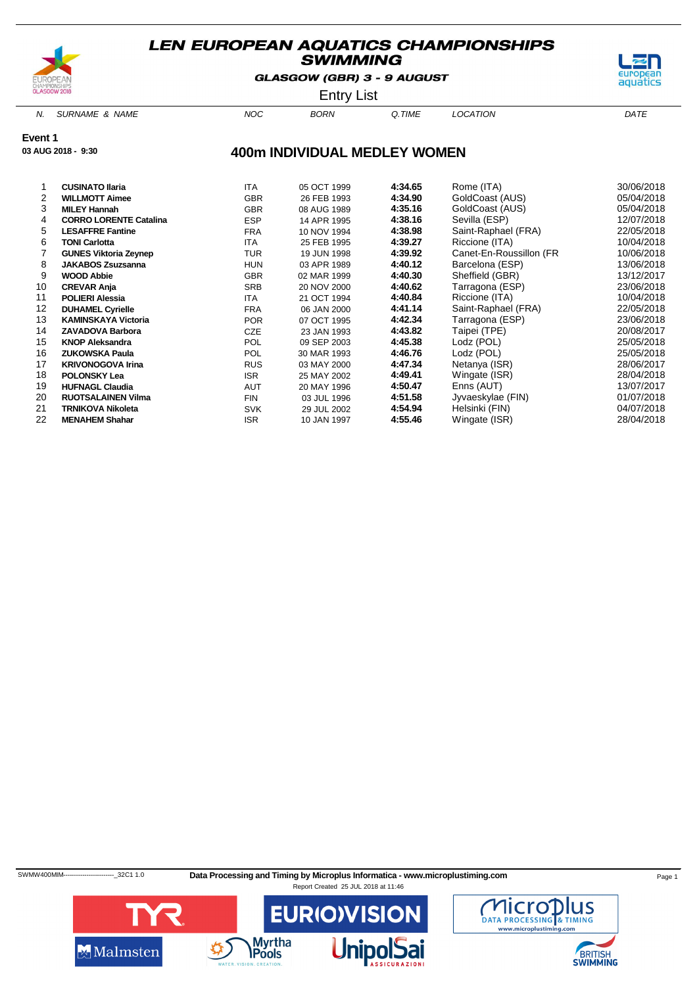

GLASGOW (GBR) 3 - 9 AUGUST



Entry List

N. SURNAME & NAME  $NOC$  BORN Q.TIME LOCATION DATE

**Event 1**

**03 AUG 2018 - 9:30**

### **400m INDIVIDUAL MEDLEY WOMEN**

|    | <b>CUSINATO Ilaria</b>        | <b>ITA</b> | 05 OCT 1999 | 4:34.65 | Rome (ITA)              | 30/06/2018 |
|----|-------------------------------|------------|-------------|---------|-------------------------|------------|
| 2  | <b>WILLMOTT Aimee</b>         | <b>GBR</b> | 26 FEB 1993 | 4:34.90 | GoldCoast (AUS)         | 05/04/2018 |
| 3  | <b>MILEY Hannah</b>           | <b>GBR</b> | 08 AUG 1989 | 4:35.16 | GoldCoast (AUS)         | 05/04/2018 |
| 4  | <b>CORRO LORENTE Catalina</b> | <b>ESP</b> | 14 APR 1995 | 4:38.16 | Sevilla (ESP)           | 12/07/2018 |
| 5  | <b>LESAFFRE Fantine</b>       | <b>FRA</b> | 10 NOV 1994 | 4:38.98 | Saint-Raphael (FRA)     | 22/05/2018 |
| 6  | <b>TONI Carlotta</b>          | <b>ITA</b> | 25 FEB 1995 | 4:39.27 | Riccione (ITA)          | 10/04/2018 |
|    | <b>GUNES Viktoria Zeynep</b>  | TUR        | 19 JUN 1998 | 4:39.92 | Canet-En-Roussillon (FR | 10/06/2018 |
| 8  | <b>JAKABOS Zsuzsanna</b>      | <b>HUN</b> | 03 APR 1989 | 4:40.12 | Barcelona (ESP)         | 13/06/2018 |
| 9  | <b>WOOD Abbie</b>             | <b>GBR</b> | 02 MAR 1999 | 4:40.30 | Sheffield (GBR)         | 13/12/2017 |
| 10 | <b>CREVAR Anja</b>            | <b>SRB</b> | 20 NOV 2000 | 4:40.62 | Tarragona (ESP)         | 23/06/2018 |
| 11 | <b>POLIERI Alessia</b>        | ITA.       | 21 OCT 1994 | 4:40.84 | Riccione (ITA)          | 10/04/2018 |
| 12 | <b>DUHAMEL Cyrielle</b>       | <b>FRA</b> | 06 JAN 2000 | 4:41.14 | Saint-Raphael (FRA)     | 22/05/2018 |
| 13 | <b>KAMINSKAYA Victoria</b>    | <b>POR</b> | 07 OCT 1995 | 4:42.34 | Tarragona (ESP)         | 23/06/2018 |
| 14 | <b>ZAVADOVA Barbora</b>       | CZE        | 23 JAN 1993 | 4:43.82 | Taipei (TPE)            | 20/08/2017 |
| 15 | <b>KNOP Aleksandra</b>        | <b>POL</b> | 09 SEP 2003 | 4:45.38 | Lodz (POL)              | 25/05/2018 |
| 16 | <b>ZUKOWSKA Paula</b>         | <b>POL</b> | 30 MAR 1993 | 4:46.76 | Lodz (POL)              | 25/05/2018 |
| 17 | <b>KRIVONOGOVA Irina</b>      | <b>RUS</b> | 03 MAY 2000 | 4:47.34 | Netanya (ISR)           | 28/06/2017 |
| 18 | <b>POLONSKY Lea</b>           | <b>ISR</b> | 25 MAY 2002 | 4:49.41 | Wingate (ISR)           | 28/04/2018 |
| 19 | <b>HUFNAGL Claudia</b>        | <b>AUT</b> | 20 MAY 1996 | 4:50.47 | Enns (AUT)              | 13/07/2017 |
| 20 | <b>RUOTSALAINEN Vilma</b>     | <b>FIN</b> | 03 JUL 1996 | 4:51.58 | Jyvaeskylae (FIN)       | 01/07/2018 |
| 21 | <b>TRNIKOVA Nikoleta</b>      | <b>SVK</b> | 29 JUL 2002 | 4:54.94 | Helsinki (FIN)          | 04/07/2018 |
| 22 | <b>MENAHEM Shahar</b>         | <b>ISR</b> | 10 JAN 1997 | 4:55.46 | Wingate (ISR)           | 28/04/2018 |
|    |                               |            |             |         |                         |            |

SWMW400MIM-----------------------------32C1 1.0 Data Processing and Timing by Microplus Informatica - www.microplustiming.com Page 1



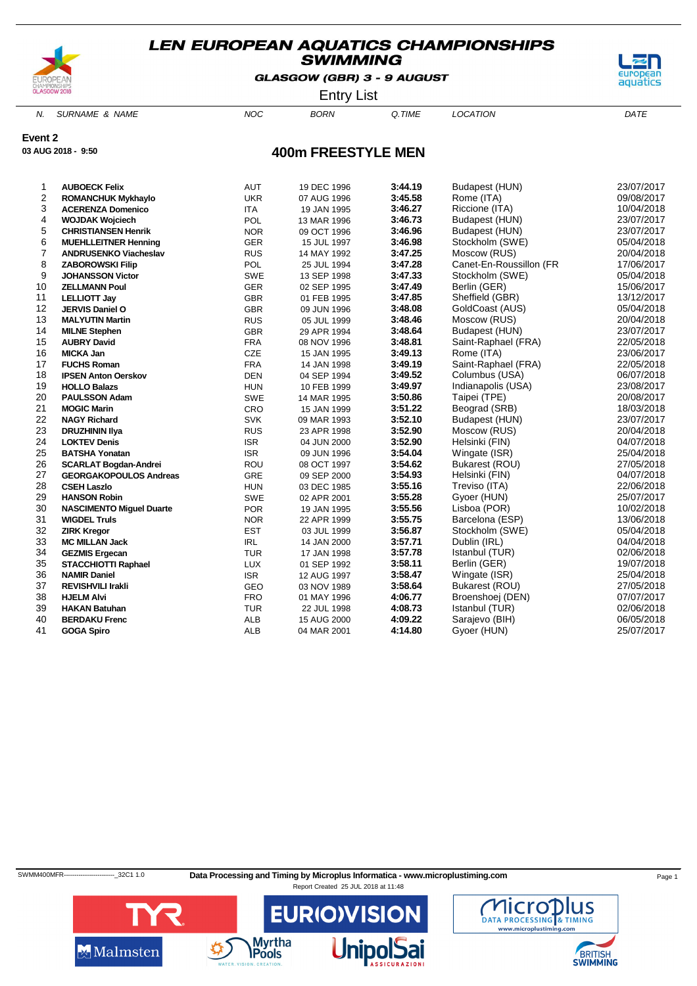

**03 AUG 2018 - 9:50**

### **LEN EUROPEAN AQUATICS CHAMPIONSHIPS SWIMMING**

GLASGOW (GBR) 3 - 9 AUGUST



Entry List

N. SURNAME & NAME  $NOC$  BORN Q.TIME LOCATION DATE

**Event 2**

### **400m FREESTYLE MEN**

| 1  | <b>AUBOECK Felix</b>            | <b>AUT</b> | 19 DEC 1996 | 3:44.19 | Budapest (HUN)          | 23/07/2017 |
|----|---------------------------------|------------|-------------|---------|-------------------------|------------|
| 2  | <b>ROMANCHUK Mykhaylo</b>       | <b>UKR</b> | 07 AUG 1996 | 3:45.58 | Rome (ITA)              | 09/08/2017 |
| 3  | <b>ACERENZA Domenico</b>        | <b>ITA</b> | 19 JAN 1995 | 3:46.27 | Riccione (ITA)          | 10/04/2018 |
| 4  | <b>WOJDAK Wojciech</b>          | POL        | 13 MAR 1996 | 3:46.73 | Budapest (HUN)          | 23/07/2017 |
| 5  | <b>CHRISTIANSEN Henrik</b>      | <b>NOR</b> | 09 OCT 1996 | 3:46.96 | Budapest (HUN)          | 23/07/2017 |
| 6  | <b>MUEHLLEITNER Henning</b>     | GER        | 15 JUL 1997 | 3:46.98 | Stockholm (SWE)         | 05/04/2018 |
| 7  | <b>ANDRUSENKO Viacheslav</b>    | <b>RUS</b> | 14 MAY 1992 | 3:47.25 | Moscow (RUS)            | 20/04/2018 |
| 8  | <b>ZABOROWSKI Filip</b>         | POL        | 25 JUL 1994 | 3:47.28 | Canet-En-Roussillon (FR | 17/06/2017 |
| 9  | <b>JOHANSSON Victor</b>         | <b>SWE</b> | 13 SEP 1998 | 3:47.33 | Stockholm (SWE)         | 05/04/2018 |
| 10 | <b>ZELLMANN Poul</b>            | <b>GER</b> | 02 SEP 1995 | 3:47.49 | Berlin (GER)            | 15/06/2017 |
| 11 | <b>LELLIOTT Jay</b>             | GBR        | 01 FEB 1995 | 3:47.85 | Sheffield (GBR)         | 13/12/2017 |
| 12 | <b>JERVIS Daniel O</b>          | <b>GBR</b> | 09 JUN 1996 | 3:48.08 | GoldCoast (AUS)         | 05/04/2018 |
| 13 | <b>MALYUTIN Martin</b>          | <b>RUS</b> | 05 JUL 1999 | 3:48.46 | Moscow (RUS)            | 20/04/2018 |
| 14 | <b>MILNE Stephen</b>            | GBR        | 29 APR 1994 | 3:48.64 | Budapest (HUN)          | 23/07/2017 |
| 15 | <b>AUBRY David</b>              | <b>FRA</b> | 08 NOV 1996 | 3:48.81 | Saint-Raphael (FRA)     | 22/05/2018 |
| 16 | <b>MICKA Jan</b>                | CZE        | 15 JAN 1995 | 3:49.13 | Rome (ITA)              | 23/06/2017 |
| 17 | <b>FUCHS Roman</b>              | <b>FRA</b> | 14 JAN 1998 | 3:49.19 | Saint-Raphael (FRA)     | 22/05/2018 |
| 18 | <b>IPSEN Anton Oerskov</b>      | <b>DEN</b> | 04 SEP 1994 | 3:49.52 | Columbus (USA)          | 06/07/2018 |
| 19 | <b>HOLLO Balazs</b>             | <b>HUN</b> | 10 FEB 1999 | 3:49.97 | Indianapolis (USA)      | 23/08/2017 |
| 20 | <b>PAULSSON Adam</b>            | <b>SWE</b> | 14 MAR 1995 | 3:50.86 | Taipei (TPE)            | 20/08/2017 |
| 21 | <b>MOGIC Marin</b>              | CRO        | 15 JAN 1999 | 3:51.22 | Beograd (SRB)           | 18/03/2018 |
| 22 | <b>NAGY Richard</b>             | <b>SVK</b> | 09 MAR 1993 | 3:52.10 | Budapest (HUN)          | 23/07/2017 |
| 23 | <b>DRUZHININ IIya</b>           | <b>RUS</b> | 23 APR 1998 | 3:52.90 | Moscow (RUS)            | 20/04/2018 |
| 24 | <b>LOKTEV Denis</b>             | <b>ISR</b> | 04 JUN 2000 | 3:52.90 | Helsinki (FIN)          | 04/07/2018 |
| 25 | <b>BATSHA Yonatan</b>           | <b>ISR</b> | 09 JUN 1996 | 3:54.04 | Wingate (ISR)           | 25/04/2018 |
| 26 | <b>SCARLAT Bogdan-Andrei</b>    | ROU        | 08 OCT 1997 | 3:54.62 | Bukarest (ROU)          | 27/05/2018 |
| 27 | <b>GEORGAKOPOULOS Andreas</b>   | <b>GRE</b> | 09 SEP 2000 | 3:54.93 | Helsinki (FIN)          | 04/07/2018 |
| 28 | <b>CSEH Laszlo</b>              | <b>HUN</b> | 03 DEC 1985 | 3:55.16 | Treviso (ITA)           | 22/06/2018 |
| 29 | <b>HANSON Robin</b>             | <b>SWE</b> | 02 APR 2001 | 3:55.28 | Gyoer (HUN)             | 25/07/2017 |
| 30 | <b>NASCIMENTO Miguel Duarte</b> | <b>POR</b> | 19 JAN 1995 | 3:55.56 | Lisboa (POR)            | 10/02/2018 |
| 31 | <b>WIGDEL Truls</b>             | <b>NOR</b> | 22 APR 1999 | 3:55.75 | Barcelona (ESP)         | 13/06/2018 |
| 32 | <b>ZIRK Kregor</b>              | <b>EST</b> | 03 JUL 1999 | 3:56.87 | Stockholm (SWE)         | 05/04/2018 |
| 33 | <b>MC MILLAN Jack</b>           | <b>IRL</b> | 14 JAN 2000 | 3:57.71 | Dublin (IRL)            | 04/04/2018 |
| 34 | <b>GEZMIS Ergecan</b>           | <b>TUR</b> | 17 JAN 1998 | 3:57.78 | Istanbul (TUR)          | 02/06/2018 |
| 35 | <b>STACCHIOTTI Raphael</b>      | <b>LUX</b> | 01 SEP 1992 | 3:58.11 | Berlin (GER)            | 19/07/2018 |
| 36 | <b>NAMIR Daniel</b>             | <b>ISR</b> | 12 AUG 1997 | 3:58.47 | Wingate (ISR)           | 25/04/2018 |
| 37 | <b>REVISHVILI Irakli</b>        | GEO        | 03 NOV 1989 | 3:58.64 | Bukarest (ROU)          | 27/05/2018 |
| 38 | <b>HJELM Alvi</b>               | <b>FRO</b> | 01 MAY 1996 | 4:06.77 | Broenshoej (DEN)        | 07/07/2017 |
| 39 | <b>HAKAN Batuhan</b>            | <b>TUR</b> | 22 JUL 1998 | 4:08.73 | Istanbul (TUR)          | 02/06/2018 |
| 40 | <b>BERDAKU Frenc</b>            | <b>ALB</b> | 15 AUG 2000 | 4:09.22 | Sarajevo (BIH)          | 06/05/2018 |
| 41 | <b>GOGA Spiro</b>               | <b>ALB</b> | 04 MAR 2001 | 4:14.80 | Gyoer (HUN)             | 25/07/2017 |



Malmsten

SWMM400MFR----------------------------32C1 1.0 Data Processing and Timing by Microplus Informatica - www.microplustiming.com Page 1 Report Created 25 JUL 2018 at 11:48

**EURIO)VISIOI** 

**Myrtha** 

Pools



**BRITISH**<br>SWIMMING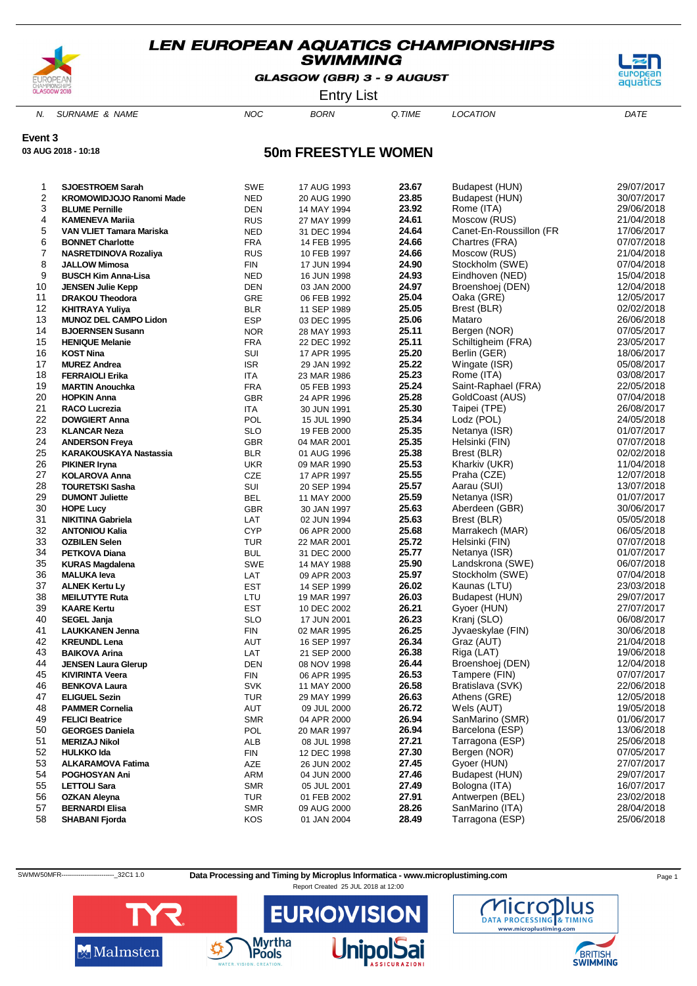

GLASGOW (GBR) 3 - 9 AUGUST



Entry List

N. SURNAME & NAME  $NOC$  BORN Q.TIME LOCATION DATE

**Event 3**

**03 AUG 2018 - 10:18**

### **50m FREESTYLE WOMEN**

| 1              | <b>SJOESTROEM Sarah</b>         | <b>SWE</b> | 17 AUG 1993 | 23.67 | Budapest (HUN)          | 29/07/2017 |
|----------------|---------------------------------|------------|-------------|-------|-------------------------|------------|
| $\overline{c}$ | <b>KROMOWIDJOJO Ranomi Made</b> | <b>NED</b> | 20 AUG 1990 | 23.85 | Budapest (HUN)          | 30/07/2017 |
| 3              | <b>BLUME Pernille</b>           | <b>DEN</b> | 14 MAY 1994 | 23.92 | Rome (ITA)              | 29/06/2018 |
| 4              | <b>KAMENEVA Mariia</b>          | <b>RUS</b> | 27 MAY 1999 | 24.61 | Moscow (RUS)            | 21/04/2018 |
| 5              | <b>VAN VLIET Tamara Mariska</b> | <b>NED</b> | 31 DEC 1994 | 24.64 | Canet-En-Roussillon (FR | 17/06/2017 |
| 6              | <b>BONNET Charlotte</b>         | <b>FRA</b> | 14 FEB 1995 | 24.66 | Chartres (FRA)          | 07/07/2018 |
| 7              | NASRETDINOVA Rozaliya           | <b>RUS</b> | 10 FEB 1997 | 24.66 | Moscow (RUS)            | 21/04/2018 |
| 8              | <b>JALLOW Mimosa</b>            | <b>FIN</b> | 17 JUN 1994 | 24.90 | Stockholm (SWE)         | 07/04/2018 |
| 9              | <b>BUSCH Kim Anna-Lisa</b>      | NED        | 16 JUN 1998 | 24.93 | Eindhoven (NED)         | 15/04/2018 |
| 10             | <b>JENSEN Julie Kepp</b>        | <b>DEN</b> | 03 JAN 2000 | 24.97 | Broenshoej (DEN)        | 12/04/2018 |
| 11             | <b>DRAKOU Theodora</b>          | GRE        | 06 FEB 1992 | 25.04 | Oaka (GRE)              | 12/05/2017 |
| 12             | KHITRAYA Yuliya                 | <b>BLR</b> | 11 SEP 1989 | 25.05 | Brest (BLR)             | 02/02/2018 |
| 13             | <b>MUNOZ DEL CAMPO Lidon</b>    | <b>ESP</b> | 03 DEC 1995 | 25.06 | Mataro                  | 26/06/2018 |
| 14             | <b>BJOERNSEN Susann</b>         | <b>NOR</b> | 28 MAY 1993 | 25.11 | Bergen (NOR)            | 07/05/2017 |
| 15             | <b>HENIQUE Melanie</b>          | <b>FRA</b> | 22 DEC 1992 | 25.11 | Schiltigheim (FRA)      | 23/05/2017 |
| 16             | <b>KOST Nina</b>                | SUI        | 17 APR 1995 | 25.20 | Berlin (GER)            | 18/06/2017 |
| 17             | <b>MUREZ Andrea</b>             | <b>ISR</b> | 29 JAN 1992 | 25.22 | Wingate (ISR)           | 05/08/2017 |
| 18             | <b>FERRAIOLI Erika</b>          | <b>ITA</b> | 23 MAR 1986 | 25.23 | Rome (ITA)              | 03/08/2017 |
| 19             | <b>MARTIN Anouchka</b>          | <b>FRA</b> | 05 FEB 1993 | 25.24 | Saint-Raphael (FRA)     | 22/05/2018 |
| 20             | <b>HOPKIN Anna</b>              | <b>GBR</b> | 24 APR 1996 | 25.28 | GoldCoast (AUS)         | 07/04/2018 |
| 21             | RACO Lucrezia                   | <b>ITA</b> | 30 JUN 1991 | 25.30 | Taipei (TPE)            | 26/08/2017 |
| 22             | <b>DOWGIERT Anna</b>            | <b>POL</b> | 15 JUL 1990 | 25.34 | Lodz (POL)              | 24/05/2018 |
| 23             | <b>KLANCAR Neza</b>             | <b>SLO</b> | 19 FEB 2000 | 25.35 | Netanya (ISR)           | 01/07/2017 |
| 24             | <b>ANDERSON Freya</b>           | <b>GBR</b> | 04 MAR 2001 | 25.35 | Helsinki (FIN)          | 07/07/2018 |
| 25             | KARAKOUSKAYA Nastassia          | <b>BLR</b> | 01 AUG 1996 | 25.38 | Brest (BLR)             | 02/02/2018 |
| 26             | <b>PIKINER Iryna</b>            | <b>UKR</b> | 09 MAR 1990 | 25.53 | Kharkiv (UKR)           | 11/04/2018 |
| 27             | <b>KOLAROVA Anna</b>            | CZE        | 17 APR 1997 | 25.55 | Praha (CZE)             | 12/07/2018 |
| 28             | <b>TOURETSKI Sasha</b>          | SUI        | 20 SEP 1994 | 25.57 | Aarau (SUI)             | 13/07/2018 |
| 29             | <b>DUMONT Juliette</b>          | BEL        | 11 MAY 2000 | 25.59 | Netanya (ISR)           | 01/07/2017 |
| 30             | <b>HOPE Lucy</b>                | <b>GBR</b> | 30 JAN 1997 | 25.63 | Aberdeen (GBR)          | 30/06/2017 |
| 31             | <b>NIKITINA Gabriela</b>        | LAT        | 02 JUN 1994 | 25.63 | Brest (BLR)             | 05/05/2018 |
| 32             | <b>ANTONIOU Kalia</b>           | <b>CYP</b> | 06 APR 2000 | 25.68 | Marrakech (MAR)         | 06/05/2018 |
| 33             | <b>OZBILEN Selen</b>            | <b>TUR</b> | 22 MAR 2001 | 25.72 | Helsinki (FIN)          | 07/07/2018 |
| 34             | PETKOVA Diana                   | <b>BUL</b> | 31 DEC 2000 | 25.77 | Netanya (ISR)           | 01/07/2017 |
| 35             | <b>KURAS Magdalena</b>          | <b>SWE</b> | 14 MAY 1988 | 25.90 | Landskrona (SWE)        | 06/07/2018 |
| 36             | <b>MALUKA leva</b>              | LAT        | 09 APR 2003 | 25.97 | Stockholm (SWE)         | 07/04/2018 |
| 37             | <b>ALNEK Kertu Ly</b>           | <b>EST</b> | 14 SEP 1999 | 26.02 | Kaunas (LTU)            | 23/03/2018 |
| 38             | <b>MEILUTYTE Ruta</b>           | LTU        | 19 MAR 1997 | 26.03 | Budapest (HUN)          | 29/07/2017 |
| 39             | <b>KAARE Kertu</b>              | <b>EST</b> | 10 DEC 2002 | 26.21 | Gyoer (HUN)             | 27/07/2017 |
| 40             | SEGEL Janja                     | <b>SLO</b> | 17 JUN 2001 | 26.23 | Kranj (SLO)             | 06/08/2017 |
| 41             | <b>LAUKKANEN Jenna</b>          | FIN        | 02 MAR 1995 | 26.25 | Jyvaeskylae (FIN)       | 30/06/2018 |
| 42             | <b>KREUNDL Lena</b>             | AUT        | 16 SEP 1997 | 26.34 | Graz (AUT)              | 21/04/2018 |
| 43             | <b>BAIKOVA Arina</b>            | LAT        | 21 SEP 2000 | 26.38 | Riga (LAT)              | 19/06/2018 |
| 44             | <b>JENSEN Laura Glerup</b>      | <b>DEN</b> | 08 NOV 1998 | 26.44 | Broenshoej (DEN)        | 12/04/2018 |
| 45             | <b>KIVIRINTA Veera</b>          | FIN        | 06 APR 1995 | 26.53 | Tampere (FIN)           | 07/07/2017 |
| 46             | <b>BENKOVA Laura</b>            | <b>SVK</b> | 11 MAY 2000 | 26.58 | Bratislava (SVK)        | 22/06/2018 |
| 47             | <b>ELIGUEL Sezin</b>            | <b>TUR</b> | 29 MAY 1999 | 26.63 | Athens (GRE)            | 12/05/2018 |
| 48             | <b>PAMMER Cornelia</b>          | AUT        | 09 JUL 2000 | 26.72 | Wels (AUT)              | 19/05/2018 |
| 49             | <b>FELICI Beatrice</b>          | <b>SMR</b> | 04 APR 2000 | 26.94 | SanMarino (SMR)         | 01/06/2017 |
| 50             | <b>GEORGES Daniela</b>          | POL        | 20 MAR 1997 | 26.94 | Barcelona (ESP)         | 13/06/2018 |
| 51             | <b>MERIZAJ Nikol</b>            | ALB        | 08 JUL 1998 | 27.21 | Tarragona (ESP)         | 25/06/2018 |
| 52             | <b>HULKKO Ida</b>               | <b>FIN</b> | 12 DEC 1998 | 27.30 | Bergen (NOR)            | 07/05/2017 |
| 53             | <b>ALKARAMOVA Fatima</b>        | AZE        | 26 JUN 2002 | 27.45 | Gyoer (HUN)             | 27/07/2017 |
| 54             | POGHOSYAN Ani                   | ARM        | 04 JUN 2000 | 27.46 | Budapest (HUN)          | 29/07/2017 |
| 55             | <b>LETTOLI Sara</b>             | <b>SMR</b> | 05 JUL 2001 | 27.49 | Bologna (ITA)           | 16/07/2017 |
| 56             | <b>OZKAN Aleyna</b>             | <b>TUR</b> | 01 FEB 2002 | 27.91 | Antwerpen (BEL)         | 23/02/2018 |
| 57             | <b>BERNARDI Elisa</b>           | <b>SMR</b> | 09 AUG 2000 | 28.26 | SanMarino (ITA)         | 28/04/2018 |
| 58             | <b>SHABANI Fjorda</b>           | KOS        | 01 JAN 2004 | 28.49 | Tarragona (ESP)         | 25/06/2018 |
|                |                                 |            |             |       |                         |            |

SWMW50MFR-------------------------\_32C1 1.0 **Data Processing and Timing by Microplus Informatica - www.microplustiming.com** Page 1





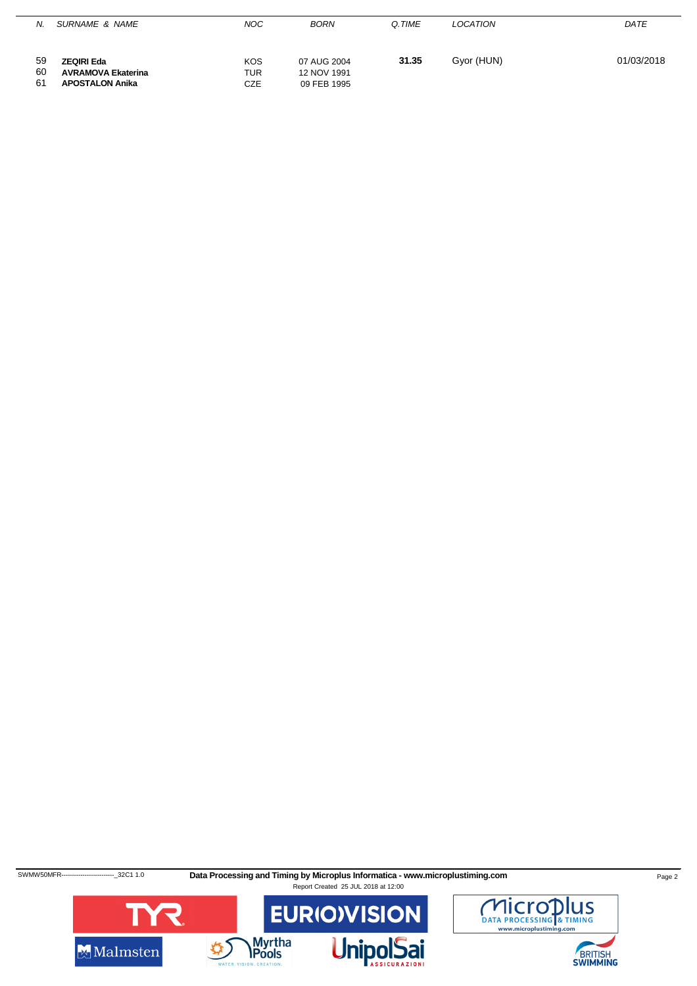| Ν.             | SURNAME & NAME                                                           | <b>NOC</b>                      | <b>BORN</b>                               | Q.TIME | LOCATION   | DATE       |
|----------------|--------------------------------------------------------------------------|---------------------------------|-------------------------------------------|--------|------------|------------|
| 59<br>60<br>61 | <b>ZEQIRI Eda</b><br><b>AVRAMOVA Ekaterina</b><br><b>APOSTALON Anika</b> | <b>KOS</b><br>TUR<br><b>CZE</b> | 07 AUG 2004<br>12 NOV 1991<br>09 FEB 1995 | 31.35  | Gyor (HUN) | 01/03/2018 |



SWMW50MFR-------------------------32C1 1.0 **Data Processing and Timing by Microplus Informatica - www.microplustiming.com** Page 2



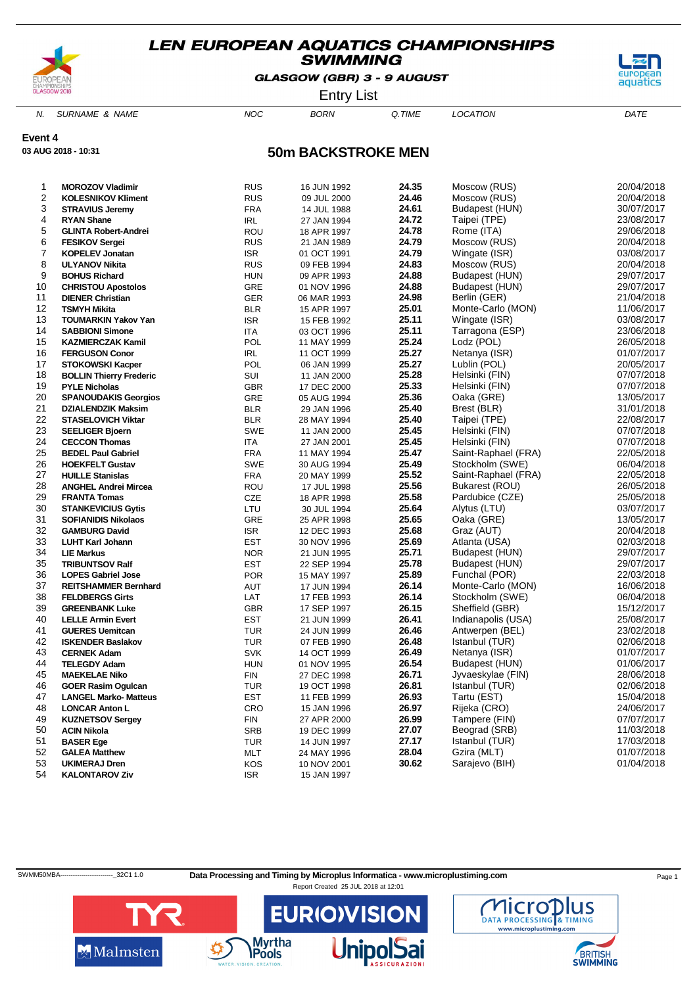

GLASGOW (GBR) 3 - 9 AUGUST



Entry List

N. SURNAME & NAME  $NOC$  BORN Q.TIME LOCATION DATE

**Event 4**

**03 AUG 2018 - 10:31**

# **50m BACKSTROKE MEN**

| 1              | <b>MOROZOV Vladimir</b>        | <b>RUS</b> | 16 JUN 1992 | 24.35 | Moscow (RUS)        | 20/04/2018 |
|----------------|--------------------------------|------------|-------------|-------|---------------------|------------|
| $\overline{2}$ | <b>KOLESNIKOV Kliment</b>      | <b>RUS</b> | 09 JUL 2000 | 24.46 | Moscow (RUS)        | 20/04/2018 |
| 3              | <b>STRAVIUS Jeremy</b>         | <b>FRA</b> | 14 JUL 1988 | 24.61 | Budapest (HUN)      | 30/07/2017 |
| 4              | <b>RYAN Shane</b>              | <b>IRL</b> | 27 JAN 1994 | 24.72 | Taipei (TPE)        | 23/08/2017 |
| 5              | <b>GLINTA Robert-Andrei</b>    | ROU        | 18 APR 1997 | 24.78 | Rome (ITA)          | 29/06/2018 |
| 6              | <b>FESIKOV Sergei</b>          | <b>RUS</b> | 21 JAN 1989 | 24.79 | Moscow (RUS)        | 20/04/2018 |
| 7              | <b>KOPELEV Jonatan</b>         | <b>ISR</b> | 01 OCT 1991 | 24.79 | Wingate (ISR)       | 03/08/2017 |
| 8              | <b>ULYANOV Nikita</b>          | <b>RUS</b> | 09 FEB 1994 | 24.83 | Moscow (RUS)        | 20/04/2018 |
| 9              | <b>BOHUS Richard</b>           | <b>HUN</b> | 09 APR 1993 | 24.88 | Budapest (HUN)      | 29/07/2017 |
| 10             | <b>CHRISTOU Apostolos</b>      | GRE        | 01 NOV 1996 | 24.88 | Budapest (HUN)      | 29/07/2017 |
| 11             | <b>DIENER Christian</b>        | <b>GER</b> | 06 MAR 1993 | 24.98 | Berlin (GER)        | 21/04/2018 |
| 12             | <b>TSMYH Mikita</b>            | <b>BLR</b> | 15 APR 1997 | 25.01 | Monte-Carlo (MON)   | 11/06/2017 |
| 13             | <b>TOUMARKIN Yakov Yan</b>     | <b>ISR</b> | 15 FEB 1992 | 25.11 | Wingate (ISR)       | 03/08/2017 |
| 14             | <b>SABBIONI Simone</b>         | <b>ITA</b> | 03 OCT 1996 | 25.11 | Tarragona (ESP)     | 23/06/2018 |
| 15             | <b>KAZMIERCZAK Kamil</b>       | POL        | 11 MAY 1999 | 25.24 | Lodz (POL)          | 26/05/2018 |
| 16             | <b>FERGUSON Conor</b>          | IRL        | 11 OCT 1999 | 25.27 | Netanya (ISR)       | 01/07/2017 |
| 17             | <b>STOKOWSKI Kacper</b>        | POL        | 06 JAN 1999 | 25.27 | Lublin (POL)        | 20/05/2017 |
| 18             | <b>BOLLIN Thierry Frederic</b> | SUI        | 11 JAN 2000 | 25.28 | Helsinki (FIN)      | 07/07/2018 |
| 19             | <b>PYLE Nicholas</b>           | <b>GBR</b> | 17 DEC 2000 | 25.33 | Helsinki (FIN)      | 07/07/2018 |
| 20             | <b>SPANOUDAKIS Georgios</b>    | GRE        | 05 AUG 1994 | 25.36 | Oaka (GRE)          | 13/05/2017 |
| 21             | <b>DZIALENDZIK Maksim</b>      | <b>BLR</b> | 29 JAN 1996 | 25.40 | Brest (BLR)         | 31/01/2018 |
| 22             | <b>STASELOVICH Viktar</b>      | <b>BLR</b> | 28 MAY 1994 | 25.40 | Taipei (TPE)        | 22/08/2017 |
| 23             | <b>SEELIGER Bjoern</b>         | <b>SWE</b> | 11 JAN 2000 | 25.45 | Helsinki (FIN)      | 07/07/2018 |
| 24             | <b>CECCON Thomas</b>           | <b>ITA</b> | 27 JAN 2001 | 25.45 | Helsinki (FIN)      | 07/07/2018 |
| 25             | <b>BEDEL Paul Gabriel</b>      | <b>FRA</b> | 11 MAY 1994 | 25.47 | Saint-Raphael (FRA) | 22/05/2018 |
| 26             | <b>HOEKFELT Gustav</b>         | <b>SWE</b> | 30 AUG 1994 | 25.49 | Stockholm (SWE)     | 06/04/2018 |
| 27             | <b>HUILLE Stanislas</b>        | <b>FRA</b> | 20 MAY 1999 | 25.52 | Saint-Raphael (FRA) | 22/05/2018 |
| 28             | <b>ANGHEL Andrei Mircea</b>    | ROU        | 17 JUL 1998 | 25.56 | Bukarest (ROU)      | 26/05/2018 |
| 29             | <b>FRANTA Tomas</b>            | <b>CZE</b> | 18 APR 1998 | 25.58 | Pardubice (CZE)     | 25/05/2018 |
| 30             | <b>STANKEVICIUS Gytis</b>      | LTU        | 30 JUL 1994 | 25.64 | Alytus (LTU)        | 03/07/2017 |
| 31             | <b>SOFIANIDIS Nikolaos</b>     | GRE        | 25 APR 1998 | 25.65 | Oaka (GRE)          | 13/05/2017 |
| 32             | <b>GAMBURG David</b>           | <b>ISR</b> | 12 DEC 1993 | 25.68 | Graz (AUT)          | 20/04/2018 |
| 33             | <b>LUHT Karl Johann</b>        | EST        | 30 NOV 1996 | 25.69 | Atlanta (USA)       | 02/03/2018 |
| 34             | <b>LIE Markus</b>              | <b>NOR</b> | 21 JUN 1995 | 25.71 | Budapest (HUN)      | 29/07/2017 |
| 35             | <b>TRIBUNTSOV Ralf</b>         | <b>EST</b> | 22 SEP 1994 | 25.78 | Budapest (HUN)      | 29/07/2017 |
| 36             | <b>LOPES Gabriel Jose</b>      | <b>POR</b> | 15 MAY 1997 | 25.89 | Funchal (POR)       | 22/03/2018 |
| 37             | <b>REITSHAMMER Bernhard</b>    | AUT        | 17 JUN 1994 | 26.14 | Monte-Carlo (MON)   | 16/06/2018 |
| 38             | <b>FELDBERGS Girts</b>         | LAT        | 17 FEB 1993 | 26.14 | Stockholm (SWE)     | 06/04/2018 |
| 39             | <b>GREENBANK Luke</b>          | <b>GBR</b> | 17 SEP 1997 | 26.15 | Sheffield (GBR)     | 15/12/2017 |
| 40             | <b>LELLE Armin Evert</b>       | <b>EST</b> | 21 JUN 1999 | 26.41 | Indianapolis (USA)  | 25/08/2017 |
| 41             | <b>GUERES Uemitcan</b>         | <b>TUR</b> | 24 JUN 1999 | 26.46 | Antwerpen (BEL)     | 23/02/2018 |
| 42             | <b>ISKENDER Baslakov</b>       | <b>TUR</b> | 07 FEB 1990 | 26.48 | Istanbul (TUR)      | 02/06/2018 |
| 43             | <b>CERNEK Adam</b>             | <b>SVK</b> | 14 OCT 1999 | 26.49 | Netanya (ISR)       | 01/07/2017 |
| 44             | <b>TELEGDY Adam</b>            | <b>HUN</b> | 01 NOV 1995 | 26.54 | Budapest (HUN)      | 01/06/2017 |
| 45             | <b>MAEKELAE Niko</b>           | <b>FIN</b> | 27 DEC 1998 | 26.71 | Jyvaeskylae (FIN)   | 28/06/2018 |
| 46             | <b>GOER Rasim Ogulcan</b>      | <b>TUR</b> | 19 OCT 1998 | 26.81 | Istanbul (TUR)      | 02/06/2018 |
| 47             | <b>LANGEL Marko- Matteus</b>   | <b>EST</b> | 11 FEB 1999 | 26.93 | Tartu (EST)         | 15/04/2018 |
| 48             | <b>LONCAR Anton L</b>          | CRO        | 15 JAN 1996 | 26.97 | Rijeka (CRO)        | 24/06/2017 |
| 49             | <b>KUZNETSOV Sergey</b>        | <b>FIN</b> | 27 APR 2000 | 26.99 | Tampere (FIN)       | 07/07/2017 |
| 50             | <b>ACIN Nikola</b>             | <b>SRB</b> | 19 DEC 1999 | 27.07 | Beograd (SRB)       | 11/03/2018 |
| 51             | <b>BASER Ege</b>               | <b>TUR</b> | 14 JUN 1997 | 27.17 | Istanbul (TUR)      | 17/03/2018 |
| 52             | <b>GALEA Matthew</b>           | MLT        | 24 MAY 1996 | 28.04 | Gzira (MLT)         | 01/07/2018 |
| 53             | <b>UKIMERAJ Dren</b>           | KOS        | 10 NOV 2001 | 30.62 | Sarajevo (BIH)      | 01/04/2018 |
| 54             | <b>KALONTAROV Ziv</b>          | <b>ISR</b> | 15 JAN 1997 |       |                     |            |
|                |                                |            |             |       |                     |            |

SWMM50MBA-------------------------------32C1 1.0 Data Processing and Timing by Microplus Informatica - www.microplustiming.com Page 1

Report Created 25 JUL 2018 at 12:01



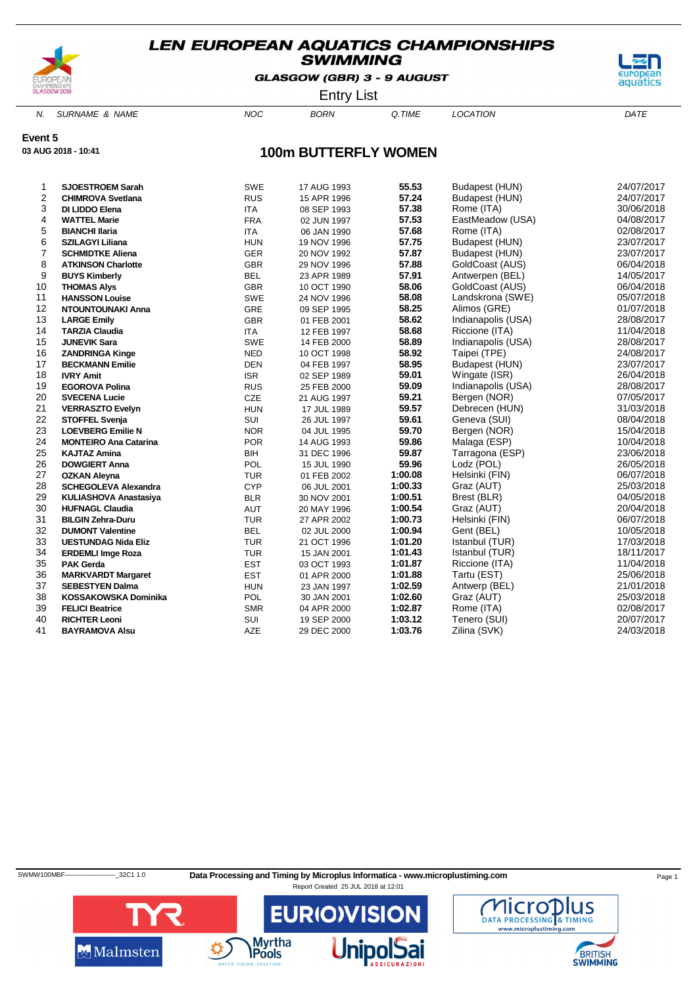

GLASGOW (GBR) 3 - 9 AUGUST



Entry List

N. SURNAME & NAME  $NOC$  BORN Q.TIME LOCATION DATE

**Event 5**

**03 AUG 2018 - 10:41**

# **100m BUTTERFLY WOMEN**

| 1              | <b>SJOESTROEM Sarah</b>      | <b>SWE</b> | 17 AUG 1993 | 55.53   | Budapest (HUN)     | 24/07/2017 |
|----------------|------------------------------|------------|-------------|---------|--------------------|------------|
| 2              | <b>CHIMROVA Svetlana</b>     | <b>RUS</b> | 15 APR 1996 | 57.24   | Budapest (HUN)     | 24/07/2017 |
| 3              | DI LIDDO Elena               | <b>ITA</b> | 08 SEP 1993 | 57.38   | Rome (ITA)         | 30/06/2018 |
| 4              | <b>WATTEL Marie</b>          | <b>FRA</b> | 02 JUN 1997 | 57.53   | EastMeadow (USA)   | 04/08/2017 |
| 5              | <b>BIANCHI Ilaria</b>        | <b>ITA</b> | 06 JAN 1990 | 57.68   | Rome (ITA)         | 02/08/2017 |
| 6              | <b>SZILAGYI Liliana</b>      | <b>HUN</b> | 19 NOV 1996 | 57.75   | Budapest (HUN)     | 23/07/2017 |
| $\overline{7}$ | <b>SCHMIDTKE Aliena</b>      | GER        | 20 NOV 1992 | 57.87   | Budapest (HUN)     | 23/07/2017 |
| 8              | <b>ATKINSON Charlotte</b>    | <b>GBR</b> | 29 NOV 1996 | 57.88   | GoldCoast (AUS)    | 06/04/2018 |
| 9              | <b>BUYS Kimberly</b>         | <b>BEL</b> | 23 APR 1989 | 57.91   | Antwerpen (BEL)    | 14/05/2017 |
| 10             | <b>THOMAS Alys</b>           | <b>GBR</b> | 10 OCT 1990 | 58.06   | GoldCoast (AUS)    | 06/04/2018 |
| 11             | <b>HANSSON Louise</b>        | <b>SWE</b> | 24 NOV 1996 | 58.08   | Landskrona (SWE)   | 05/07/2018 |
| 12             | <b>NTOUNTOUNAKI Anna</b>     | GRE        | 09 SEP 1995 | 58.25   | Alimos (GRE)       | 01/07/2018 |
| 13             | <b>LARGE Emily</b>           | <b>GBR</b> | 01 FEB 2001 | 58.62   | Indianapolis (USA) | 28/08/2017 |
| 14             | <b>TARZIA Claudia</b>        | <b>ITA</b> | 12 FEB 1997 | 58.68   | Riccione (ITA)     | 11/04/2018 |
| 15             | <b>JUNEVIK Sara</b>          | SWE        | 14 FEB 2000 | 58.89   | Indianapolis (USA) | 28/08/2017 |
| 16             | <b>ZANDRINGA Kinge</b>       | <b>NED</b> | 10 OCT 1998 | 58.92   | Taipei (TPE)       | 24/08/2017 |
| 17             | <b>BECKMANN Emilie</b>       | <b>DEN</b> | 04 FEB 1997 | 58.95   | Budapest (HUN)     | 23/07/2017 |
| 18             | <b>IVRY Amit</b>             | <b>ISR</b> | 02 SEP 1989 | 59.01   | Wingate (ISR)      | 26/04/2018 |
| 19             | <b>EGOROVA Polina</b>        | <b>RUS</b> | 25 FEB 2000 | 59.09   | Indianapolis (USA) | 28/08/2017 |
| 20             | <b>SVECENA Lucie</b>         | CZE        | 21 AUG 1997 | 59.21   | Bergen (NOR)       | 07/05/2017 |
| 21             | <b>VERRASZTO Evelyn</b>      | <b>HUN</b> | 17 JUL 1989 | 59.57   | Debrecen (HUN)     | 31/03/2018 |
| 22             | <b>STOFFEL Svenja</b>        | SUI        | 26 JUL 1997 | 59.61   | Geneva (SUI)       | 08/04/2018 |
| 23             | <b>LOEVBERG Emilie N</b>     | <b>NOR</b> | 04 JUL 1995 | 59.70   | Bergen (NOR)       | 15/04/2018 |
| 24             | <b>MONTEIRO Ana Catarina</b> | <b>POR</b> | 14 AUG 1993 | 59.86   | Malaga (ESP)       | 10/04/2018 |
| 25             | <b>KAJTAZ Amina</b>          | <b>BIH</b> | 31 DEC 1996 | 59.87   | Tarragona (ESP)    | 23/06/2018 |
| 26             | <b>DOWGIERT Anna</b>         | POL        | 15 JUL 1990 | 59.96   | Lodz (POL)         | 26/05/2018 |
| 27             | <b>OZKAN Aleyna</b>          | <b>TUR</b> | 01 FEB 2002 | 1:00.08 | Helsinki (FIN)     | 06/07/2018 |
| 28             | <b>SCHEGOLEVA Alexandra</b>  | <b>CYP</b> | 06 JUL 2001 | 1:00.33 | Graz (AUT)         | 25/03/2018 |
| 29             | <b>KULIASHOVA Anastasiya</b> | <b>BLR</b> | 30 NOV 2001 | 1:00.51 | Brest (BLR)        | 04/05/2018 |
| 30             | <b>HUFNAGL Claudia</b>       | AUT        | 20 MAY 1996 | 1:00.54 | Graz (AUT)         | 20/04/2018 |
| 31             | <b>BILGIN Zehra-Duru</b>     | <b>TUR</b> | 27 APR 2002 | 1:00.73 | Helsinki (FIN)     | 06/07/2018 |
| 32             | <b>DUMONT Valentine</b>      | <b>BEL</b> | 02 JUL 2000 | 1:00.94 | Gent (BEL)         | 10/05/2018 |
| 33             | <b>UESTUNDAG Nida Eliz</b>   | <b>TUR</b> | 21 OCT 1996 | 1:01.20 | Istanbul (TUR)     | 17/03/2018 |
| 34             | <b>ERDEMLI Imge Roza</b>     | <b>TUR</b> | 15 JAN 2001 | 1:01.43 | Istanbul (TUR)     | 18/11/2017 |
| 35             | <b>PAK Gerda</b>             | <b>EST</b> | 03 OCT 1993 | 1:01.87 | Riccione (ITA)     | 11/04/2018 |
| 36             | <b>MARKVARDT Margaret</b>    | <b>EST</b> | 01 APR 2000 | 1:01.88 | Tartu (EST)        | 25/06/2018 |
| 37             | <b>SEBESTYEN Dalma</b>       | <b>HUN</b> | 23 JAN 1997 | 1:02.59 | Antwerp (BEL)      | 21/01/2018 |
| 38             | <b>KOSSAKOWSKA Dominika</b>  | POL        | 30 JAN 2001 | 1:02.60 | Graz (AUT)         | 25/03/2018 |
| 39             | <b>FELICI Beatrice</b>       | <b>SMR</b> | 04 APR 2000 | 1:02.87 | Rome (ITA)         | 02/08/2017 |
| 40             | <b>RICHTER Leoni</b>         | SUI        | 19 SEP 2000 | 1:03.12 | Tenero (SUI)       | 20/07/2017 |
| 41             | <b>BAYRAMOVA Alsu</b>        | <b>AZE</b> | 29 DEC 2000 | 1:03.76 | Zilina (SVK)       | 24/03/2018 |

SWMW100MBF-------------------------------32C1 1.0 Data Processing and Timing by Microplus Informatica - www.microplustiming.com Page 1



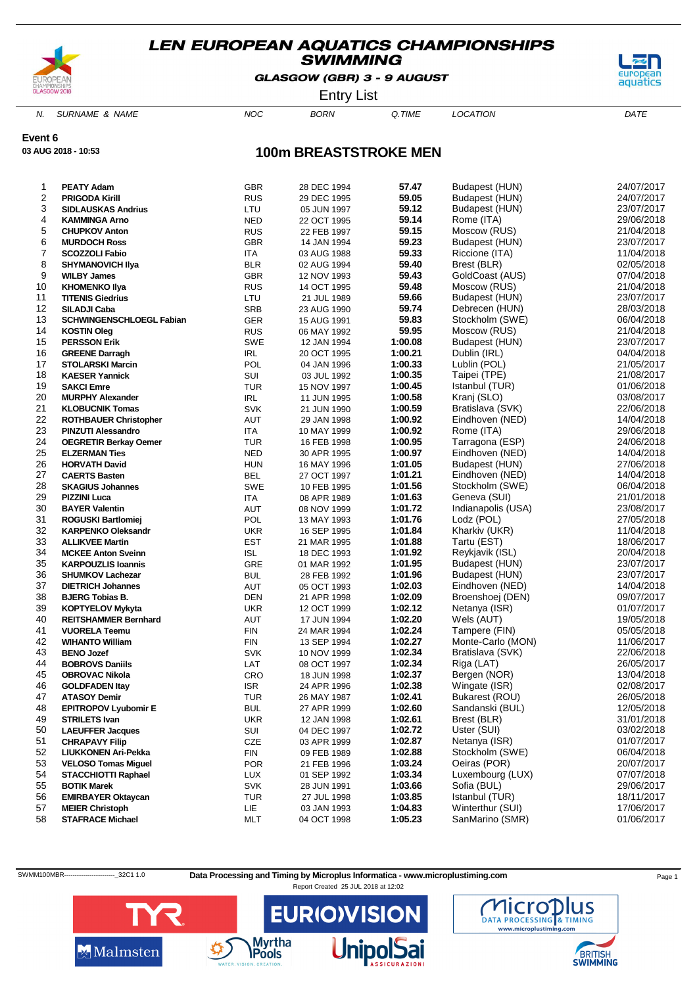

GLASGOW (GBR) 3 - 9 AUGUST



Entry List

N. SURNAME & NAME  $NOC$  BORN Q.TIME LOCATION DATE

**Event 6**

**03 AUG 2018 - 10:53**

### **100m BREASTSTROKE MEN**

| 1  | <b>PEATY Adam</b>               | <b>GBR</b> | 28 DEC 1994 | 57.47   | Budapest (HUN)     | 24/07/2017 |
|----|---------------------------------|------------|-------------|---------|--------------------|------------|
| 2  | <b>PRIGODA Kirill</b>           | <b>RUS</b> | 29 DEC 1995 | 59.05   | Budapest (HUN)     | 24/07/2017 |
| 3  | <b>SIDLAUSKAS Andrius</b>       | LTU        | 05 JUN 1997 | 59.12   | Budapest (HUN)     | 23/07/2017 |
| 4  | <b>KAMMINGA Arno</b>            | <b>NED</b> | 22 OCT 1995 | 59.14   | Rome (ITA)         | 29/06/2018 |
| 5  | <b>CHUPKOV Anton</b>            | <b>RUS</b> | 22 FEB 1997 | 59.15   | Moscow (RUS)       | 21/04/2018 |
| 6  | <b>MURDOCH Ross</b>             | <b>GBR</b> | 14 JAN 1994 | 59.23   | Budapest (HUN)     | 23/07/2017 |
| 7  | <b>SCOZZOLI Fabio</b>           | ITA        | 03 AUG 1988 | 59.33   | Riccione (ITA)     | 11/04/2018 |
| 8  | <b>SHYMANOVICH IIya</b>         | <b>BLR</b> | 02 AUG 1994 | 59.40   | Brest (BLR)        | 02/05/2018 |
| 9  | <b>WILBY James</b>              | <b>GBR</b> | 12 NOV 1993 | 59.43   | GoldCoast (AUS)    | 07/04/2018 |
| 10 | <b>KHOMENKO IIya</b>            | <b>RUS</b> | 14 OCT 1995 | 59.48   | Moscow (RUS)       | 21/04/2018 |
| 11 | <b>TITENIS Giedrius</b>         | LTU        | 21 JUL 1989 | 59.66   | Budapest (HUN)     | 23/07/2017 |
| 12 | <b>SILADJI Caba</b>             | <b>SRB</b> | 23 AUG 1990 | 59.74   | Debrecen (HUN)     | 28/03/2018 |
| 13 | <b>SCHWINGENSCHLOEGL Fabian</b> | GER        | 15 AUG 1991 | 59.83   | Stockholm (SWE)    | 06/04/2018 |
| 14 | <b>KOSTIN Oleg</b>              | <b>RUS</b> | 06 MAY 1992 | 59.95   | Moscow (RUS)       | 21/04/2018 |
| 15 | <b>PERSSON Erik</b>             | SWE        | 12 JAN 1994 | 1:00.08 | Budapest (HUN)     | 23/07/2017 |
| 16 | <b>GREENE Darragh</b>           | <b>IRL</b> | 20 OCT 1995 | 1:00.21 | Dublin (IRL)       | 04/04/2018 |
| 17 | <b>STOLARSKI Marcin</b>         | POL        | 04 JAN 1996 | 1:00.33 | Lublin (POL)       | 21/05/2017 |
| 18 | <b>KAESER Yannick</b>           | SUI        | 03 JUL 1992 | 1:00.35 | Taipei (TPE)       | 21/08/2017 |
| 19 | <b>SAKCI Emre</b>               | <b>TUR</b> | 15 NOV 1997 | 1:00.45 | Istanbul (TUR)     | 01/06/2018 |
| 20 | <b>MURPHY Alexander</b>         | <b>IRL</b> | 11 JUN 1995 | 1:00.58 | Kranj (SLO)        | 03/08/2017 |
| 21 | <b>KLOBUCNIK Tomas</b>          | <b>SVK</b> | 21 JUN 1990 | 1:00.59 | Bratislava (SVK)   | 22/06/2018 |
| 22 | <b>ROTHBAUER Christopher</b>    | AUT        | 29 JAN 1998 | 1:00.92 | Eindhoven (NED)    | 14/04/2018 |
| 23 | <b>PINZUTI Alessandro</b>       | <b>ITA</b> | 10 MAY 1999 | 1:00.92 | Rome (ITA)         | 29/06/2018 |
| 24 | <b>OEGRETIR Berkay Oemer</b>    | <b>TUR</b> | 16 FEB 1998 | 1:00.95 | Tarragona (ESP)    | 24/06/2018 |
| 25 | <b>ELZERMAN Ties</b>            | <b>NED</b> | 30 APR 1995 | 1:00.97 | Eindhoven (NED)    | 14/04/2018 |
| 26 | <b>HORVATH David</b>            | <b>HUN</b> | 16 MAY 1996 | 1:01.05 | Budapest (HUN)     | 27/06/2018 |
| 27 | <b>CAERTS Basten</b>            | BEL        | 27 OCT 1997 | 1:01.21 | Eindhoven (NED)    | 14/04/2018 |
| 28 | <b>SKAGIUS Johannes</b>         | SWE        | 10 FEB 1995 | 1:01.56 | Stockholm (SWE)    | 06/04/2018 |
| 29 | <b>PIZZINI Luca</b>             | <b>ITA</b> | 08 APR 1989 | 1:01.63 | Geneva (SUI)       | 21/01/2018 |
| 30 | <b>BAYER Valentin</b>           | AUT        | 08 NOV 1999 | 1:01.72 | Indianapolis (USA) | 23/08/2017 |
| 31 | <b>ROGUSKI Bartlomiej</b>       | POL        | 13 MAY 1993 | 1:01.76 | Lodz (POL)         | 27/05/2018 |
| 32 | <b>KARPENKO Oleksandr</b>       | <b>UKR</b> | 16 SEP 1995 | 1:01.84 | Kharkiv (UKR)      | 11/04/2018 |
| 33 | <b>ALLIKVEE Martin</b>          | EST        | 21 MAR 1995 | 1:01.88 | Tartu (EST)        | 18/06/2017 |
| 34 | <b>MCKEE Anton Sveinn</b>       | <b>ISL</b> | 18 DEC 1993 | 1:01.92 | Reykjavik (ISL)    | 20/04/2018 |
| 35 | <b>KARPOUZLIS Ioannis</b>       | GRE        | 01 MAR 1992 | 1:01.95 | Budapest (HUN)     | 23/07/2017 |
| 36 | <b>SHUMKOV Lachezar</b>         | <b>BUL</b> | 28 FEB 1992 | 1:01.96 | Budapest (HUN)     | 23/07/2017 |
| 37 | <b>DIETRICH Johannes</b>        | AUT        | 05 OCT 1993 | 1:02.03 | Eindhoven (NED)    | 14/04/2018 |
| 38 | <b>BJERG Tobias B.</b>          | DEN        | 21 APR 1998 | 1:02.09 | Broenshoej (DEN)   | 09/07/2017 |
| 39 | <b>KOPTYELOV Mykyta</b>         | <b>UKR</b> | 12 OCT 1999 | 1:02.12 | Netanya (ISR)      | 01/07/2017 |
| 40 | <b>REITSHAMMER Bernhard</b>     | AUT        | 17 JUN 1994 | 1:02.20 | Wels (AUT)         | 19/05/2018 |
| 41 | <b>VUORELA Teemu</b>            | <b>FIN</b> | 24 MAR 1994 | 1:02.24 | Tampere (FIN)      | 05/05/2018 |
| 42 | <b>WIHANTO William</b>          | FIN        | 13 SEP 1994 | 1:02.27 | Monte-Carlo (MON)  | 11/06/2017 |
| 43 | <b>BENO Jozef</b>               | <b>SVK</b> | 10 NOV 1999 | 1:02.34 | Bratislava (SVK)   | 22/06/2018 |
| 44 | <b>BOBROVS Daniils</b>          | LAT        | 08 OCT 1997 | 1:02.34 | Riga (LAT)         | 26/05/2017 |
| 45 | <b>OBROVAC Nikola</b>           | CRO        | 18 JUN 1998 | 1:02.37 | Bergen (NOR)       | 13/04/2018 |
| 46 | <b>GOLDFADEN Itay</b>           | <b>ISR</b> | 24 APR 1996 | 1:02.38 | Wingate (ISR)      | 02/08/2017 |
| 47 | <b>ATASOY Demir</b>             | <b>TUR</b> | 26 MAY 1987 | 1:02.41 | Bukarest (ROU)     | 26/05/2018 |
| 48 | <b>EPITROPOV Lyubomir E</b>     | <b>BUL</b> | 27 APR 1999 | 1:02.60 | Sandanski (BUL)    | 12/05/2018 |
| 49 | <b>STRILETS Ivan</b>            | <b>UKR</b> | 12 JAN 1998 | 1:02.61 | Brest (BLR)        | 31/01/2018 |
| 50 | <b>LAEUFFER Jacques</b>         | SUI        | 04 DEC 1997 | 1:02.72 | Uster (SUI)        | 03/02/2018 |
| 51 | <b>CHRAPAVY Filip</b>           | CZE        | 03 APR 1999 | 1:02.87 | Netanya (ISR)      | 01/07/2017 |
| 52 | LIUKKONEN Ari-Pekka             | FIN        | 09 FEB 1989 | 1:02.88 | Stockholm (SWE)    | 06/04/2018 |
| 53 | <b>VELOSO Tomas Miquel</b>      | <b>POR</b> | 21 FEB 1996 | 1:03.24 | Oeiras (POR)       | 20/07/2017 |
| 54 | <b>STACCHIOTTI Raphael</b>      | <b>LUX</b> | 01 SEP 1992 | 1:03.34 | Luxembourg (LUX)   | 07/07/2018 |
| 55 | <b>BOTIK Marek</b>              | <b>SVK</b> | 28 JUN 1991 | 1:03.66 | Sofia (BUL)        | 29/06/2017 |
| 56 | <b>EMIRBAYER Oktaycan</b>       | TUR        | 27 JUL 1998 | 1:03.85 | Istanbul (TUR)     | 18/11/2017 |
| 57 | <b>MEIER Christoph</b>          | LIE.       | 03 JAN 1993 | 1:04.83 | Winterthur (SUI)   | 17/06/2017 |
| 58 | <b>STAFRACE Michael</b>         | MLT        | 04 OCT 1998 | 1:05.23 | SanMarino (SMR)    | 01/06/2017 |
|    |                                 |            |             |         |                    |            |

SWMM100MBR----------------------------32C1 1.0 Data Processing and Timing by Microplus Informatica - www.microplustiming.com Page 1





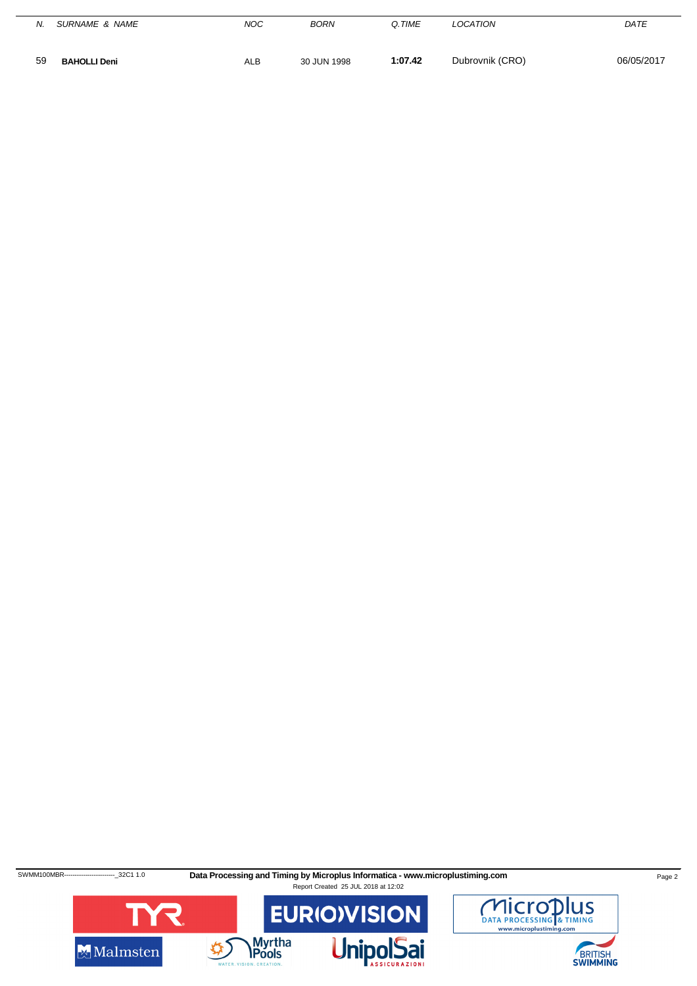| N. | SURNAME & NAME      | <b>NOC</b> | <b>BORN</b> | Q.TIME  | LOCATION        | DATE       |
|----|---------------------|------------|-------------|---------|-----------------|------------|
| 59 | <b>BAHOLLI Deni</b> | <b>ALB</b> | 30 JUN 1998 | 1:07.42 | Dubrovnik (CRO) | 06/05/2017 |

SWMM100MBR------------------------32C1 1.0 **Data Processing and Timing by Microplus Informatica - www.microplustiming.com** Page 2





BRITISH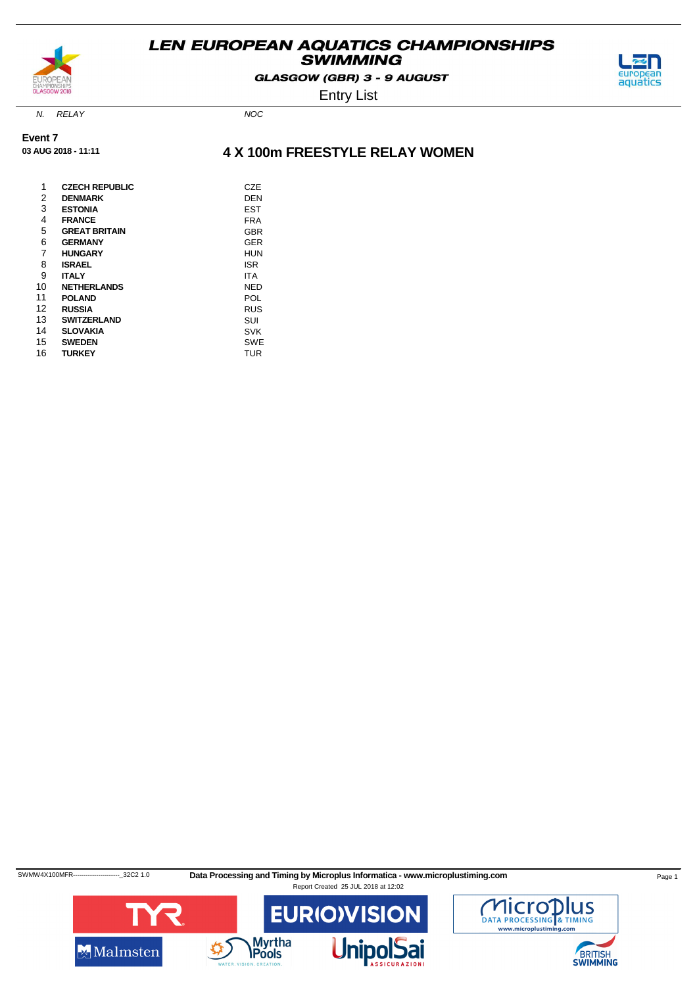

GLASGOW (GBR) 3 - 9 AUGUST



Entry List

N. RELAY NOC

**03 AUG 2018 - 11:11**

**Event 7**

**4 X 100m FREESTYLE RELAY WOMEN**

| 1  | <b>CZECH REPUBLIC</b> | CZE        |
|----|-----------------------|------------|
| 2  | <b>DENMARK</b>        | DEN        |
| 3  | <b>ESTONIA</b>        | EST        |
| 4  | <b>FRANCE</b>         | FRA        |
| 5  | <b>GREAT BRITAIN</b>  | GBR        |
| 6  | <b>GERMANY</b>        | GER        |
| 7  | <b>HUNGARY</b>        | HUN        |
| 8  | ISRAEL                | <b>ISR</b> |
| 9  | <b>ITALY</b>          | ITA        |
| 10 | <b>NETHERLANDS</b>    | NED        |
| 11 | <b>POLAND</b>         | POL        |
| 12 | <b>RUSSIA</b>         | <b>RUS</b> |
| 13 | <b>SWITZERLAND</b>    | SUI        |
| 14 | <b>SLOVAKIA</b>       | <b>SVK</b> |
| 15 | <b>SWEDEN</b>         | SWE        |
| 16 | <b>TURKEY</b>         | TUR        |
|    |                       |            |

SWMW4X100MFR---------------------------32C2 1.0 Data Processing and Timing by Microplus Informatica - www.microplustiming.com Page 1 Report Created 25 JUL 2018 at 12:02



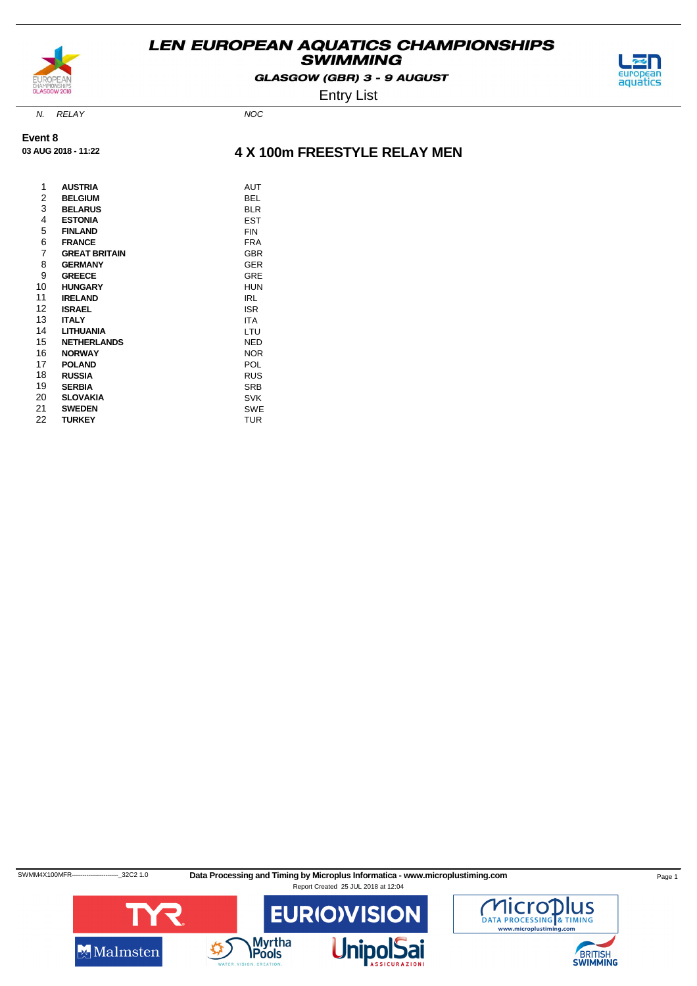

GLASGOW (GBR) 3 - 9 AUGUST

Entry List

N. RELAY NOC

**03 AUG 2018 - 11:22**

**Event 8**

### **4 X 100m FREESTYLE RELAY MEN**

| 1  | <b>AUSTRIA</b>       | <b>AUT</b> |
|----|----------------------|------------|
| 2  | <b>BELGIUM</b>       | BEL        |
| 3  | <b>BELARUS</b>       | <b>BLR</b> |
| 4  | <b>ESTONIA</b>       | EST        |
| 5  | <b>FINLAND</b>       | FIN        |
| 6  | <b>FRANCE</b>        | <b>FRA</b> |
| 7  | <b>GREAT BRITAIN</b> | <b>GBR</b> |
| 8  | <b>GERMANY</b>       | <b>GER</b> |
| 9  | <b>GREECE</b>        | GRE        |
| 10 | <b>HUNGARY</b>       | HUN        |
| 11 | <b>IRELAND</b>       | IRL        |
| 12 | <b>ISRAEL</b>        | <b>ISR</b> |
| 13 | <b>ITALY</b>         | ITA        |
| 14 | <b>LITHUANIA</b>     | LTU        |
| 15 | <b>NETHERLANDS</b>   | NED        |
| 16 | <b>NORWAY</b>        | <b>NOR</b> |
| 17 | <b>POLAND</b>        | POL        |
| 18 | <b>RUSSIA</b>        | <b>RUS</b> |
| 19 | <b>SERBIA</b>        | <b>SRB</b> |
| 20 | <b>SLOVAKIA</b>      | <b>SVK</b> |
| 21 | <b>SWEDEN</b>        | <b>SWE</b> |
| 22 | <b>TURKEY</b>        | <b>TUR</b> |

SWMM4X100MFR-------------------------32C2 1.0 Data Processing and Timing by Microplus Informatica - www.microplustiming.com Page 1 Report Created 25 JUL 2018 at 12:04





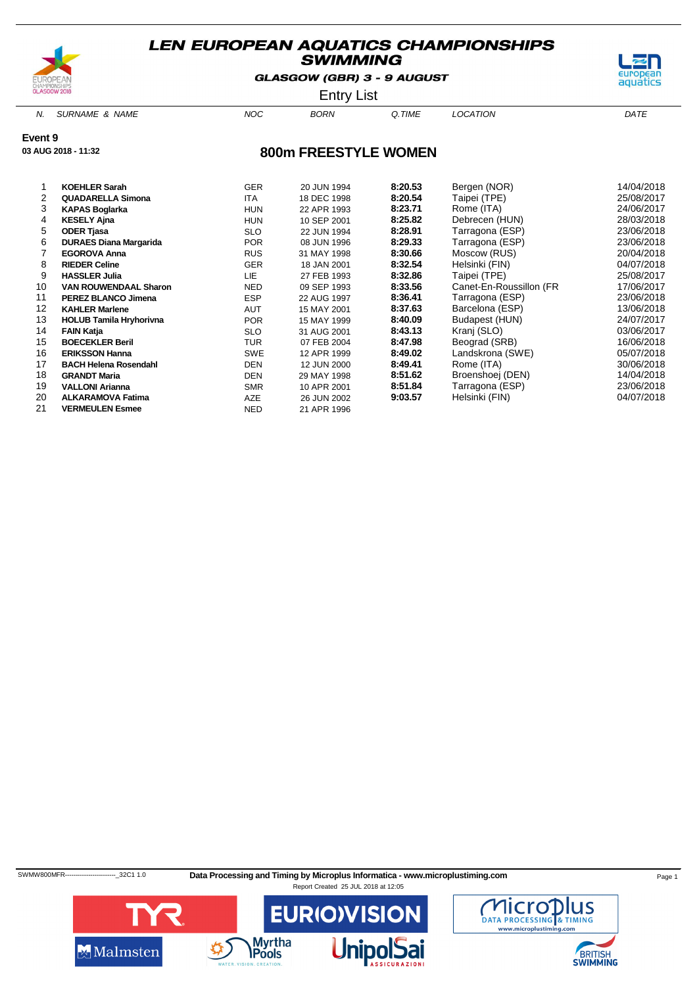

**03 AUG 2018 - 11:32**

### **LEN EUROPEAN AQUATICS CHAMPIONSHIPS SWIMMING**

GLASGOW (GBR) 3 - 9 AUGUST

Entry List

N. SURNAME & NAME  $NOC$  BORN Q.TIME LOCATION DATE

aquatics

**Event 9**

**800m FREESTYLE WOMEN**

|    | <b>KOEHLER Sarah</b>           | <b>GER</b> | 20 JUN 1994 | 8:20.53 | Bergen (NOR)            | 14/04/2018 |
|----|--------------------------------|------------|-------------|---------|-------------------------|------------|
| 2  | <b>QUADARELLA Simona</b>       | <b>ITA</b> | 18 DEC 1998 | 8:20.54 | Taipei (TPE)            | 25/08/2017 |
| 3  | <b>KAPAS Boglarka</b>          | <b>HUN</b> | 22 APR 1993 | 8:23.71 | Rome (ITA)              | 24/06/2017 |
| 4  | <b>KESELY Ajna</b>             | <b>HUN</b> | 10 SEP 2001 | 8:25.82 | Debrecen (HUN)          | 28/03/2018 |
| 5  | <b>ODER Tjasa</b>              | <b>SLO</b> | 22 JUN 1994 | 8:28.91 | Tarragona (ESP)         | 23/06/2018 |
| 6  | <b>DURAES Diana Margarida</b>  | <b>POR</b> | 08 JUN 1996 | 8:29.33 | Tarragona (ESP)         | 23/06/2018 |
|    | <b>EGOROVA Anna</b>            | <b>RUS</b> | 31 MAY 1998 | 8:30.66 | Moscow (RUS)            | 20/04/2018 |
| 8  | <b>RIEDER Celine</b>           | <b>GER</b> | 18 JAN 2001 | 8:32.54 | Helsinki (FIN)          | 04/07/2018 |
| 9  | <b>HASSLER Julia</b>           | <b>LIE</b> | 27 FEB 1993 | 8:32.86 | Taipei (TPE)            | 25/08/2017 |
| 10 | <b>VAN ROUWENDAAL Sharon</b>   | <b>NED</b> | 09 SEP 1993 | 8:33.56 | Canet-En-Roussillon (FR | 17/06/2017 |
| 11 | <b>PEREZ BLANCO Jimena</b>     | <b>ESP</b> | 22 AUG 1997 | 8:36.41 | Tarragona (ESP)         | 23/06/2018 |
| 12 | <b>KAHLER Marlene</b>          | <b>AUT</b> | 15 MAY 2001 | 8:37.63 | Barcelona (ESP)         | 13/06/2018 |
| 13 | <b>HOLUB Tamila Hryhorivna</b> | <b>POR</b> | 15 MAY 1999 | 8:40.09 | Budapest (HUN)          | 24/07/2017 |
| 14 | <b>FAIN Katja</b>              | <b>SLO</b> | 31 AUG 2001 | 8:43.13 | Kranj (SLO)             | 03/06/2017 |
| 15 | <b>BOECEKLER Beril</b>         | TUR        | 07 FEB 2004 | 8:47.98 | Beograd (SRB)           | 16/06/2018 |
| 16 | <b>ERIKSSON Hanna</b>          | <b>SWE</b> | 12 APR 1999 | 8:49.02 | Landskrona (SWE)        | 05/07/2018 |
| 17 | <b>BACH Helena Rosendahl</b>   | DEN        | 12 JUN 2000 | 8:49.41 | Rome (ITA)              | 30/06/2018 |
| 18 | <b>GRANDT Maria</b>            | <b>DEN</b> | 29 MAY 1998 | 8:51.62 | Broenshoej (DEN)        | 14/04/2018 |
| 19 | <b>VALLONI Arianna</b>         | <b>SMR</b> | 10 APR 2001 | 8:51.84 | Tarragona (ESP)         | 23/06/2018 |
| 20 | <b>ALKARAMOVA Fatima</b>       | <b>AZE</b> | 26 JUN 2002 | 9:03.57 | Helsinki (FIN)          | 04/07/2018 |
| 21 | <b>VERMEULEN Esmee</b>         | <b>NED</b> | 21 APR 1996 |         |                         |            |

SWMW800MFR-----------------------------32C1 1.0 Data Processing and Timing by Microplus Informatica - www.microplustiming.com Page 1



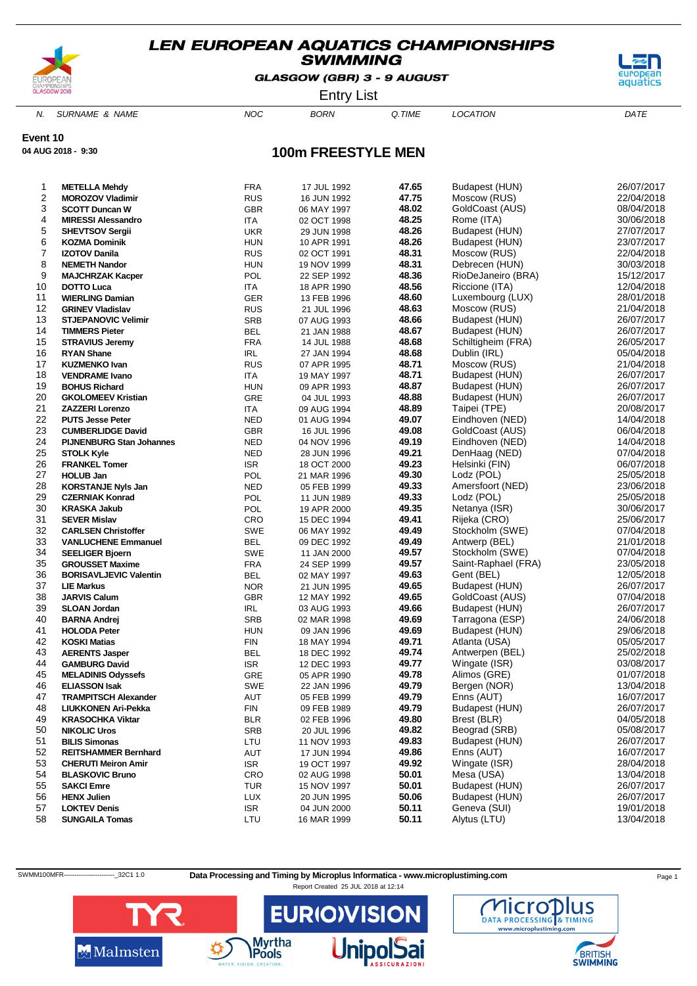

GLASGOW (GBR) 3 - 9 AUGUST



Entry List

N. SURNAME & NAME  $NOC$  BORN Q.TIME LOCATION DATE

**Event 10**

**04 AUG 2018 - 9:30**

### **100m FREESTYLE MEN**

| 1              | <b>METELLA Mehdy</b>                       | FRA         | 17 JUL 1992                | 47.65          | Budapest (HUN)                  | 26/07/2017               |
|----------------|--------------------------------------------|-------------|----------------------------|----------------|---------------------------------|--------------------------|
| $\overline{c}$ | <b>MOROZOV Vladimir</b>                    | <b>RUS</b>  | 16 JUN 1992                | 47.75          | Moscow (RUS)                    | 22/04/2018               |
| 3              | <b>SCOTT Duncan W</b>                      | <b>GBR</b>  | 06 MAY 1997                | 48.02          | GoldCoast (AUS)                 | 08/04/2018               |
| 4              | <b>MIRESSI Alessandro</b>                  | <b>ITA</b>  | 02 OCT 1998                | 48.25          | Rome (ITA)                      | 30/06/2018               |
| $\mathbf 5$    | SHEVTSOV Sergii                            | <b>UKR</b>  | 29 JUN 1998                | 48.26          | Budapest (HUN)                  | 27/07/2017               |
| 6              | <b>KOZMA Dominik</b>                       | <b>HUN</b>  | 10 APR 1991                | 48.26          | Budapest (HUN)                  | 23/07/2017               |
| $\overline{7}$ | <b>IZOTOV Danila</b>                       | <b>RUS</b>  | 02 OCT 1991                | 48.31          | Moscow (RUS)                    | 22/04/2018               |
| 8              | <b>NEMETH Nandor</b>                       | <b>HUN</b>  | 19 NOV 1999                | 48.31          | Debrecen (HUN)                  | 30/03/2018               |
| 9              | <b>MAJCHRZAK Kacper</b>                    | POL         | 22 SEP 1992                | 48.36          | RioDeJaneiro (BRA)              | 15/12/2017               |
| 10             | <b>DOTTO Luca</b>                          | <b>ITA</b>  | 18 APR 1990                | 48.56          | Riccione (ITA)                  | 12/04/2018               |
| 11             | <b>WIERLING Damian</b>                     | GER         | 13 FEB 1996                | 48.60          | Luxembourg (LUX)                | 28/01/2018               |
| 12             | <b>GRINEV Vladislav</b>                    | <b>RUS</b>  | 21 JUL 1996                | 48.63          | Moscow (RUS)                    | 21/04/2018               |
| 13             | <b>STJEPANOVIC Velimir</b>                 | SRB         | 07 AUG 1993                | 48.66          | Budapest (HUN)                  | 26/07/2017               |
| 14             | <b>TIMMERS Pieter</b>                      | <b>BEL</b>  | 21 JAN 1988                | 48.67          | Budapest (HUN)                  | 26/07/2017               |
| 15             | <b>STRAVIUS Jeremy</b>                     | <b>FRA</b>  | 14 JUL 1988                | 48.68          | Schiltigheim (FRA)              | 26/05/2017               |
| 16             | <b>RYAN Shane</b>                          | <b>IRL</b>  | 27 JAN 1994                | 48.68          | Dublin (IRL)                    | 05/04/2018               |
| 17             | <b>KUZMENKO Ivan</b>                       | <b>RUS</b>  | 07 APR 1995                | 48.71          | Moscow (RUS)                    | 21/04/2018               |
| 18             | <b>VENDRAME Ivano</b>                      | <b>ITA</b>  | 19 MAY 1997                | 48.71          | Budapest (HUN)                  | 26/07/2017               |
| 19             | <b>BOHUS Richard</b>                       | <b>HUN</b>  | 09 APR 1993                | 48.87          | Budapest (HUN)                  | 26/07/2017               |
| 20             | <b>GKOLOMEEV Kristian</b>                  | GRE         | 04 JUL 1993                | 48.88          | Budapest (HUN)                  | 26/07/2017               |
| 21             | <b>ZAZZERI Lorenzo</b>                     | <b>ITA</b>  | 09 AUG 1994                | 48.89          | Taipei (TPE)                    | 20/08/2017               |
| 22             | <b>PUTS Jesse Peter</b>                    | <b>NED</b>  | 01 AUG 1994                | 49.07          | Eindhoven (NED)                 | 14/04/2018               |
| 23             | <b>CUMBERLIDGE David</b>                   | <b>GBR</b>  | 16 JUL 1996                | 49.08          | GoldCoast (AUS)                 | 06/04/2018               |
| 24             | <b>PIJNENBURG Stan Johannes</b>            | NED         | 04 NOV 1996                | 49.19          | Eindhoven (NED)                 | 14/04/2018               |
| 25             | <b>STOLK Kyle</b>                          | <b>NED</b>  | 28 JUN 1996                | 49.21          | DenHaag (NED)                   | 07/04/2018               |
| 26             | <b>FRANKEL Tomer</b>                       | <b>ISR</b>  | 18 OCT 2000                | 49.23          | Helsinki (FIN)                  | 06/07/2018               |
| 27             | <b>HOLUB Jan</b>                           | <b>POL</b>  | 21 MAR 1996                | 49.30          | Lodz (POL)                      | 25/05/2018               |
| 28             | <b>KORSTANJE Nyls Jan</b>                  | <b>NED</b>  | 05 FEB 1999                | 49.33          | Amersfoort (NED)                | 23/06/2018               |
| 29             | <b>CZERNIAK Konrad</b>                     | <b>POL</b>  | 11 JUN 1989                | 49.33          | Lodz (POL)                      | 25/05/2018               |
| 30<br>31       | <b>KRASKA Jakub</b><br><b>SEVER Mislav</b> | POL         | 19 APR 2000                | 49.35<br>49.41 | Netanya (ISR)                   | 30/06/2017               |
| 32             | <b>CARLSEN Christoffer</b>                 | CRO         | 15 DEC 1994                | 49.49          | Rijeka (CRO)<br>Stockholm (SWE) | 25/06/2017<br>07/04/2018 |
| 33             | <b>VANLUCHENE Emmanuel</b>                 | SWE<br>BEL  | 06 MAY 1992<br>09 DEC 1992 | 49.49          | Antwerp (BEL)                   | 21/01/2018               |
| 34             | <b>SEELIGER Bjoern</b>                     | <b>SWE</b>  | 11 JAN 2000                | 49.57          | Stockholm (SWE)                 | 07/04/2018               |
| 35             | <b>GROUSSET Maxime</b>                     | <b>FRA</b>  | 24 SEP 1999                | 49.57          | Saint-Raphael (FRA)             | 23/05/2018               |
| 36             | <b>BORISAVLJEVIC Valentin</b>              | BEL         | 02 MAY 1997                | 49.63          | Gent (BEL)                      | 12/05/2018               |
| 37             | <b>LIE Markus</b>                          | <b>NOR</b>  | 21 JUN 1995                | 49.65          | Budapest (HUN)                  | 26/07/2017               |
| 38             | <b>JARVIS Calum</b>                        | <b>GBR</b>  | 12 MAY 1992                | 49.65          | GoldCoast (AUS)                 | 07/04/2018               |
| 39             | <b>SLOAN Jordan</b>                        | IRL         | 03 AUG 1993                | 49.66          | Budapest (HUN)                  | 26/07/2017               |
| 40             | <b>BARNA Andrej</b>                        | <b>SRB</b>  | 02 MAR 1998                | 49.69          | Tarragona (ESP)                 | 24/06/2018               |
| 41             | <b>HOLODA Peter</b>                        | <b>HUN</b>  | 09 JAN 1996                | 49.69          | Budapest (HUN)                  | 29/06/2018               |
| 42             | <b>KOSKI Matias</b>                        | <b>FIN</b>  | 18 MAY 1994                | 49.71          | Atlanta (USA)                   | 05/05/2017               |
| 43             | <b>AERENTS Jasper</b>                      | BEL         | 18 DEC 1992                | 49.74          | Antwerpen (BEL)                 | 25/02/2018               |
| 44             | <b>GAMBURG David</b>                       | <b>ISR</b>  | 12 DEC 1993                | 49.77          | Wingate (ISR)                   | 03/08/2017               |
| 45             | <b>MELADINIS Odyssefs</b>                  | GRE         | 05 APR 1990                | 49.78          | Alimos (GRE)                    | 01/07/2018               |
| 46             | <b>ELIASSON Isak</b>                       | SWE         | 22 JAN 1996                | 49.79          | Bergen (NOR)                    | 13/04/2018               |
| 47             | <b>TRAMPITSCH Alexander</b>                | AUT         | 05 FEB 1999                | 49.79          | Enns (AUT)                      | 16/07/2017               |
| 48             | LIUKKONEN Ari-Pekka                        | ${\sf FIN}$ | 09 FEB 1989                | 49.79          | Budapest (HUN)                  | 26/07/2017               |
| 49             | <b>KRASOCHKA Viktar</b>                    | <b>BLR</b>  | 02 FEB 1996                | 49.80          | Brest (BLR)                     | 04/05/2018               |
| 50             | <b>NIKOLIC Uros</b>                        | <b>SRB</b>  | 20 JUL 1996                | 49.82          | Beograd (SRB)                   | 05/08/2017               |
| 51             | <b>BILIS Simonas</b>                       | LTU         | 11 NOV 1993                | 49.83          | Budapest (HUN)                  | 26/07/2017               |
| 52             | <b>REITSHAMMER Bernhard</b>                | AUT         | 17 JUN 1994                | 49.86          | Enns (AUT)                      | 16/07/2017               |
| 53             | <b>CHERUTI Meiron Amir</b>                 | <b>ISR</b>  | 19 OCT 1997                | 49.92          | Wingate (ISR)                   | 28/04/2018               |
| 54             | <b>BLASKOVIC Bruno</b>                     | CRO         | 02 AUG 1998                | 50.01          | Mesa (USA)                      | 13/04/2018               |
| 55             | <b>SAKCI Emre</b>                          | <b>TUR</b>  | 15 NOV 1997                | 50.01          | Budapest (HUN)                  | 26/07/2017               |
| 56             | <b>HENX Julien</b>                         | <b>LUX</b>  | 20 JUN 1995                | 50.06          | Budapest (HUN)                  | 26/07/2017               |
| 57             | <b>LOKTEV Denis</b>                        | <b>ISR</b>  | 04 JUN 2000                | 50.11          | Geneva (SUI)                    | 19/01/2018               |
| 58             | <b>SUNGAILA Tomas</b>                      | LTU         | 16 MAR 1999                | 50.11          | Alytus (LTU)                    | 13/04/2018               |

SWMM100MFR---------------------------32C1 1.0 Data Processing and Timing by Microplus Informatica - www.microplustiming.com Page 1





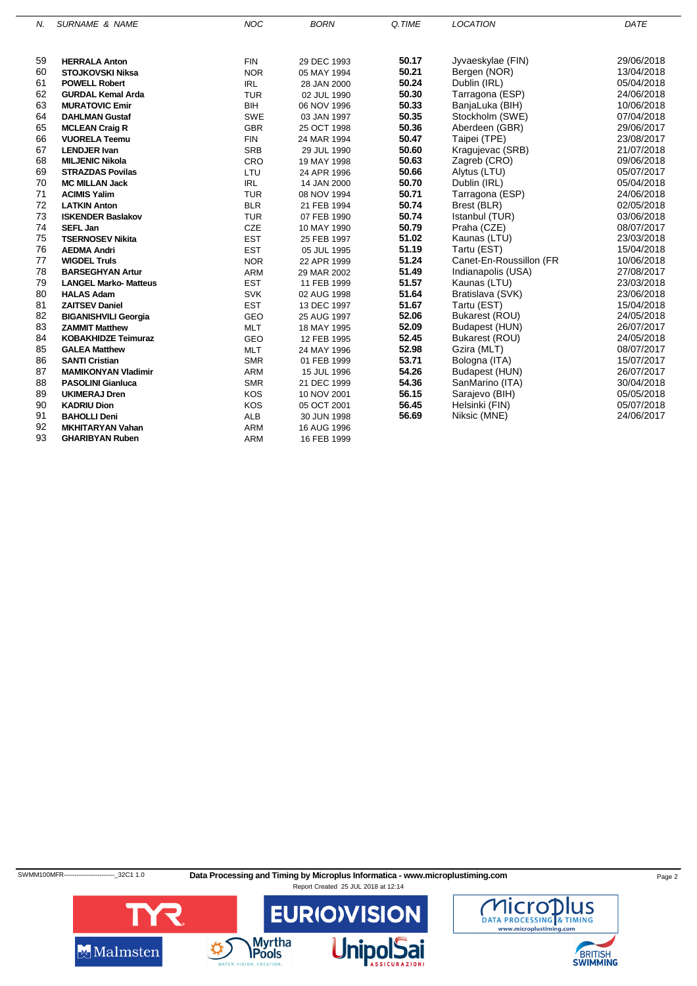| N. | <b>SURNAME &amp; NAME</b>    | <b>NOC</b> | <b>BORN</b> | Q.TIME | <b>LOCATION</b>         | DATE       |
|----|------------------------------|------------|-------------|--------|-------------------------|------------|
|    |                              |            |             |        |                         |            |
| 59 | <b>HERRALA Anton</b>         | <b>FIN</b> | 29 DEC 1993 | 50.17  | Jyvaeskylae (FIN)       | 29/06/2018 |
| 60 | <b>STOJKOVSKI Niksa</b>      | <b>NOR</b> | 05 MAY 1994 | 50.21  | Bergen (NOR)            | 13/04/2018 |
| 61 | <b>POWELL Robert</b>         | <b>IRL</b> | 28 JAN 2000 | 50.24  | Dublin (IRL)            | 05/04/2018 |
| 62 | <b>GURDAL Kemal Arda</b>     | <b>TUR</b> | 02 JUL 1990 | 50.30  | Tarragona (ESP)         | 24/06/2018 |
| 63 | <b>MURATOVIC Emir</b>        | BIH        | 06 NOV 1996 | 50.33  | BanjaLuka (BIH)         | 10/06/2018 |
| 64 | <b>DAHLMAN Gustaf</b>        | <b>SWE</b> | 03 JAN 1997 | 50.35  | Stockholm (SWE)         | 07/04/2018 |
| 65 | <b>MCLEAN Craig R</b>        | <b>GBR</b> | 25 OCT 1998 | 50.36  | Aberdeen (GBR)          | 29/06/2017 |
| 66 | <b>VUORELA Teemu</b>         | <b>FIN</b> | 24 MAR 1994 | 50.47  | Taipei (TPE)            | 23/08/2017 |
| 67 | <b>LENDJER Ivan</b>          | <b>SRB</b> | 29 JUL 1990 | 50.60  | Kragujevac (SRB)        | 21/07/2018 |
| 68 | <b>MILJENIC Nikola</b>       | CRO        | 19 MAY 1998 | 50.63  | Zagreb (CRO)            | 09/06/2018 |
| 69 | <b>STRAZDAS Povilas</b>      | LTU        | 24 APR 1996 | 50.66  | Alytus (LTU)            | 05/07/2017 |
| 70 | <b>MC MILLAN Jack</b>        | <b>IRL</b> | 14 JAN 2000 | 50.70  | Dublin (IRL)            | 05/04/2018 |
| 71 | <b>ACIMIS Yalim</b>          | <b>TUR</b> | 08 NOV 1994 | 50.71  | Tarragona (ESP)         | 24/06/2018 |
| 72 | <b>LATKIN Anton</b>          | <b>BLR</b> | 21 FEB 1994 | 50.74  | Brest (BLR)             | 02/05/2018 |
| 73 | <b>ISKENDER Baslakov</b>     | <b>TUR</b> | 07 FEB 1990 | 50.74  | Istanbul (TUR)          | 03/06/2018 |
| 74 | <b>SEFL Jan</b>              | <b>CZE</b> | 10 MAY 1990 | 50.79  | Praha (CZE)             | 08/07/2017 |
| 75 | <b>TSERNOSEV Nikita</b>      | <b>EST</b> | 25 FEB 1997 | 51.02  | Kaunas (LTU)            | 23/03/2018 |
| 76 | <b>AEDMA Andri</b>           | <b>EST</b> | 05 JUL 1995 | 51.19  | Tartu (EST)             | 15/04/2018 |
| 77 | <b>WIGDEL Truls</b>          | <b>NOR</b> | 22 APR 1999 | 51.24  | Canet-En-Roussillon (FR | 10/06/2018 |
| 78 | <b>BARSEGHYAN Artur</b>      | <b>ARM</b> | 29 MAR 2002 | 51.49  | Indianapolis (USA)      | 27/08/2017 |
| 79 | <b>LANGEL Marko- Matteus</b> | <b>EST</b> | 11 FEB 1999 | 51.57  | Kaunas (LTU)            | 23/03/2018 |
| 80 | <b>HALAS Adam</b>            | <b>SVK</b> | 02 AUG 1998 | 51.64  | Bratislava (SVK)        | 23/06/2018 |
| 81 | <b>ZAITSEV Daniel</b>        | <b>EST</b> | 13 DEC 1997 | 51.67  | Tartu (EST)             | 15/04/2018 |
| 82 | <b>BIGANISHVILI Georgia</b>  | <b>GEO</b> | 25 AUG 1997 | 52.06  | Bukarest (ROU)          | 24/05/2018 |
| 83 | <b>ZAMMIT Matthew</b>        | <b>MLT</b> | 18 MAY 1995 | 52.09  | Budapest (HUN)          | 26/07/2017 |
| 84 | <b>KOBAKHIDZE Teimuraz</b>   | <b>GEO</b> | 12 FEB 1995 | 52.45  | Bukarest (ROU)          | 24/05/2018 |
| 85 | <b>GALEA Matthew</b>         | <b>MLT</b> | 24 MAY 1996 | 52.98  | Gzira (MLT)             | 08/07/2017 |
| 86 | <b>SANTI Cristian</b>        | <b>SMR</b> | 01 FEB 1999 | 53.71  | Bologna (ITA)           | 15/07/2017 |
| 87 | <b>MAMIKONYAN Vladimir</b>   | <b>ARM</b> | 15 JUL 1996 | 54.26  | Budapest (HUN)          | 26/07/2017 |
| 88 | <b>PASOLINI Gianluca</b>     | <b>SMR</b> | 21 DEC 1999 | 54.36  | SanMarino (ITA)         | 30/04/2018 |
| 89 | <b>UKIMERAJ Dren</b>         | <b>KOS</b> | 10 NOV 2001 | 56.15  | Sarajevo (BIH)          | 05/05/2018 |
| 90 | <b>KADRIU Dion</b>           | <b>KOS</b> | 05 OCT 2001 | 56.45  | Helsinki (FIN)          | 05/07/2018 |
| 91 | <b>BAHOLLI Deni</b>          | <b>ALB</b> | 30 JUN 1998 | 56.69  | Niksic (MNE)            | 24/06/2017 |
| 92 | <b>MKHITARYAN Vahan</b>      | <b>ARM</b> | 16 AUG 1996 |        |                         |            |
| 93 | <b>GHARIBYAN Ruben</b>       | <b>ARM</b> | 16 FEB 1999 |        |                         |            |

SWMM100MFR------------------------32C1 1.0 **Data Processing and Timing by Microplus Informatica - www.microplustiming.com** Page 2



Report Created 25 JUL 2018 at 12:14

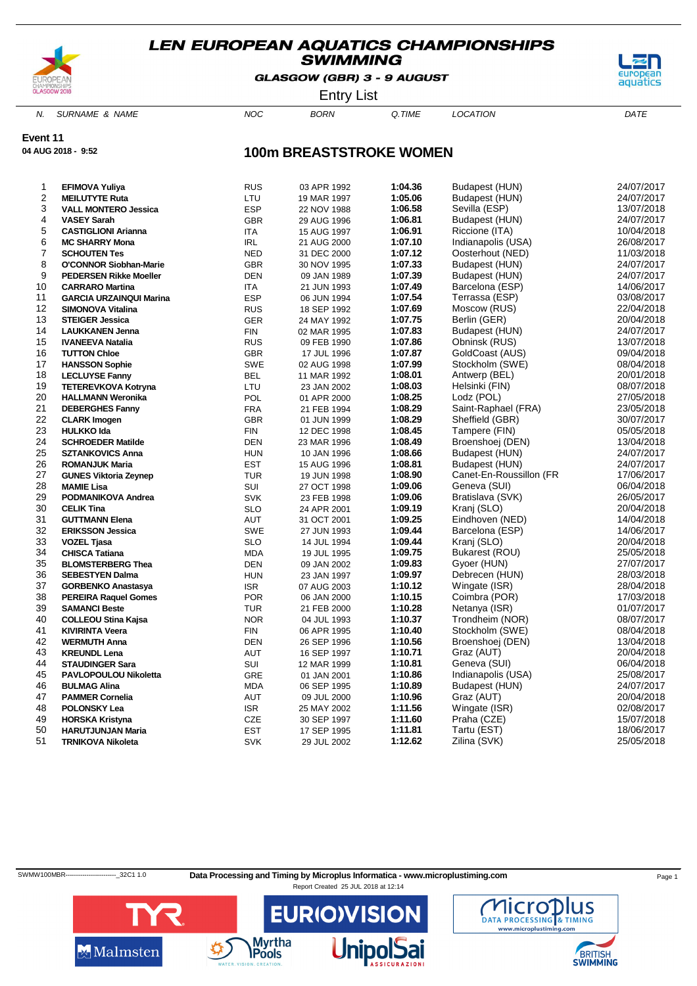

GLASGOW (GBR) 3 - 9 AUGUST



Entry List

N. SURNAME & NAME  $NOC$  BORN Q.TIME LOCATION DATE

**Event 11**

**04 AUG 2018 - 9:52**

### **100m BREASTSTROKE WOMEN**

| 1              | <b>EFIMOVA Yuliya</b>                         | <b>RUS</b> | 03 APR 1992 | 1:04.36 | Budapest (HUN)          | 24/07/2017               |
|----------------|-----------------------------------------------|------------|-------------|---------|-------------------------|--------------------------|
| $\overline{c}$ | <b>MEILUTYTE Ruta</b>                         | LTU        | 19 MAR 1997 | 1:05.06 | Budapest (HUN)          | 24/07/2017               |
| 3              | <b>VALL MONTERO Jessica</b>                   | <b>ESP</b> | 22 NOV 1988 | 1:06.58 | Sevilla (ESP)           | 13/07/2018               |
| 4              | <b>VASEY Sarah</b>                            | <b>GBR</b> | 29 AUG 1996 | 1:06.81 | Budapest (HUN)          | 24/07/2017               |
| 5              | <b>CASTIGLIONI Arianna</b>                    | <b>ITA</b> | 15 AUG 1997 | 1:06.91 | Riccione (ITA)          | 10/04/2018               |
| 6              | <b>MC SHARRY Mona</b>                         | <b>IRL</b> | 21 AUG 2000 | 1:07.10 | Indianapolis (USA)      | 26/08/2017               |
| $\overline{7}$ | <b>SCHOUTEN Tes</b>                           | <b>NED</b> | 31 DEC 2000 | 1:07.12 | Oosterhout (NED)        | 11/03/2018               |
| 8              | <b>O'CONNOR Siobhan-Marie</b>                 | <b>GBR</b> | 30 NOV 1995 | 1:07.33 | Budapest (HUN)          | 24/07/2017               |
| 9              | <b>PEDERSEN Rikke Moeller</b>                 | DEN        | 09 JAN 1989 | 1:07.39 | Budapest (HUN)          | 24/07/2017               |
| 10             | <b>CARRARO Martina</b>                        | <b>ITA</b> | 21 JUN 1993 | 1:07.49 | Barcelona (ESP)         | 14/06/2017               |
| 11             | <b>GARCIA URZAINQUI Marina</b>                | <b>ESP</b> | 06 JUN 1994 | 1:07.54 | Terrassa (ESP)          | 03/08/2017               |
| 12             | <b>SIMONOVA Vitalina</b>                      | <b>RUS</b> | 18 SEP 1992 | 1:07.69 | Moscow (RUS)            | 22/04/2018               |
| 13             | <b>STEIGER Jessica</b>                        | <b>GER</b> | 24 MAY 1992 | 1:07.75 | Berlin (GER)            | 20/04/2018               |
| 14             | <b>LAUKKANEN Jenna</b>                        | <b>FIN</b> | 02 MAR 1995 | 1:07.83 | Budapest (HUN)          | 24/07/2017               |
| 15             | <b>IVANEEVA Natalia</b>                       | <b>RUS</b> | 09 FEB 1990 | 1:07.86 | Obninsk (RUS)           | 13/07/2018               |
| 16             | <b>TUTTON Chloe</b>                           | <b>GBR</b> | 17 JUL 1996 | 1:07.87 | GoldCoast (AUS)         | 09/04/2018               |
| 17             | <b>HANSSON Sophie</b>                         | <b>SWE</b> | 02 AUG 1998 | 1:07.99 | Stockholm (SWE)         | 08/04/2018               |
| 18             | <b>LECLUYSE Fanny</b>                         | BEL        | 11 MAR 1992 | 1:08.01 | Antwerp (BEL)           | 20/01/2018               |
| 19             | <b>TETEREVKOVA Kotryna</b>                    | LTU        | 23 JAN 2002 | 1:08.03 | Helsinki (FIN)          | 08/07/2018               |
| 20             | <b>HALLMANN Weronika</b>                      | POL        | 01 APR 2000 | 1:08.25 | Lodz (POL)              | 27/05/2018               |
| 21             | <b>DEBERGHES Fanny</b>                        | <b>FRA</b> | 21 FEB 1994 | 1:08.29 | Saint-Raphael (FRA)     | 23/05/2018               |
| 22             | <b>CLARK Imogen</b>                           | <b>GBR</b> | 01 JUN 1999 | 1:08.29 | Sheffield (GBR)         | 30/07/2017               |
| 23             | <b>HULKKO Ida</b>                             | <b>FIN</b> | 12 DEC 1998 | 1:08.45 | Tampere (FIN)           | 05/05/2018               |
| 24             | <b>SCHROEDER Matilde</b>                      | <b>DEN</b> | 23 MAR 1996 | 1:08.49 | Broenshoej (DEN)        | 13/04/2018               |
| 25             | <b>SZTANKOVICS Anna</b>                       | <b>HUN</b> | 10 JAN 1996 | 1:08.66 | Budapest (HUN)          | 24/07/2017               |
| 26             | <b>ROMANJUK Maria</b>                         | <b>EST</b> | 15 AUG 1996 | 1:08.81 | Budapest (HUN)          | 24/07/2017               |
| 27             | <b>GUNES Viktoria Zeynep</b>                  | <b>TUR</b> | 19 JUN 1998 | 1:08.90 | Canet-En-Roussillon (FR | 17/06/2017               |
| 28             | <b>MAMIE Lisa</b>                             | SUI        | 27 OCT 1998 | 1:09.06 | Geneva (SUI)            | 06/04/2018               |
| 29             | PODMANIKOVA Andrea                            | <b>SVK</b> | 23 FEB 1998 | 1:09.06 | Bratislava (SVK)        | 26/05/2017               |
| 30             | <b>CELIK Tina</b>                             | <b>SLO</b> | 24 APR 2001 | 1:09.19 | Kranj (SLO)             | 20/04/2018               |
| 31             | <b>GUTTMANN Elena</b>                         | <b>AUT</b> | 31 OCT 2001 | 1:09.25 | Eindhoven (NED)         | 14/04/2018               |
| 32             | <b>ERIKSSON Jessica</b>                       | <b>SWE</b> | 27 JUN 1993 | 1:09.44 | Barcelona (ESP)         | 14/06/2017               |
| 33             | <b>VOZEL Tjasa</b>                            | <b>SLO</b> | 14 JUL 1994 | 1:09.44 | Kranj (SLO)             | 20/04/2018               |
| 34             | <b>CHISCA Tatiana</b>                         | <b>MDA</b> | 19 JUL 1995 | 1:09.75 | Bukarest (ROU)          | 25/05/2018               |
| 35             | <b>BLOMSTERBERG Thea</b>                      | <b>DEN</b> | 09 JAN 2002 | 1:09.83 | Gyoer (HUN)             | 27/07/2017               |
| 36             | <b>SEBESTYEN Dalma</b>                        | <b>HUN</b> | 23 JAN 1997 | 1:09.97 | Debrecen (HUN)          | 28/03/2018               |
| 37             | <b>GORBENKO Anastasya</b>                     | <b>ISR</b> | 07 AUG 2003 | 1:10.12 | Wingate (ISR)           | 28/04/2018               |
| 38             | <b>PEREIRA Raquel Gomes</b>                   | <b>POR</b> | 06 JAN 2000 | 1:10.15 | Coimbra (POR)           | 17/03/2018               |
| 39             | <b>SAMANCI Beste</b>                          | <b>TUR</b> |             | 1:10.28 | Netanya (ISR)           | 01/07/2017               |
| 40             | <b>COLLEOU Stina Kajsa</b>                    | <b>NOR</b> | 21 FEB 2000 | 1:10.37 | Trondheim (NOR)         | 08/07/2017               |
| 41             |                                               | <b>FIN</b> | 04 JUL 1993 | 1:10.40 |                         |                          |
| 42             | <b>KIVIRINTA Veera</b><br><b>WERMUTH Anna</b> |            | 06 APR 1995 | 1:10.56 | Stockholm (SWE)         | 08/04/2018<br>13/04/2018 |
| 43             |                                               | <b>DEN</b> | 26 SEP 1996 | 1:10.71 | Broenshoej (DEN)        |                          |
|                | <b>KREUNDL Lena</b>                           | <b>AUT</b> | 16 SEP 1997 |         | Graz (AUT)              | 20/04/2018               |
| 44             | <b>STAUDINGER Sara</b>                        | <b>SUI</b> | 12 MAR 1999 | 1:10.81 | Geneva (SUI)            | 06/04/2018               |
| 45             | PAVLOPOULOU Nikoletta                         | GRE        | 01 JAN 2001 | 1:10.86 | Indianapolis (USA)      | 25/08/2017               |
| 46             | <b>BULMAG Alina</b>                           | <b>MDA</b> | 06 SEP 1995 | 1:10.89 | Budapest (HUN)          | 24/07/2017               |
| 47             | <b>PAMMER Cornelia</b>                        | AUT        | 09 JUL 2000 | 1:10.96 | Graz (AUT)              | 20/04/2018               |
| 48             | <b>POLONSKY Lea</b>                           | <b>ISR</b> | 25 MAY 2002 | 1:11.56 | Wingate (ISR)           | 02/08/2017               |
| 49             | <b>HORSKA Kristyna</b>                        | CZE        | 30 SEP 1997 | 1:11.60 | Praha (CZE)             | 15/07/2018               |
| 50             | <b>HARUTJUNJAN Maria</b>                      | <b>EST</b> | 17 SEP 1995 | 1:11.81 | Tartu (EST)             | 18/06/2017               |
| 51             | <b>TRNIKOVA Nikoleta</b>                      | <b>SVK</b> | 29 JUL 2002 | 1:12.62 | Zilina (SVK)            | 25/05/2018               |

SWMW100MBR---------------------------32C1 1.0 Data Processing and Timing by Microplus Informatica - www.microplustiming.com Page 1

Report Created 25 JUL 2018 at 12:14



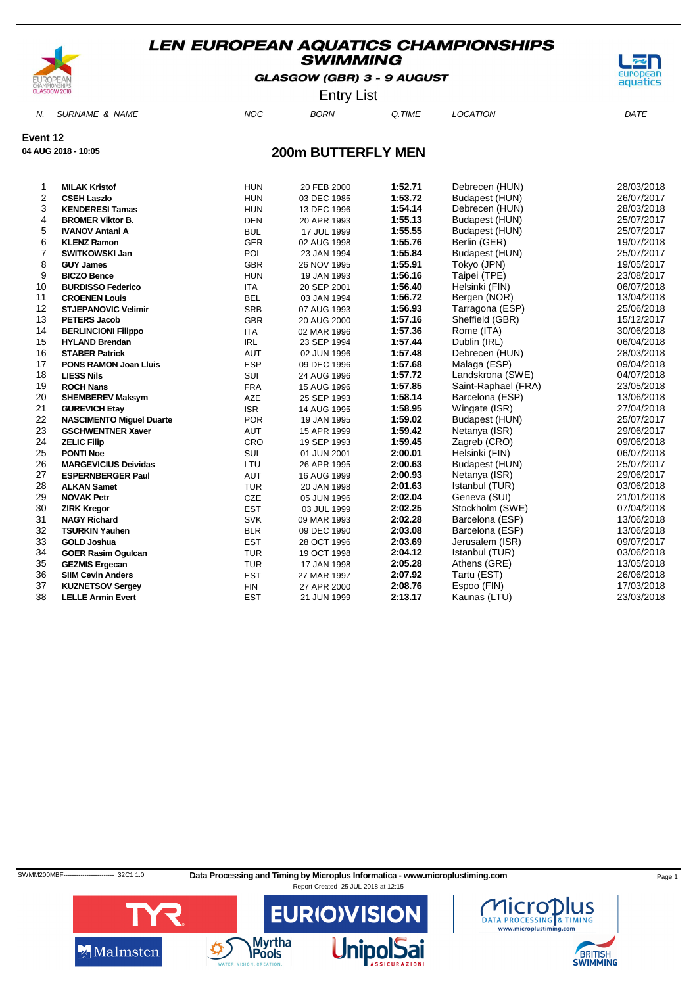

GLASGOW (GBR) 3 - 9 AUGUST



Entry List

N. SURNAME & NAME  $NOC$  BORN Q.TIME LOCATION DATE

**Event 12**

**04 AUG 2018 - 10:05**

### **200m BUTTERFLY MEN**

| 1              | <b>MILAK Kristof</b>            | <b>HUN</b> | 20 FEB 2000 | 1:52.71 | Debrecen (HUN)      | 28/03/2018 |
|----------------|---------------------------------|------------|-------------|---------|---------------------|------------|
| $\overline{2}$ | <b>CSEH Laszlo</b>              | <b>HUN</b> | 03 DEC 1985 | 1:53.72 | Budapest (HUN)      | 26/07/2017 |
| 3              | <b>KENDERESI Tamas</b>          | <b>HUN</b> | 13 DEC 1996 | 1:54.14 | Debrecen (HUN)      | 28/03/2018 |
| 4              | <b>BROMER Viktor B.</b>         | <b>DEN</b> | 20 APR 1993 | 1:55.13 | Budapest (HUN)      | 25/07/2017 |
| 5              | <b>IVANOV Antani A</b>          | <b>BUL</b> | 17 JUL 1999 | 1:55.55 | Budapest (HUN)      | 25/07/2017 |
| 6              | <b>KLENZ Ramon</b>              | <b>GER</b> | 02 AUG 1998 | 1:55.76 | Berlin (GER)        | 19/07/2018 |
| $\overline{7}$ | <b>SWITKOWSKI Jan</b>           | POL        | 23 JAN 1994 | 1:55.84 | Budapest (HUN)      | 25/07/2017 |
| 8              | <b>GUY James</b>                | <b>GBR</b> | 26 NOV 1995 | 1:55.91 | Tokyo (JPN)         | 19/05/2017 |
| 9              | <b>BICZO Bence</b>              | <b>HUN</b> | 19 JAN 1993 | 1:56.16 | Taipei (TPE)        | 23/08/2017 |
| 10             | <b>BURDISSO Federico</b>        | <b>ITA</b> | 20 SEP 2001 | 1:56.40 | Helsinki (FIN)      | 06/07/2018 |
| 11             | <b>CROENEN Louis</b>            | <b>BEL</b> | 03 JAN 1994 | 1:56.72 | Bergen (NOR)        | 13/04/2018 |
| 12             | <b>STJEPANOVIC Velimir</b>      | <b>SRB</b> | 07 AUG 1993 | 1:56.93 | Tarragona (ESP)     | 25/06/2018 |
| 13             | <b>PETERS Jacob</b>             | <b>GBR</b> | 20 AUG 2000 | 1:57.16 | Sheffield (GBR)     | 15/12/2017 |
| 14             | <b>BERLINCIONI Filippo</b>      | <b>ITA</b> | 02 MAR 1996 | 1:57.36 | Rome (ITA)          | 30/06/2018 |
| 15             | <b>HYLAND Brendan</b>           | <b>IRL</b> | 23 SEP 1994 | 1:57.44 | Dublin (IRL)        | 06/04/2018 |
| 16             | <b>STABER Patrick</b>           | <b>AUT</b> | 02 JUN 1996 | 1:57.48 | Debrecen (HUN)      | 28/03/2018 |
| 17             | <b>PONS RAMON Joan Lluis</b>    | <b>ESP</b> | 09 DEC 1996 | 1:57.68 | Malaga (ESP)        | 09/04/2018 |
| 18             | <b>LIESS Nils</b>               | SUI        | 24 AUG 1996 | 1:57.72 | Landskrona (SWE)    | 04/07/2018 |
| 19             | <b>ROCH Nans</b>                | <b>FRA</b> | 15 AUG 1996 | 1:57.85 | Saint-Raphael (FRA) | 23/05/2018 |
| 20             | <b>SHEMBEREV Maksym</b>         | AZE        | 25 SEP 1993 | 1:58.14 | Barcelona (ESP)     | 13/06/2018 |
| 21             | <b>GUREVICH Etay</b>            | <b>ISR</b> | 14 AUG 1995 | 1:58.95 | Wingate (ISR)       | 27/04/2018 |
| 22             | <b>NASCIMENTO Miguel Duarte</b> | <b>POR</b> | 19 JAN 1995 | 1:59.02 | Budapest (HUN)      | 25/07/2017 |
| 23             | <b>GSCHWENTNER Xaver</b>        | AUT        | 15 APR 1999 | 1:59.42 | Netanya (ISR)       | 29/06/2017 |
| 24             | <b>ZELIC Filip</b>              | CRO        | 19 SEP 1993 | 1:59.45 | Zagreb (CRO)        | 09/06/2018 |
| 25             | <b>PONTI Noe</b>                | SUI        | 01 JUN 2001 | 2:00.01 | Helsinki (FIN)      | 06/07/2018 |
| 26             | <b>MARGEVICIUS Deividas</b>     | LTU        | 26 APR 1995 | 2:00.63 | Budapest (HUN)      | 25/07/2017 |
| 27             | <b>ESPERNBERGER Paul</b>        | <b>AUT</b> | 16 AUG 1999 | 2:00.93 | Netanya (ISR)       | 29/06/2017 |
| 28             | <b>ALKAN Samet</b>              | <b>TUR</b> | 20 JAN 1998 | 2:01.63 | Istanbul (TUR)      | 03/06/2018 |
| 29             | <b>NOVAK Petr</b>               | CZE        | 05 JUN 1996 | 2:02.04 | Geneva (SUI)        | 21/01/2018 |
| 30             | <b>ZIRK Kregor</b>              | <b>EST</b> | 03 JUL 1999 | 2:02.25 | Stockholm (SWE)     | 07/04/2018 |
| 31             | <b>NAGY Richard</b>             | <b>SVK</b> | 09 MAR 1993 | 2:02.28 | Barcelona (ESP)     | 13/06/2018 |
| 32             | <b>TSURKIN Yauhen</b>           | <b>BLR</b> | 09 DEC 1990 | 2:03.08 | Barcelona (ESP)     | 13/06/2018 |
| 33             | <b>GOLD Joshua</b>              | <b>EST</b> | 28 OCT 1996 | 2:03.69 | Jerusalem (ISR)     | 09/07/2017 |
| 34             | <b>GOER Rasim Ogulcan</b>       | <b>TUR</b> | 19 OCT 1998 | 2:04.12 | Istanbul (TUR)      | 03/06/2018 |
| 35             | <b>GEZMIS Ergecan</b>           | <b>TUR</b> | 17 JAN 1998 | 2:05.28 | Athens (GRE)        | 13/05/2018 |
| 36             | <b>SIIM Cevin Anders</b>        | <b>EST</b> | 27 MAR 1997 | 2:07.92 | Tartu (EST)         | 26/06/2018 |
| 37             | <b>KUZNETSOV Sergey</b>         | <b>FIN</b> | 27 APR 2000 | 2:08.76 | Espoo (FIN)         | 17/03/2018 |
| 38             | <b>LELLE Armin Evert</b>        | <b>EST</b> | 21 JUN 1999 | 2:13.17 | Kaunas (LTU)        | 23/03/2018 |

SWMM200MBF-----------------------------32C1 1.0 Data Processing and Timing by Microplus Informatica - www.microplustiming.com Page 1



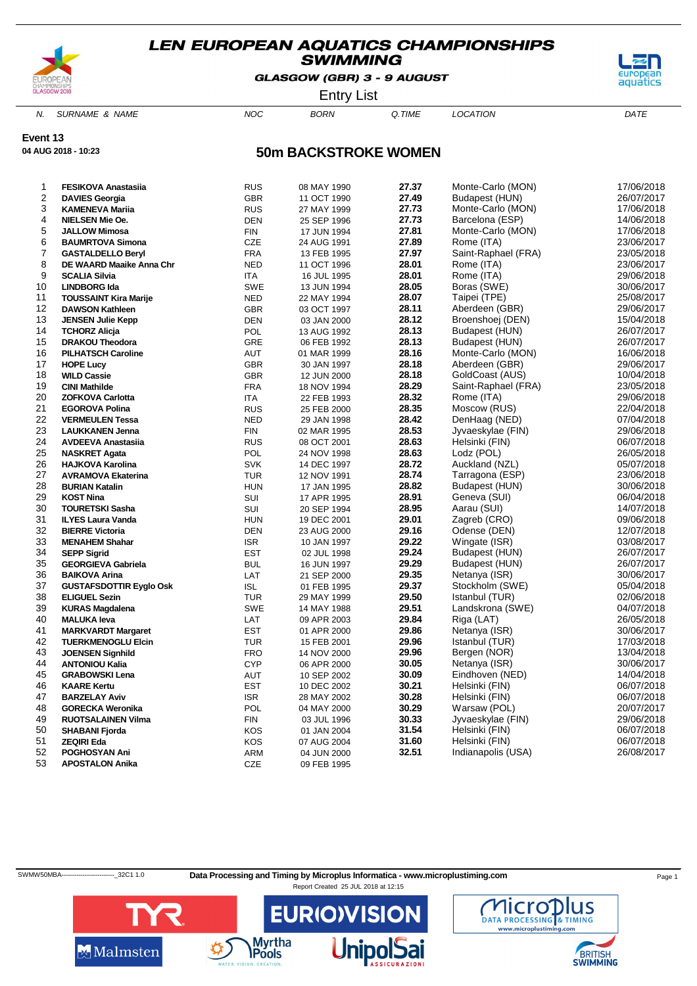

GLASGOW (GBR) 3 - 9 AUGUST



Entry List

N. SURNAME & NAME  $NOC$  BORN Q.TIME LOCATION DATE

**Event 13**

**04 AUG 2018 - 10:23**

### **50m BACKSTROKE WOMEN**

| 1                       | <b>FESIKOVA Anastasiia</b>                       | <b>RUS</b>               | 08 MAY 1990 | 27.37          | Monte-Carlo (MON)   | 17/06/2018 |
|-------------------------|--------------------------------------------------|--------------------------|-------------|----------------|---------------------|------------|
| $\overline{\mathbf{c}}$ | <b>DAVIES Georgia</b>                            | <b>GBR</b>               | 11 OCT 1990 | 27.49          | Budapest (HUN)      | 26/07/2017 |
| 3                       | <b>KAMENEVA Mariia</b>                           | <b>RUS</b>               | 27 MAY 1999 | 27.73          | Monte-Carlo (MON)   | 17/06/2018 |
| 4                       | <b>NIELSEN Mie Oe.</b>                           | <b>DEN</b>               | 25 SEP 1996 | 27.73          | Barcelona (ESP)     | 14/06/2018 |
| 5                       | <b>JALLOW Mimosa</b>                             | <b>FIN</b>               | 17 JUN 1994 | 27.81          | Monte-Carlo (MON)   | 17/06/2018 |
| 6                       | <b>BAUMRTOVA Simona</b>                          | CZE                      | 24 AUG 1991 | 27.89          | Rome (ITA)          | 23/06/2017 |
| 7                       | <b>GASTALDELLO Beryl</b>                         | <b>FRA</b>               | 13 FEB 1995 | 27.97          | Saint-Raphael (FRA) | 23/05/2018 |
| 8                       | DE WAARD Maaike Anna Chr                         | <b>NED</b>               | 11 OCT 1996 | 28.01          | Rome (ITA)          | 23/06/2017 |
| 9                       | <b>SCALIA Silvia</b>                             | ITA                      | 16 JUL 1995 | 28.01          | Rome (ITA)          | 29/06/2018 |
| 10                      | <b>LINDBORG Ida</b>                              | SWE                      | 13 JUN 1994 | 28.05          | Boras (SWE)         | 30/06/2017 |
| 11                      | <b>TOUSSAINT Kira Marije</b>                     | <b>NED</b>               | 22 MAY 1994 | 28.07          | Taipei (TPE)        | 25/08/2017 |
| 12                      | <b>DAWSON Kathleen</b>                           | <b>GBR</b>               | 03 OCT 1997 | 28.11          | Aberdeen (GBR)      | 29/06/2017 |
| 13                      | <b>JENSEN Julie Kepp</b>                         | DEN                      | 03 JAN 2000 | 28.12          | Broenshoej (DEN)    | 15/04/2018 |
| 14                      | <b>TCHORZ Alicja</b>                             | POL                      | 13 AUG 1992 | 28.13          | Budapest (HUN)      | 26/07/2017 |
| 15                      | <b>DRAKOU Theodora</b>                           | <b>GRE</b>               | 06 FEB 1992 | 28.13          | Budapest (HUN)      | 26/07/2017 |
| 16                      | <b>PILHATSCH Caroline</b>                        | AUT                      | 01 MAR 1999 | 28.16          | Monte-Carlo (MON)   | 16/06/2018 |
| 17                      | <b>HOPE Lucy</b>                                 | <b>GBR</b>               | 30 JAN 1997 | 28.18          | Aberdeen (GBR)      | 29/06/2017 |
| 18                      | <b>WILD Cassie</b>                               | <b>GBR</b>               | 12 JUN 2000 | 28.18          | GoldCoast (AUS)     | 10/04/2018 |
| 19                      | <b>CINI Mathilde</b>                             | <b>FRA</b>               | 18 NOV 1994 | 28.29          | Saint-Raphael (FRA) | 23/05/2018 |
| 20                      | <b>ZOFKOVA Carlotta</b>                          | ITA                      | 22 FEB 1993 | 28.32          | Rome (ITA)          | 29/06/2018 |
| 21                      | <b>EGOROVA Polina</b>                            | <b>RUS</b>               | 25 FEB 2000 | 28.35          | Moscow (RUS)        | 22/04/2018 |
| 22                      | <b>VERMEULEN Tessa</b>                           | <b>NED</b>               | 29 JAN 1998 | 28.42          | DenHaag (NED)       | 07/04/2018 |
| 23                      | <b>LAUKKANEN Jenna</b>                           | <b>FIN</b>               | 02 MAR 1995 | 28.53          | Jyvaeskylae (FIN)   | 29/06/2018 |
| 24                      | <b>AVDEEVA Anastasiia</b>                        | <b>RUS</b>               | 08 OCT 2001 | 28.63          | Helsinki (FIN)      | 06/07/2018 |
| 25                      | <b>NASKRET Agata</b>                             | POL                      | 24 NOV 1998 | 28.63          | Lodz (POL)          | 26/05/2018 |
| 26                      | <b>HAJKOVA Karolina</b>                          | <b>SVK</b>               | 14 DEC 1997 | 28.72          | Auckland (NZL)      | 05/07/2018 |
| 27                      | <b>AVRAMOVA Ekaterina</b>                        | <b>TUR</b>               | 12 NOV 1991 | 28.74          | Tarragona (ESP)     | 23/06/2018 |
| 28                      | <b>BURIAN Katalin</b>                            | <b>HUN</b>               | 17 JAN 1995 | 28.82          | Budapest (HUN)      | 30/06/2018 |
| 29                      | <b>KOST Nina</b>                                 | SUI                      | 17 APR 1995 | 28.91          | Geneva (SUI)        | 06/04/2018 |
| 30                      | <b>TOURETSKI Sasha</b>                           | SUI                      | 20 SEP 1994 | 28.95          | Aarau (SUI)         | 14/07/2018 |
| 31                      | <b>ILYES Laura Vanda</b>                         | <b>HUN</b>               | 19 DEC 2001 | 29.01          | Zagreb (CRO)        | 09/06/2018 |
| 32                      | <b>BIERRE Victoria</b>                           | <b>DEN</b>               | 23 AUG 2000 | 29.16          | Odense (DEN)        | 12/07/2018 |
| 33                      | <b>MENAHEM Shahar</b>                            | <b>ISR</b>               | 10 JAN 1997 | 29.22          | Wingate (ISR)       | 03/08/2017 |
| 34                      | <b>SEPP Sigrid</b>                               | <b>EST</b>               | 02 JUL 1998 | 29.24          | Budapest (HUN)      | 26/07/2017 |
| 35                      | <b>GEORGIEVA Gabriela</b>                        | <b>BUL</b>               | 16 JUN 1997 | 29.29          | Budapest (HUN)      | 26/07/2017 |
| 36                      | <b>BAIKOVA Arina</b>                             | LAT                      | 21 SEP 2000 | 29.35          | Netanya (ISR)       | 30/06/2017 |
| 37                      | <b>GUSTAFSDOTTIR Eyglo Osk</b>                   | <b>ISL</b>               | 01 FEB 1995 | 29.37          | Stockholm (SWE)     | 05/04/2018 |
| 38                      | <b>ELIGUEL Sezin</b>                             | <b>TUR</b>               | 29 MAY 1999 | 29.50          | Istanbul (TUR)      | 02/06/2018 |
| 39                      | <b>KURAS Magdalena</b>                           | <b>SWE</b>               | 14 MAY 1988 | 29.51          | Landskrona (SWE)    | 04/07/2018 |
| 40                      | <b>MALUKA leva</b>                               | LAT                      | 09 APR 2003 | 29.84          | Riga (LAT)          | 26/05/2018 |
| 41                      | <b>MARKVARDT Margaret</b>                        | <b>EST</b>               | 01 APR 2000 | 29.86          | Netanya (ISR)       | 30/06/2017 |
| 42                      | <b>TUERKMENOGLU Elcin</b>                        | <b>TUR</b>               | 15 FEB 2001 | 29.96          | Istanbul (TUR)      | 17/03/2018 |
| 43                      |                                                  |                          |             | 29.96          | Bergen (NOR)        | 13/04/2018 |
| 44                      | <b>JOENSEN Signhild</b><br><b>ANTONIOU Kalia</b> | <b>FRO</b><br><b>CYP</b> | 14 NOV 2000 | 30.05          | Netanya (ISR)       | 30/06/2017 |
| 45                      | <b>GRABOWSKI Lena</b>                            | AUT                      | 06 APR 2000 | 30.09          | Eindhoven (NED)     | 14/04/2018 |
|                         |                                                  |                          | 10 SEP 2002 |                |                     |            |
| 46<br>47                | <b>KAARE Kertu</b>                               | <b>EST</b>               | 10 DEC 2002 | 30.21          | Helsinki (FIN)      | 06/07/2018 |
| 48                      | <b>BARZELAY Aviv</b>                             | <b>ISR</b>               | 28 MAY 2002 | 30.28<br>30.29 | Helsinki (FIN)      | 06/07/2018 |
|                         | <b>GORECKA Weronika</b>                          | POL                      | 04 MAY 2000 |                | Warsaw (POL)        | 20/07/2017 |
| 49                      | <b>RUOTSALAINEN Vilma</b>                        | <b>FIN</b>               | 03 JUL 1996 | 30.33          | Jyvaeskylae (FIN)   | 29/06/2018 |
| 50                      | <b>SHABANI Fjorda</b>                            | <b>KOS</b>               | 01 JAN 2004 | 31.54          | Helsinki (FIN)      | 06/07/2018 |
| 51                      | <b>ZEQIRI Eda</b>                                | KOS                      | 07 AUG 2004 | 31.60          | Helsinki (FIN)      | 06/07/2018 |
| 52                      | <b>POGHOSYAN Ani</b>                             | <b>ARM</b>               | 04 JUN 2000 | 32.51          | Indianapolis (USA)  | 26/08/2017 |
| 53                      | <b>APOSTALON Anika</b>                           | CZE                      | 09 FEB 1995 |                |                     |            |

SWMW50MBA------------------------------32C1 1.0 Data Processing and Timing by Microplus Informatica - www.microplustiming.com Page 1

Report Created 25 JUL 2018 at 12:15



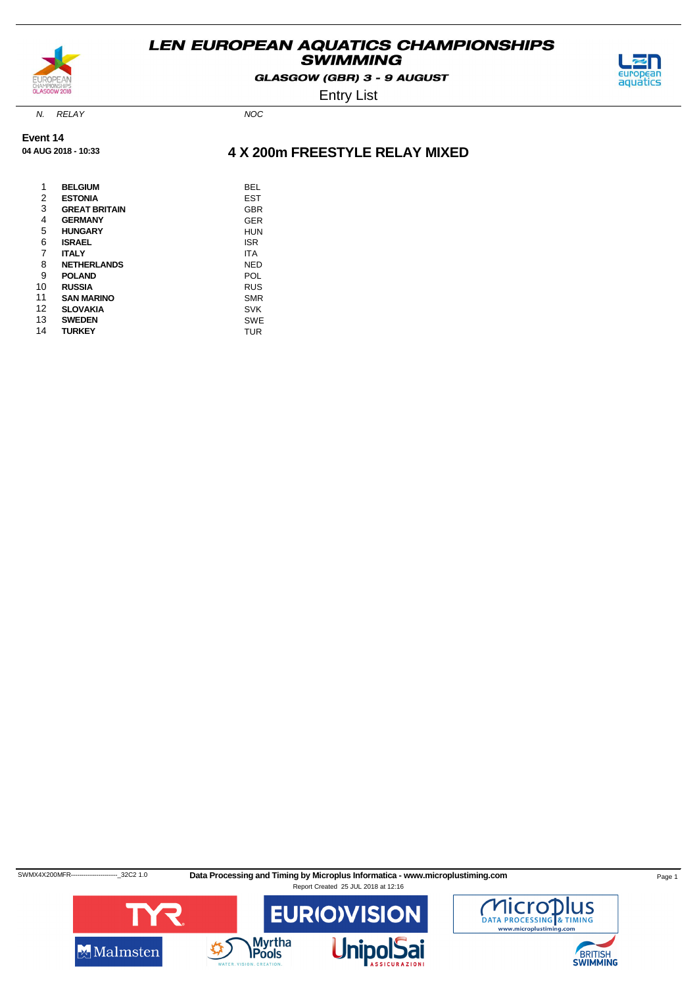

GLASGOW (GBR) 3 - 9 AUGUST



Entry List

N. RELAY NOC

**Event 14 04 AUG 2018 - 10:33**

### **4 X 200m FREESTYLE RELAY MIXED**

| 1  | <b>BELGIUM</b>       | BEL        |
|----|----------------------|------------|
| 2  | <b>ESTONIA</b>       | EST        |
| 3  | <b>GREAT BRITAIN</b> | <b>GBR</b> |
| 4  | <b>GERMANY</b>       | <b>GER</b> |
| 5  | <b>HUNGARY</b>       | <b>HUN</b> |
| 6  | <b>ISRAEL</b>        | ISR        |
| 7  | <b>ITALY</b>         | ITA        |
| 8  | <b>NETHERLANDS</b>   | NED        |
| 9  | <b>POLAND</b>        | POL        |
| 10 | <b>RUSSIA</b>        | <b>RUS</b> |
| 11 | <b>SAN MARINO</b>    | SMR        |
| 12 | <b>SLOVAKIA</b>      | <b>SVK</b> |
| 13 | <b>SWEDEN</b>        | SWE        |
| 14 | <b>TURKEY</b>        | TUR        |
|    |                      |            |

SWMX4X200MFR---------------------------32C2 1.0 Data Processing and Timing by Microplus Informatica - www.microplustiming.com Page 1 Report Created 25 JUL 2018 at 12:16



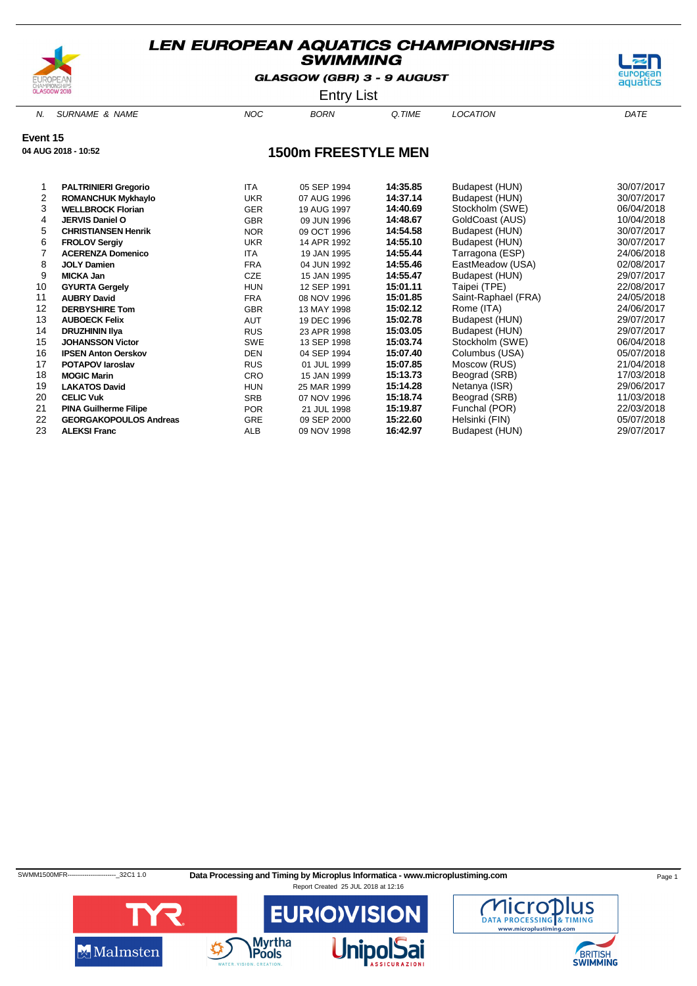

GLASGOW (GBR) 3 - 9 AUGUST



Entry List

N. SURNAME & NAME  $NOC$  BORN Q.TIME LOCATION DATE

**Event 15**

**04 AUG 2018 - 10:52**

### **1500m FREESTYLE MEN**

|    | <b>PALTRINIERI Gregorio</b>   | <b>ITA</b> | 05 SEP 1994 | 14:35.85 | Budapest (HUN)      | 30/07/2017 |
|----|-------------------------------|------------|-------------|----------|---------------------|------------|
| 2  | <b>ROMANCHUK Mykhaylo</b>     | <b>UKR</b> | 07 AUG 1996 | 14:37.14 | Budapest (HUN)      | 30/07/2017 |
| 3  | <b>WELLBROCK Florian</b>      | <b>GER</b> | 19 AUG 1997 | 14:40.69 | Stockholm (SWE)     | 06/04/2018 |
| 4  | JERVIS Daniel O               | <b>GBR</b> | 09 JUN 1996 | 14:48.67 | GoldCoast (AUS)     | 10/04/2018 |
| 5  | <b>CHRISTIANSEN Henrik</b>    | <b>NOR</b> | 09 OCT 1996 | 14:54.58 | Budapest (HUN)      | 30/07/2017 |
| 6  | <b>FROLOV Sergiv</b>          | <b>UKR</b> | 14 APR 1992 | 14:55.10 | Budapest (HUN)      | 30/07/2017 |
|    | <b>ACERENZA Domenico</b>      | <b>ITA</b> | 19 JAN 1995 | 14:55.44 | Tarragona (ESP)     | 24/06/2018 |
| 8  | <b>JOLY Damien</b>            | <b>FRA</b> | 04 JUN 1992 | 14:55.46 | EastMeadow (USA)    | 02/08/2017 |
| 9  | <b>MICKA Jan</b>              | CZE        | 15 JAN 1995 | 14:55.47 | Budapest (HUN)      | 29/07/2017 |
| 10 | <b>GYURTA Gergely</b>         | <b>HUN</b> | 12 SEP 1991 | 15:01.11 | Taipei (TPE)        | 22/08/2017 |
| 11 | <b>AUBRY David</b>            | <b>FRA</b> | 08 NOV 1996 | 15:01.85 | Saint-Raphael (FRA) | 24/05/2018 |
| 12 | <b>DERBYSHIRE Tom</b>         | <b>GBR</b> | 13 MAY 1998 | 15:02.12 | Rome (ITA)          | 24/06/2017 |
| 13 | <b>AUBOECK Felix</b>          | AUT        | 19 DEC 1996 | 15:02.78 | Budapest (HUN)      | 29/07/2017 |
| 14 | <b>DRUZHININ IIya</b>         | <b>RUS</b> | 23 APR 1998 | 15:03.05 | Budapest (HUN)      | 29/07/2017 |
| 15 | <b>JOHANSSON Victor</b>       | <b>SWE</b> | 13 SEP 1998 | 15:03.74 | Stockholm (SWE)     | 06/04/2018 |
| 16 | <b>IPSEN Anton Oerskov</b>    | <b>DEN</b> | 04 SEP 1994 | 15:07.40 | Columbus (USA)      | 05/07/2018 |
| 17 | <b>POTAPOV laroslav</b>       | <b>RUS</b> | 01 JUL 1999 | 15:07.85 | Moscow (RUS)        | 21/04/2018 |
| 18 | <b>MOGIC Marin</b>            | <b>CRO</b> | 15 JAN 1999 | 15:13.73 | Beograd (SRB)       | 17/03/2018 |
| 19 | <b>LAKATOS David</b>          | <b>HUN</b> | 25 MAR 1999 | 15:14.28 | Netanya (ISR)       | 29/06/2017 |
| 20 | <b>CELIC Vuk</b>              | <b>SRB</b> | 07 NOV 1996 | 15:18.74 | Beograd (SRB)       | 11/03/2018 |
| 21 | <b>PINA Guilherme Filipe</b>  | <b>POR</b> | 21 JUL 1998 | 15:19.87 | Funchal (POR)       | 22/03/2018 |
| 22 | <b>GEORGAKOPOULOS Andreas</b> | <b>GRE</b> | 09 SEP 2000 | 15:22.60 | Helsinki (FIN)      | 05/07/2018 |
| 23 | <b>ALEKSI Franc</b>           | ALB        | 09 NOV 1998 | 16:42.97 | Budapest (HUN)      | 29/07/2017 |

SWMM1500MFR----------------------------32C1 1.0 Data Processing and Timing by Microplus Informatica - www.microplustiming.com Page 1



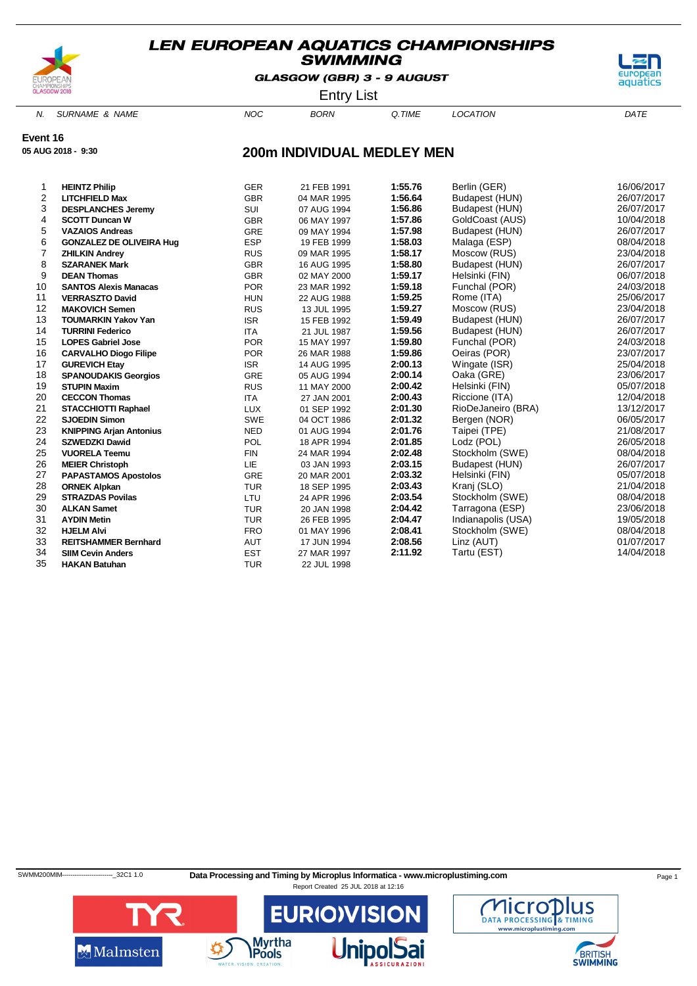

**05 AUG 2018 - 9:30**

### **LEN EUROPEAN AQUATICS CHAMPIONSHIPS SWIMMING**

GLASGOW (GBR) 3 - 9 AUGUST



Entry List

N. SURNAME & NAME  $NOC$  BORN Q.TIME LOCATION DATE

**Event 16**

**200m INDIVIDUAL MEDLEY MEN**

| 1  | <b>HEINTZ Philip</b>            | <b>GER</b> | 21 FEB 1991 | 1:55.76 | Berlin (GER)       | 16/06/2017 |
|----|---------------------------------|------------|-------------|---------|--------------------|------------|
| 2  | <b>LITCHFIELD Max</b>           | <b>GBR</b> | 04 MAR 1995 | 1:56.64 | Budapest (HUN)     | 26/07/2017 |
| 3  | <b>DESPLANCHES Jeremy</b>       | SUI        | 07 AUG 1994 | 1:56.86 | Budapest (HUN)     | 26/07/2017 |
| 4  | <b>SCOTT Duncan W</b>           | <b>GBR</b> | 06 MAY 1997 | 1:57.86 | GoldCoast (AUS)    | 10/04/2018 |
| 5  | <b>VAZAIOS Andreas</b>          | <b>GRE</b> | 09 MAY 1994 | 1:57.98 | Budapest (HUN)     | 26/07/2017 |
| 6  | <b>GONZALEZ DE OLIVEIRA Hug</b> | <b>ESP</b> | 19 FEB 1999 | 1:58.03 | Malaga (ESP)       | 08/04/2018 |
| 7  | <b>ZHILKIN Andrey</b>           | <b>RUS</b> | 09 MAR 1995 | 1:58.17 | Moscow (RUS)       | 23/04/2018 |
| 8  | <b>SZARANEK Mark</b>            | <b>GBR</b> | 16 AUG 1995 | 1:58.80 | Budapest (HUN)     | 26/07/2017 |
| 9  | <b>DEAN Thomas</b>              | <b>GBR</b> | 02 MAY 2000 | 1:59.17 | Helsinki (FIN)     | 06/07/2018 |
| 10 | <b>SANTOS Alexis Manacas</b>    | <b>POR</b> | 23 MAR 1992 | 1:59.18 | Funchal (POR)      | 24/03/2018 |
| 11 | <b>VERRASZTO David</b>          | <b>HUN</b> | 22 AUG 1988 | 1:59.25 | Rome (ITA)         | 25/06/2017 |
| 12 | <b>MAKOVICH Semen</b>           | <b>RUS</b> | 13 JUL 1995 | 1:59.27 | Moscow (RUS)       | 23/04/2018 |
| 13 | <b>TOUMARKIN Yakov Yan</b>      | <b>ISR</b> | 15 FEB 1992 | 1:59.49 | Budapest (HUN)     | 26/07/2017 |
| 14 | <b>TURRINI Federico</b>         | <b>ITA</b> | 21 JUL 1987 | 1:59.56 | Budapest (HUN)     | 26/07/2017 |
| 15 | <b>LOPES Gabriel Jose</b>       | <b>POR</b> | 15 MAY 1997 | 1:59.80 | Funchal (POR)      | 24/03/2018 |
| 16 | <b>CARVALHO Diogo Filipe</b>    | <b>POR</b> | 26 MAR 1988 | 1:59.86 | Oeiras (POR)       | 23/07/2017 |
| 17 | <b>GUREVICH Etay</b>            | <b>ISR</b> | 14 AUG 1995 | 2:00.13 | Wingate (ISR)      | 25/04/2018 |
| 18 | <b>SPANOUDAKIS Georgios</b>     | GRE        | 05 AUG 1994 | 2:00.14 | Oaka (GRE)         | 23/06/2017 |
| 19 | <b>STUPIN Maxim</b>             | <b>RUS</b> | 11 MAY 2000 | 2:00.42 | Helsinki (FIN)     | 05/07/2018 |
| 20 | <b>CECCON Thomas</b>            | <b>ITA</b> | 27 JAN 2001 | 2:00.43 | Riccione (ITA)     | 12/04/2018 |
| 21 | <b>STACCHIOTTI Raphael</b>      | <b>LUX</b> | 01 SEP 1992 | 2:01.30 | RioDeJaneiro (BRA) | 13/12/2017 |
| 22 | <b>SJOEDIN Simon</b>            | <b>SWE</b> | 04 OCT 1986 | 2:01.32 | Bergen (NOR)       | 06/05/2017 |
| 23 | <b>KNIPPING Arjan Antonius</b>  | <b>NED</b> | 01 AUG 1994 | 2:01.76 | Taipei (TPE)       | 21/08/2017 |
| 24 | <b>SZWEDZKI Dawid</b>           | POL        | 18 APR 1994 | 2:01.85 | Lodz (POL)         | 26/05/2018 |
| 25 | <b>VUORELA Teemu</b>            | <b>FIN</b> | 24 MAR 1994 | 2:02.48 | Stockholm (SWE)    | 08/04/2018 |
| 26 | <b>MEIER Christoph</b>          | <b>LIE</b> | 03 JAN 1993 | 2:03.15 | Budapest (HUN)     | 26/07/2017 |
| 27 | <b>PAPASTAMOS Apostolos</b>     | <b>GRE</b> | 20 MAR 2001 | 2:03.32 | Helsinki (FIN)     | 05/07/2018 |
| 28 | <b>ORNEK Alpkan</b>             | <b>TUR</b> | 18 SEP 1995 | 2:03.43 | Kranj (SLO)        | 21/04/2018 |
| 29 | <b>STRAZDAS Povilas</b>         | LTU        | 24 APR 1996 | 2:03.54 | Stockholm (SWE)    | 08/04/2018 |
| 30 | <b>ALKAN Samet</b>              | <b>TUR</b> | 20 JAN 1998 | 2:04.42 | Tarragona (ESP)    | 23/06/2018 |
| 31 | <b>AYDIN Metin</b>              | <b>TUR</b> | 26 FEB 1995 | 2:04.47 | Indianapolis (USA) | 19/05/2018 |
| 32 | <b>HJELM Alvi</b>               | <b>FRO</b> | 01 MAY 1996 | 2:08.41 | Stockholm (SWE)    | 08/04/2018 |
| 33 | <b>REITSHAMMER Bernhard</b>     | AUT        | 17 JUN 1994 | 2:08.56 | Linz (AUT)         | 01/07/2017 |
| 34 | <b>SIIM Cevin Anders</b>        | <b>EST</b> | 27 MAR 1997 | 2:11.92 | Tartu (EST)        | 14/04/2018 |
| 35 | <b>HAKAN Batuhan</b>            | <b>TUR</b> | 22 JUL 1998 |         |                    |            |
|    |                                 |            |             |         |                    |            |

SWMM200MIM--------------------------32C1 1.0 Data Processing and Timing by Microplus Informatica - www.microplustiming.com Page 1



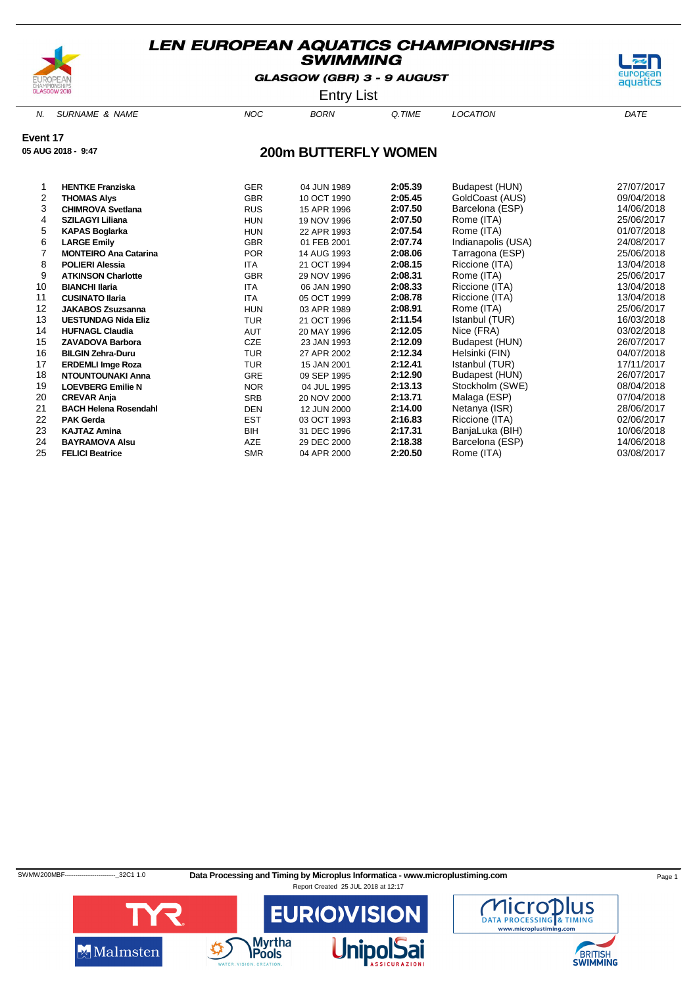

GLASGOW (GBR) 3 - 9 AUGUST



Entry List

N. SURNAME & NAME  $NOC$  BORN Q.TIME LOCATION DATE

**Event 17**

**05 AUG 2018 - 9:47**

### **200m BUTTERFLY WOMEN**

|    | <b>HENTKE Franziska</b>      | <b>GER</b> | 04 JUN 1989 | 2:05.39 | Budapest (HUN)     | 27/07/2017 |
|----|------------------------------|------------|-------------|---------|--------------------|------------|
| 2  | <b>THOMAS Alys</b>           | <b>GBR</b> | 10 OCT 1990 | 2:05.45 | GoldCoast (AUS)    | 09/04/2018 |
| 3  | <b>CHIMROVA Svetlana</b>     | <b>RUS</b> | 15 APR 1996 | 2:07.50 | Barcelona (ESP)    | 14/06/2018 |
| 4  | <b>SZILAGYI Liliana</b>      | <b>HUN</b> | 19 NOV 1996 | 2:07.50 | Rome (ITA)         | 25/06/2017 |
| 5  | <b>KAPAS Boglarka</b>        | <b>HUN</b> | 22 APR 1993 | 2:07.54 | Rome (ITA)         | 01/07/2018 |
| 6  | <b>LARGE Emily</b>           | <b>GBR</b> | 01 FEB 2001 | 2:07.74 | Indianapolis (USA) | 24/08/2017 |
|    | <b>MONTEIRO Ana Catarina</b> | <b>POR</b> | 14 AUG 1993 | 2:08.06 | Tarragona (ESP)    | 25/06/2018 |
| 8  | <b>POLIERI Alessia</b>       | ITA        | 21 OCT 1994 | 2:08.15 | Riccione (ITA)     | 13/04/2018 |
| 9  | <b>ATKINSON Charlotte</b>    | <b>GBR</b> | 29 NOV 1996 | 2:08.31 | Rome (ITA)         | 25/06/2017 |
| 10 | <b>BIANCHI Ilaria</b>        | <b>ITA</b> | 06 JAN 1990 | 2:08.33 | Riccione (ITA)     | 13/04/2018 |
| 11 | <b>CUSINATO Ilaria</b>       | <b>ITA</b> | 05 OCT 1999 | 2:08.78 | Riccione (ITA)     | 13/04/2018 |
| 12 | <b>JAKABOS Zsuzsanna</b>     | <b>HUN</b> | 03 APR 1989 | 2:08.91 | Rome (ITA)         | 25/06/2017 |
| 13 | <b>UESTUNDAG Nida Eliz</b>   | <b>TUR</b> | 21 OCT 1996 | 2:11.54 | Istanbul (TUR)     | 16/03/2018 |
| 14 | <b>HUFNAGL Claudia</b>       | AUT        | 20 MAY 1996 | 2:12.05 | Nice (FRA)         | 03/02/2018 |
| 15 | <b>ZAVADOVA Barbora</b>      | CZE        | 23 JAN 1993 | 2:12.09 | Budapest (HUN)     | 26/07/2017 |
| 16 | <b>BILGIN Zehra-Duru</b>     | <b>TUR</b> | 27 APR 2002 | 2:12.34 | Helsinki (FIN)     | 04/07/2018 |
| 17 | <b>ERDEMLI Imge Roza</b>     | TUR        | 15 JAN 2001 | 2:12.41 | Istanbul (TUR)     | 17/11/2017 |
| 18 | NTOUNTOUNAKI Anna            | <b>GRE</b> | 09 SEP 1995 | 2:12.90 | Budapest (HUN)     | 26/07/2017 |
| 19 | <b>LOEVBERG Emilie N</b>     | NOR.       | 04 JUL 1995 | 2:13.13 | Stockholm (SWE)    | 08/04/2018 |
| 20 | <b>CREVAR Anja</b>           | <b>SRB</b> | 20 NOV 2000 | 2:13.71 | Malaga (ESP)       | 07/04/2018 |
| 21 | <b>BACH Helena Rosendahl</b> | DEN        | 12 JUN 2000 | 2:14.00 | Netanya (ISR)      | 28/06/2017 |
| 22 | <b>PAK Gerda</b>             | <b>EST</b> | 03 OCT 1993 | 2:16.83 | Riccione (ITA)     | 02/06/2017 |
| 23 | <b>KAJTAZ Amina</b>          | BIH        | 31 DEC 1996 | 2:17.31 | BanjaLuka (BIH)    | 10/06/2018 |
| 24 | <b>BAYRAMOVA Alsu</b>        | AZE        | 29 DEC 2000 | 2:18.38 | Barcelona (ESP)    | 14/06/2018 |
| 25 | <b>FELICI Beatrice</b>       | <b>SMR</b> | 04 APR 2000 | 2:20.50 | Rome (ITA)         | 03/08/2017 |

SWMW200MBF------------------------\_32C1 1.0 **Data Processing and Timing by Microplus Informatica - www.microplustiming.com** Page 1



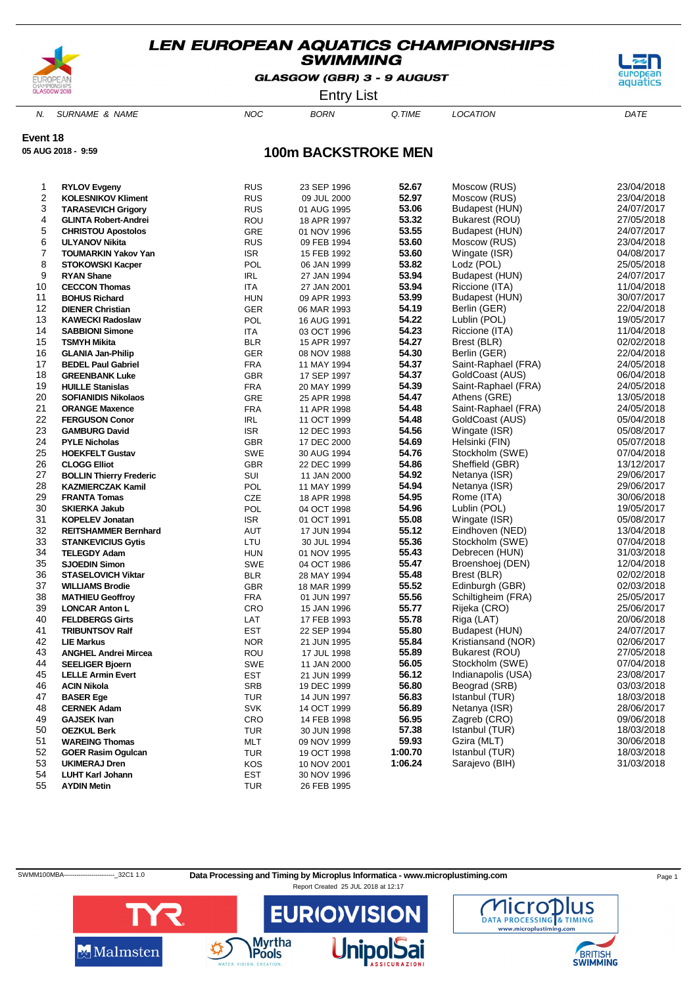

GLASGOW (GBR) 3 - 9 AUGUST



Entry List

N. SURNAME & NAME  $NOC$  BORN Q.TIME LOCATION DATE

**Event 18**

**05 AUG 2018 - 9:59**

### **100m BACKSTROKE MEN**

| 1  | <b>RYLOV Evgeny</b>            | <b>RUS</b> | 23 SEP 1996 | 52.67   | Moscow (RUS)        | 23/04/2018 |
|----|--------------------------------|------------|-------------|---------|---------------------|------------|
| 2  | <b>KOLESNIKOV Kliment</b>      | <b>RUS</b> | 09 JUL 2000 | 52.97   | Moscow (RUS)        | 23/04/2018 |
| 3  | <b>TARASEVICH Grigory</b>      | <b>RUS</b> | 01 AUG 1995 | 53.06   | Budapest (HUN)      | 24/07/2017 |
| 4  | <b>GLINTA Robert-Andrei</b>    | ROU        | 18 APR 1997 | 53.32   | Bukarest (ROU)      | 27/05/2018 |
| 5  | <b>CHRISTOU Apostolos</b>      | GRE        | 01 NOV 1996 | 53.55   | Budapest (HUN)      | 24/07/2017 |
| 6  | <b>ULYANOV Nikita</b>          | <b>RUS</b> | 09 FEB 1994 | 53.60   | Moscow (RUS)        | 23/04/2018 |
| 7  | <b>TOUMARKIN Yakov Yan</b>     | <b>ISR</b> | 15 FEB 1992 | 53.60   | Wingate (ISR)       | 04/08/2017 |
| 8  | <b>STOKOWSKI Kacper</b>        | POL        | 06 JAN 1999 | 53.82   | Lodz (POL)          | 25/05/2018 |
| 9  | <b>RYAN Shane</b>              | IRL        | 27 JAN 1994 | 53.94   | Budapest (HUN)      | 24/07/2017 |
| 10 | <b>CECCON Thomas</b>           | <b>ITA</b> | 27 JAN 2001 | 53.94   | Riccione (ITA)      | 11/04/2018 |
| 11 | <b>BOHUS Richard</b>           | <b>HUN</b> | 09 APR 1993 | 53.99   | Budapest (HUN)      | 30/07/2017 |
| 12 | <b>DIENER Christian</b>        | <b>GER</b> | 06 MAR 1993 | 54.19   | Berlin (GER)        | 22/04/2018 |
| 13 | <b>KAWECKI Radoslaw</b>        | POL        | 16 AUG 1991 | 54.22   | Lublin (POL)        | 19/05/2017 |
| 14 | <b>SABBIONI Simone</b>         | <b>ITA</b> | 03 OCT 1996 | 54.23   | Riccione (ITA)      | 11/04/2018 |
| 15 | <b>TSMYH Mikita</b>            | <b>BLR</b> | 15 APR 1997 | 54.27   | Brest (BLR)         | 02/02/2018 |
| 16 | <b>GLANIA Jan-Philip</b>       | <b>GER</b> | 08 NOV 1988 | 54.30   | Berlin (GER)        | 22/04/2018 |
| 17 | <b>BEDEL Paul Gabriel</b>      | <b>FRA</b> | 11 MAY 1994 | 54.37   | Saint-Raphael (FRA) | 24/05/2018 |
| 18 | <b>GREENBANK Luke</b>          | <b>GBR</b> | 17 SEP 1997 | 54.37   | GoldCoast (AUS)     | 06/04/2018 |
| 19 | <b>HUILLE Stanislas</b>        | <b>FRA</b> | 20 MAY 1999 | 54.39   | Saint-Raphael (FRA) | 24/05/2018 |
| 20 | <b>SOFIANIDIS Nikolaos</b>     | GRE        | 25 APR 1998 | 54.47   | Athens (GRE)        | 13/05/2018 |
| 21 | <b>ORANGE Maxence</b>          | <b>FRA</b> | 11 APR 1998 | 54.48   | Saint-Raphael (FRA) | 24/05/2018 |
| 22 | <b>FERGUSON Conor</b>          | IRL        | 11 OCT 1999 | 54.48   | GoldCoast (AUS)     | 05/04/2018 |
| 23 | <b>GAMBURG David</b>           | <b>ISR</b> | 12 DEC 1993 | 54.56   | Wingate (ISR)       | 05/08/2017 |
| 24 | <b>PYLE Nicholas</b>           | <b>GBR</b> | 17 DEC 2000 | 54.69   | Helsinki (FIN)      | 05/07/2018 |
| 25 | <b>HOEKFELT Gustav</b>         | <b>SWE</b> | 30 AUG 1994 | 54.76   | Stockholm (SWE)     | 07/04/2018 |
| 26 | <b>CLOGG Elliot</b>            | <b>GBR</b> | 22 DEC 1999 | 54.86   | Sheffield (GBR)     | 13/12/2017 |
| 27 | <b>BOLLIN Thierry Frederic</b> | SUI        | 11 JAN 2000 | 54.92   | Netanya (ISR)       | 29/06/2017 |
| 28 | <b>KAZMIERCZAK Kamil</b>       | POL        | 11 MAY 1999 | 54.94   | Netanya (ISR)       | 29/06/2017 |
| 29 | <b>FRANTA Tomas</b>            | CZE        | 18 APR 1998 | 54.95   | Rome (ITA)          | 30/06/2018 |
| 30 | <b>SKIERKA Jakub</b>           | POL        | 04 OCT 1998 | 54.96   | Lublin (POL)        | 19/05/2017 |
| 31 | <b>KOPELEV Jonatan</b>         | <b>ISR</b> | 01 OCT 1991 | 55.08   | Wingate (ISR)       | 05/08/2017 |
| 32 | <b>REITSHAMMER Bernhard</b>    | AUT        | 17 JUN 1994 | 55.12   | Eindhoven (NED)     | 13/04/2018 |
| 33 | <b>STANKEVICIUS Gytis</b>      | LTU        | 30 JUL 1994 | 55.36   | Stockholm (SWE)     | 07/04/2018 |
| 34 | <b>TELEGDY Adam</b>            | <b>HUN</b> | 01 NOV 1995 | 55.43   | Debrecen (HUN)      | 31/03/2018 |
| 35 | <b>SJOEDIN Simon</b>           | SWE        | 04 OCT 1986 | 55.47   | Broenshoej (DEN)    | 12/04/2018 |
| 36 | <b>STASELOVICH Viktar</b>      | <b>BLR</b> | 28 MAY 1994 | 55.48   | Brest (BLR)         | 02/02/2018 |
| 37 | <b>WILLIAMS Brodie</b>         | <b>GBR</b> | 18 MAR 1999 | 55.52   | Edinburgh (GBR)     | 02/03/2018 |
| 38 | <b>MATHIEU Geoffroy</b>        | <b>FRA</b> | 01 JUN 1997 | 55.56   | Schiltigheim (FRA)  | 25/05/2017 |
| 39 | <b>LONCAR Anton L</b>          | CRO        | 15 JAN 1996 | 55.77   | Rijeka (CRO)        | 25/06/2017 |
| 40 | <b>FELDBERGS Girts</b>         | LAT        | 17 FEB 1993 | 55.78   | Riga (LAT)          | 20/06/2018 |
| 41 | <b>TRIBUNTSOV Ralf</b>         | EST        | 22 SEP 1994 | 55.80   | Budapest (HUN)      | 24/07/2017 |
| 42 | <b>LIE Markus</b>              | <b>NOR</b> | 21 JUN 1995 | 55.84   | Kristiansand (NOR)  | 02/06/2017 |
| 43 | <b>ANGHEL Andrei Mircea</b>    | ROU        | 17 JUL 1998 | 55.89   | Bukarest (ROU)      | 27/05/2018 |
| 44 | <b>SEELIGER Bjoern</b>         | SWE        | 11 JAN 2000 | 56.05   | Stockholm (SWE)     | 07/04/2018 |
| 45 | <b>LELLE Armin Evert</b>       | EST        | 21 JUN 1999 | 56.12   | Indianapolis (USA)  | 23/08/2017 |
| 46 | <b>ACIN Nikola</b>             | <b>SRB</b> | 19 DEC 1999 | 56.80   | Beograd (SRB)       | 03/03/2018 |
| 47 | <b>BASER Ege</b>               | <b>TUR</b> | 14 JUN 1997 | 56.83   | Istanbul (TUR)      | 18/03/2018 |
| 48 | <b>CERNEK Adam</b>             | <b>SVK</b> | 14 OCT 1999 | 56.89   | Netanya (ISR)       | 28/06/2017 |
| 49 | <b>GAJSEK Ivan</b>             | CRO        | 14 FEB 1998 | 56.95   | Zagreb (CRO)        | 09/06/2018 |
| 50 | <b>OEZKUL Berk</b>             | TUR        | 30 JUN 1998 | 57.38   | Istanbul (TUR)      | 18/03/2018 |
| 51 | <b>WAREING Thomas</b>          | MLT        | 09 NOV 1999 | 59.93   | Gzira (MLT)         | 30/06/2018 |
| 52 | <b>GOER Rasim Ogulcan</b>      | TUR        | 19 OCT 1998 | 1:00.70 | Istanbul (TUR)      | 18/03/2018 |
| 53 | <b>UKIMERAJ Dren</b>           | KOS        | 10 NOV 2001 | 1:06.24 | Sarajevo (BIH)      | 31/03/2018 |
| 54 | <b>LUHT Karl Johann</b>        | EST        | 30 NOV 1996 |         |                     |            |
| 55 | <b>AYDIN Metin</b>             | TUR        | 26 FEB 1995 |         |                     |            |
|    |                                |            |             |         |                     |            |

SWMM100MBA----------------------------32C1 1.0 Data Processing and Timing by Microplus Informatica - www.microplustiming.com Page 1

Report Created 25 JUL 2018 at 12:17



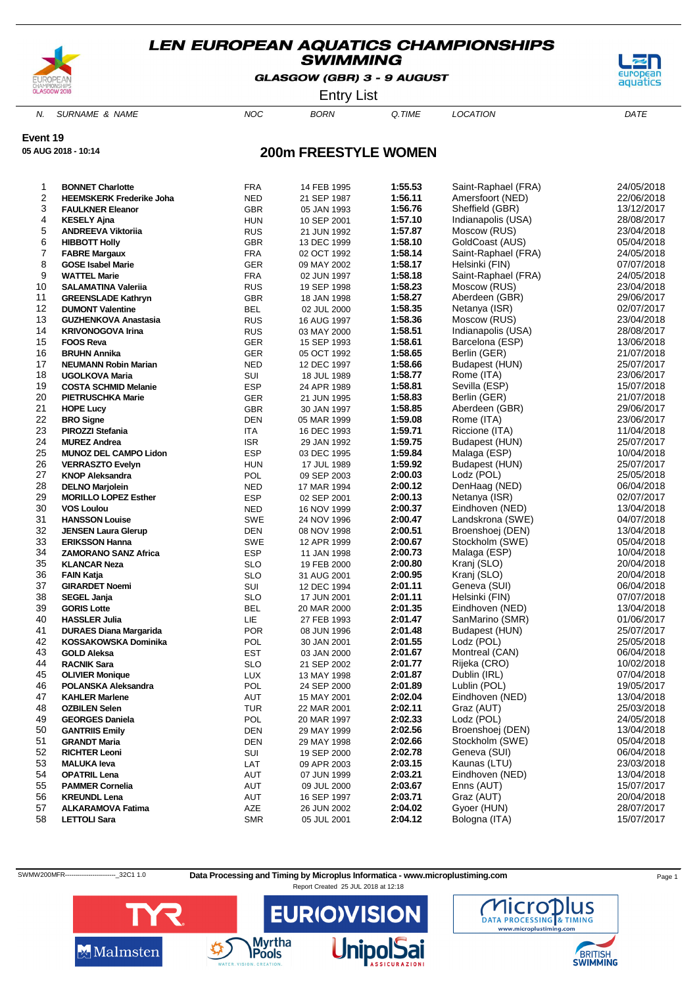

GLASGOW (GBR) 3 - 9 AUGUST



Entry List

N. SURNAME & NAME  $NOC$  BORN Q.TIME LOCATION DATE

### **Event 19**

**05 AUG 2018 - 10:14**

### **200m FREESTYLE WOMEN**

| 1  | <b>BONNET Charlotte</b>         | <b>FRA</b> | 14 FEB 1995 | 1:55.53 | Saint-Raphael (FRA) | 24/05/2018 |
|----|---------------------------------|------------|-------------|---------|---------------------|------------|
| 2  | <b>HEEMSKERK Frederike Joha</b> | <b>NED</b> | 21 SEP 1987 | 1:56.11 | Amersfoort (NED)    | 22/06/2018 |
| 3  | <b>FAULKNER Eleanor</b>         | <b>GBR</b> | 05 JAN 1993 | 1:56.76 | Sheffield (GBR)     | 13/12/2017 |
| 4  | <b>KESELY Ajna</b>              | <b>HUN</b> | 10 SEP 2001 | 1:57.10 | Indianapolis (USA)  | 28/08/2017 |
| 5  | <b>ANDREEVA Viktoriia</b>       | <b>RUS</b> | 21 JUN 1992 | 1:57.87 | Moscow (RUS)        | 23/04/2018 |
| 6  | <b>HIBBOTT Holly</b>            | <b>GBR</b> | 13 DEC 1999 | 1:58.10 | GoldCoast (AUS)     | 05/04/2018 |
| 7  | <b>FABRE Margaux</b>            | <b>FRA</b> | 02 OCT 1992 | 1:58.14 | Saint-Raphael (FRA) | 24/05/2018 |
| 8  | <b>GOSE Isabel Marie</b>        | GER        | 09 MAY 2002 | 1:58.17 | Helsinki (FIN)      | 07/07/2018 |
| 9  | <b>WATTEL Marie</b>             | FRA        | 02 JUN 1997 | 1:58.18 | Saint-Raphael (FRA) | 24/05/2018 |
| 10 | <b>SALAMATINA Valeriia</b>      | <b>RUS</b> | 19 SEP 1998 | 1:58.23 | Moscow (RUS)        | 23/04/2018 |
| 11 | <b>GREENSLADE Kathryn</b>       | <b>GBR</b> | 18 JAN 1998 | 1:58.27 | Aberdeen (GBR)      | 29/06/2017 |
| 12 | <b>DUMONT Valentine</b>         | <b>BEL</b> | 02 JUL 2000 | 1:58.35 | Netanya (ISR)       | 02/07/2017 |
| 13 | <b>GUZHENKOVA Anastasia</b>     | <b>RUS</b> | 16 AUG 1997 | 1:58.36 | Moscow (RUS)        | 23/04/2018 |
| 14 | <b>KRIVONOGOVA Irina</b>        | <b>RUS</b> | 03 MAY 2000 | 1:58.51 | Indianapolis (USA)  | 28/08/2017 |
| 15 | <b>FOOS Reva</b>                | GER        | 15 SEP 1993 | 1:58.61 | Barcelona (ESP)     | 13/06/2018 |
| 16 | <b>BRUHN Annika</b>             | GER        | 05 OCT 1992 | 1:58.65 | Berlin (GER)        | 21/07/2018 |
| 17 | <b>NEUMANN Robin Marian</b>     | <b>NED</b> | 12 DEC 1997 | 1:58.66 | Budapest (HUN)      | 25/07/2017 |
| 18 | <b>UGOLKOVA Maria</b>           | SUI        | 18 JUL 1989 | 1:58.77 | Rome (ITA)          | 23/06/2017 |
| 19 | <b>COSTA SCHMID Melanie</b>     | <b>ESP</b> | 24 APR 1989 | 1:58.81 | Sevilla (ESP)       | 15/07/2018 |
| 20 | <b>PIETRUSCHKA Marie</b>        | <b>GER</b> | 21 JUN 1995 | 1:58.83 | Berlin (GER)        | 21/07/2018 |
| 21 | <b>HOPE Lucy</b>                | <b>GBR</b> | 30 JAN 1997 | 1:58.85 | Aberdeen (GBR)      | 29/06/2017 |
| 22 | <b>BRO Signe</b>                | DEN        | 05 MAR 1999 | 1:59.08 | Rome (ITA)          | 23/06/2017 |
| 23 | <b>PIROZZI Stefania</b>         | <b>ITA</b> | 16 DEC 1993 | 1:59.71 | Riccione (ITA)      | 11/04/2018 |
| 24 | <b>MUREZ Andrea</b>             | <b>ISR</b> | 29 JAN 1992 | 1:59.75 | Budapest (HUN)      | 25/07/2017 |
| 25 | <b>MUNOZ DEL CAMPO Lidon</b>    | <b>ESP</b> | 03 DEC 1995 | 1:59.84 | Malaga (ESP)        | 10/04/2018 |
| 26 | <b>VERRASZTO Evelyn</b>         | <b>HUN</b> | 17 JUL 1989 | 1:59.92 | Budapest (HUN)      | 25/07/2017 |
| 27 | <b>KNOP Aleksandra</b>          | POL        | 09 SEP 2003 | 2:00.03 | Lodz (POL)          | 25/05/2018 |
| 28 | <b>DELNO Marjolein</b>          | <b>NED</b> | 17 MAR 1994 | 2:00.12 | DenHaag (NED)       | 06/04/2018 |
| 29 | <b>MORILLO LOPEZ Esther</b>     | <b>ESP</b> | 02 SEP 2001 | 2:00.13 | Netanya (ISR)       | 02/07/2017 |
| 30 | <b>VOS Loulou</b>               | <b>NED</b> | 16 NOV 1999 | 2:00.37 | Eindhoven (NED)     | 13/04/2018 |
| 31 | <b>HANSSON Louise</b>           | SWE        | 24 NOV 1996 | 2:00.47 | Landskrona (SWE)    | 04/07/2018 |
| 32 | <b>JENSEN Laura Glerup</b>      | DEN        | 08 NOV 1998 | 2:00.51 | Broenshoej (DEN)    | 13/04/2018 |
| 33 | <b>ERIKSSON Hanna</b>           | <b>SWE</b> | 12 APR 1999 | 2:00.67 | Stockholm (SWE)     | 05/04/2018 |
| 34 | <b>ZAMORANO SANZ Africa</b>     | <b>ESP</b> | 11 JAN 1998 | 2:00.73 | Malaga (ESP)        | 10/04/2018 |
| 35 | <b>KLANCAR Neza</b>             | <b>SLO</b> | 19 FEB 2000 | 2:00.80 | Kranj (SLO)         | 20/04/2018 |
| 36 | <b>FAIN Katja</b>               | <b>SLO</b> | 31 AUG 2001 | 2:00.95 | Kranj (SLO)         | 20/04/2018 |
| 37 | <b>GIRARDET Noemi</b>           | SUI        | 12 DEC 1994 | 2:01.11 | Geneva (SUI)        | 06/04/2018 |
| 38 | SEGEL Janja                     | <b>SLO</b> | 17 JUN 2001 | 2:01.11 | Helsinki (FIN)      | 07/07/2018 |
| 39 | <b>GORIS Lotte</b>              | <b>BEL</b> | 20 MAR 2000 | 2:01.35 | Eindhoven (NED)     | 13/04/2018 |
| 40 | <b>HASSLER Julia</b>            | LIE        | 27 FEB 1993 | 2:01.47 | SanMarino (SMR)     | 01/06/2017 |
| 41 | <b>DURAES Diana Margarida</b>   | <b>POR</b> | 08 JUN 1996 | 2:01.48 | Budapest (HUN)      | 25/07/2017 |
| 42 | KOSSAKOWSKA Dominika            | POL        | 30 JAN 2001 | 2:01.55 | Lodz (POL)          | 25/05/2018 |
| 43 | <b>GOLD Aleksa</b>              | EST        | 03 JAN 2000 | 2:01.67 | Montreal (CAN)      | 06/04/2018 |
| 44 | <b>RACNIK Sara</b>              | <b>SLO</b> | 21 SEP 2002 | 2:01.77 | Rijeka (CRO)        | 10/02/2018 |
| 45 | <b>OLIVIER Monique</b>          | <b>LUX</b> | 13 MAY 1998 | 2:01.87 | Dublin (IRL)        | 07/04/2018 |
| 46 | POLANSKA Aleksandra             | POL        | 24 SEP 2000 | 2:01.89 | Lublin (POL)        | 19/05/2017 |
| 47 | <b>KAHLER Marlene</b>           | AUT        | 15 MAY 2001 | 2:02.04 | Eindhoven (NED)     | 13/04/2018 |
| 48 | <b>OZBILEN Selen</b>            | <b>IUR</b> | 22 MAR 2001 | 2:02.11 | Graz (AUT)          | 25/03/2018 |
| 49 | <b>GEORGES Daniela</b>          | POL        | 20 MAR 1997 | 2:02.33 | Lodz (POL)          | 24/05/2018 |
| 50 | <b>GANTRIIS Emily</b>           | <b>DEN</b> | 29 MAY 1999 | 2:02.56 | Broenshoej (DEN)    | 13/04/2018 |
| 51 | <b>GRANDT Maria</b>             | <b>DEN</b> | 29 MAY 1998 | 2:02.66 | Stockholm (SWE)     | 05/04/2018 |
| 52 | <b>RICHTER Leoni</b>            | SUI        | 19 SEP 2000 | 2:02.78 | Geneva (SUI)        | 06/04/2018 |
| 53 | <b>MALUKA leva</b>              | LAT        | 09 APR 2003 | 2:03.15 | Kaunas (LTU)        | 23/03/2018 |
| 54 | <b>OPATRIL Lena</b>             | AUT        | 07 JUN 1999 | 2:03.21 | Eindhoven (NED)     | 13/04/2018 |
| 55 | <b>PAMMER Cornelia</b>          | AUT        | 09 JUL 2000 | 2:03.67 | Enns (AUT)          | 15/07/2017 |
| 56 | <b>KREUNDL Lena</b>             | AUT        | 16 SEP 1997 | 2:03.71 | Graz (AUT)          | 20/04/2018 |
| 57 | <b>ALKARAMOVA Fatima</b>        | AZE        | 26 JUN 2002 | 2:04.02 | Gyoer (HUN)         | 28/07/2017 |
| 58 | <b>LETTOLI Sara</b>             | <b>SMR</b> | 05 JUL 2001 | 2:04.12 | Bologna (ITA)       | 15/07/2017 |
|    |                                 |            |             |         |                     |            |

SWMW200MFR-----------------------------32C1 1.0 Data Processing and Timing by Microplus Informatica - www.microplustiming.com Page 1





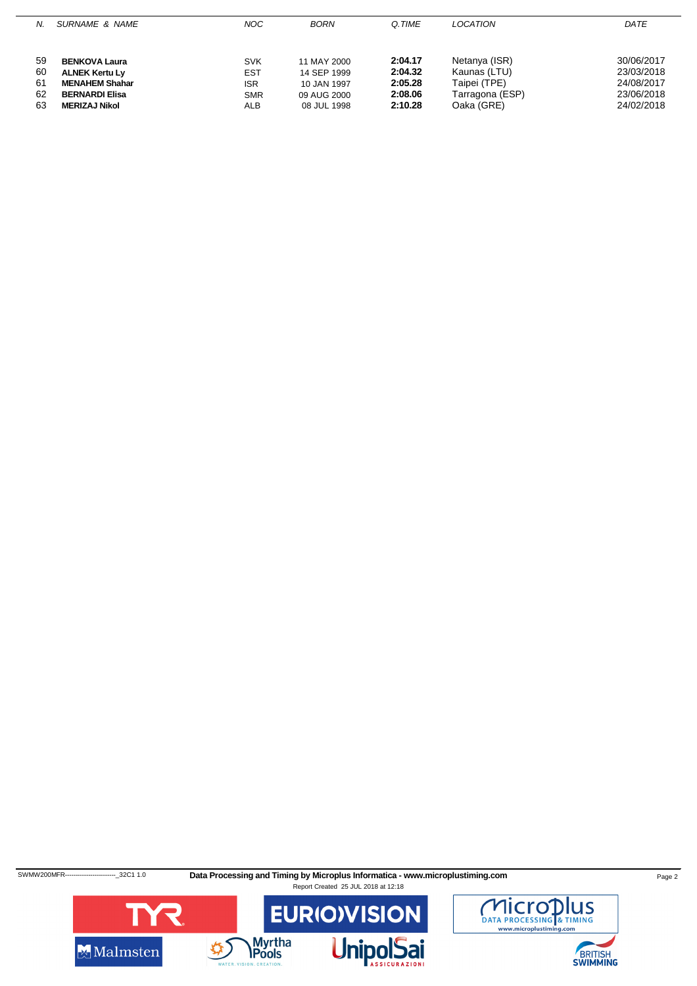| SURNAME & NAME<br>N.                                                                                                                                  | NOC.                                                               | <b>BORN</b>                                                             | Q.TIME                                              | <b>LOCATION</b>                                                                | DATE                                                               |
|-------------------------------------------------------------------------------------------------------------------------------------------------------|--------------------------------------------------------------------|-------------------------------------------------------------------------|-----------------------------------------------------|--------------------------------------------------------------------------------|--------------------------------------------------------------------|
| 59<br><b>BENKOVA Laura</b><br>60<br><b>ALNEK Kertu Ly</b><br>61<br><b>MENAHEM Shahar</b><br>62<br><b>BERNARDI Elisa</b><br>63<br><b>MERIZAJ Nikol</b> | <b>SVK</b><br><b>EST</b><br><b>ISR</b><br><b>SMR</b><br><b>ALB</b> | 11 MAY 2000<br>14 SEP 1999<br>10 JAN 1997<br>09 AUG 2000<br>08 JUL 1998 | 2:04.17<br>2:04.32<br>2:05.28<br>2:08.06<br>2:10.28 | Netanya (ISR)<br>Kaunas (LTU)<br>Taipei (TPE)<br>Tarragona (ESP)<br>Oaka (GRE) | 30/06/2017<br>23/03/2018<br>24/08/2017<br>23/06/2018<br>24/02/2018 |

SWMW200MFR-----------------------<sub>-</sub>32C1 1.0 **Data Processing and Timing by Microplus Informatica - www.microplustiming.com Page 2** 



BRITISH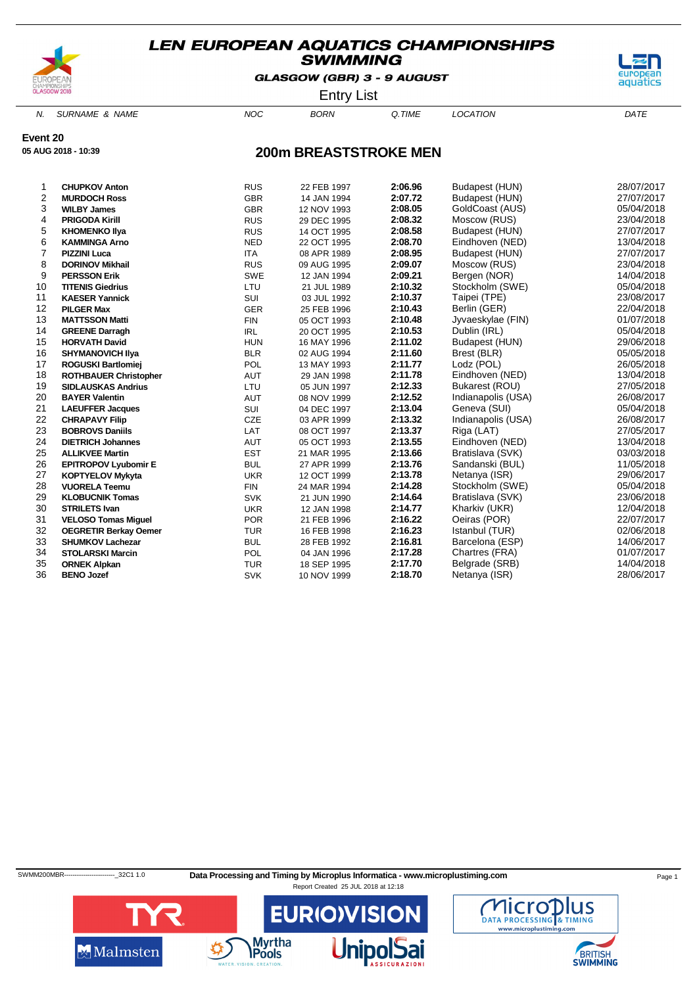

GLASGOW (GBR) 3 - 9 AUGUST



Entry List

N. SURNAME & NAME  $NOC$  BORN Q.TIME LOCATION DATE

**Event 20**

**05 AUG 2018 - 10:39**

### **200m BREASTSTROKE MEN**

| 1              | <b>CHUPKOV Anton</b>         | <b>RUS</b> | 22 FEB 1997 | 2:06.96 | Budapest (HUN)     | 28/07/2017 |
|----------------|------------------------------|------------|-------------|---------|--------------------|------------|
| $\overline{c}$ | <b>MURDOCH Ross</b>          | <b>GBR</b> | 14 JAN 1994 | 2:07.72 | Budapest (HUN)     | 27/07/2017 |
| 3              | <b>WILBY James</b>           | <b>GBR</b> | 12 NOV 1993 | 2:08.05 | GoldCoast (AUS)    | 05/04/2018 |
| 4              | <b>PRIGODA Kirill</b>        | <b>RUS</b> | 29 DEC 1995 | 2:08.32 | Moscow (RUS)       | 23/04/2018 |
| 5              | <b>KHOMENKO Ilya</b>         | <b>RUS</b> | 14 OCT 1995 | 2:08.58 | Budapest (HUN)     | 27/07/2017 |
| 6              | <b>KAMMINGA Arno</b>         | <b>NED</b> | 22 OCT 1995 | 2:08.70 | Eindhoven (NED)    | 13/04/2018 |
| $\overline{7}$ | <b>PIZZINI Luca</b>          | <b>ITA</b> | 08 APR 1989 | 2:08.95 | Budapest (HUN)     | 27/07/2017 |
| 8              | <b>DORINOV Mikhail</b>       | <b>RUS</b> | 09 AUG 1995 | 2:09.07 | Moscow (RUS)       | 23/04/2018 |
| 9              | <b>PERSSON Erik</b>          | <b>SWE</b> | 12 JAN 1994 | 2:09.21 | Bergen (NOR)       | 14/04/2018 |
| 10             | <b>TITENIS Giedrius</b>      | LTU        | 21 JUL 1989 | 2:10.32 | Stockholm (SWE)    | 05/04/2018 |
| 11             | <b>KAESER Yannick</b>        | SUI        | 03 JUL 1992 | 2:10.37 | Taipei (TPE)       | 23/08/2017 |
| 12             | <b>PILGER Max</b>            | <b>GER</b> | 25 FEB 1996 | 2:10.43 | Berlin (GER)       | 22/04/2018 |
| 13             | <b>MATTSSON Matti</b>        | <b>FIN</b> | 05 OCT 1993 | 2:10.48 | Jyvaeskylae (FIN)  | 01/07/2018 |
| 14             | <b>GREENE Darragh</b>        | <b>IRL</b> | 20 OCT 1995 | 2:10.53 | Dublin (IRL)       | 05/04/2018 |
| 15             | <b>HORVATH David</b>         | <b>HUN</b> | 16 MAY 1996 | 2:11.02 | Budapest (HUN)     | 29/06/2018 |
| 16             | <b>SHYMANOVICH IIya</b>      | <b>BLR</b> | 02 AUG 1994 | 2:11.60 | Brest (BLR)        | 05/05/2018 |
| 17             | <b>ROGUSKI Bartlomiej</b>    | POL        | 13 MAY 1993 | 2:11.77 | Lodz (POL)         | 26/05/2018 |
| 18             | <b>ROTHBAUER Christopher</b> | <b>AUT</b> | 29 JAN 1998 | 2:11.78 | Eindhoven (NED)    | 13/04/2018 |
| 19             | <b>SIDLAUSKAS Andrius</b>    | LTU        | 05 JUN 1997 | 2:12.33 | Bukarest (ROU)     | 27/05/2018 |
| 20             | <b>BAYER Valentin</b>        | AUT        | 08 NOV 1999 | 2:12.52 | Indianapolis (USA) | 26/08/2017 |
| 21             | <b>LAEUFFER Jacques</b>      | SUI        | 04 DEC 1997 | 2:13.04 | Geneva (SUI)       | 05/04/2018 |
| 22             | <b>CHRAPAVY Filip</b>        | CZE        | 03 APR 1999 | 2:13.32 | Indianapolis (USA) | 26/08/2017 |
| 23             | <b>BOBROVS Daniils</b>       | LAT        | 08 OCT 1997 | 2:13.37 | Riga (LAT)         | 27/05/2017 |
| 24             | <b>DIETRICH Johannes</b>     | <b>AUT</b> | 05 OCT 1993 | 2:13.55 | Eindhoven (NED)    | 13/04/2018 |
| 25             | <b>ALLIKVEE Martin</b>       | <b>EST</b> | 21 MAR 1995 | 2:13.66 | Bratislava (SVK)   | 03/03/2018 |
| 26             | <b>EPITROPOV Lyubomir E</b>  | <b>BUL</b> | 27 APR 1999 | 2:13.76 | Sandanski (BUL)    | 11/05/2018 |
| 27             | <b>KOPTYELOV Mykyta</b>      | <b>UKR</b> | 12 OCT 1999 | 2:13.78 | Netanya (ISR)      | 29/06/2017 |
| 28             | <b>VUORELA Teemu</b>         | <b>FIN</b> | 24 MAR 1994 | 2:14.28 | Stockholm (SWE)    | 05/04/2018 |
| 29             | <b>KLOBUCNIK Tomas</b>       | <b>SVK</b> | 21 JUN 1990 | 2:14.64 | Bratislava (SVK)   | 23/06/2018 |
| 30             | <b>STRILETS Ivan</b>         | <b>UKR</b> | 12 JAN 1998 | 2:14.77 | Kharkiv (UKR)      | 12/04/2018 |
| 31             | <b>VELOSO Tomas Miquel</b>   | <b>POR</b> | 21 FEB 1996 | 2:16.22 | Oeiras (POR)       | 22/07/2017 |
| 32             | <b>OEGRETIR Berkay Oemer</b> | <b>TUR</b> | 16 FEB 1998 | 2:16.23 | Istanbul (TUR)     | 02/06/2018 |
| 33             | <b>SHUMKOV Lachezar</b>      | <b>BUL</b> | 28 FEB 1992 | 2:16.81 | Barcelona (ESP)    | 14/06/2017 |
| 34             | <b>STOLARSKI Marcin</b>      | POL        | 04 JAN 1996 | 2:17.28 | Chartres (FRA)     | 01/07/2017 |
| 35             | <b>ORNEK Alpkan</b>          | <b>TUR</b> | 18 SEP 1995 | 2:17.70 | Belgrade (SRB)     | 14/04/2018 |
| 36             | <b>BENO Jozef</b>            | <b>SVK</b> | 10 NOV 1999 | 2:18.70 | Netanya (ISR)      | 28/06/2017 |
|                |                              |            |             |         |                    |            |

SWMM200MBR----------------------------32C1 1.0 Data Processing and Timing by Microplus Informatica - www.microplustiming.com Page 1



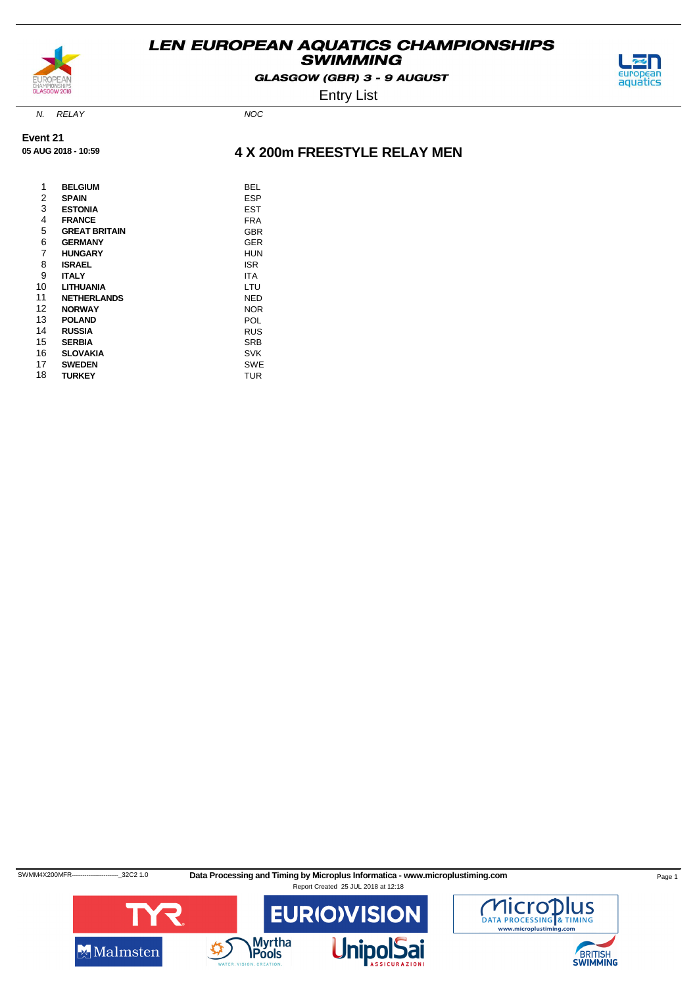

GLASGOW (GBR) 3 - 9 AUGUST



Entry List

N. RELAY NOC

**Event 21 05 AUG 2018 - 10:59**

### **4 X 200m FREESTYLE RELAY MEN**

| 1  | <b>BELGIUM</b>       | BEL        |
|----|----------------------|------------|
| 2  | <b>SPAIN</b>         | ESP        |
| 3  | <b>ESTONIA</b>       | EST        |
| 4  | <b>FRANCE</b>        | FRA        |
| 5  | <b>GREAT BRITAIN</b> | <b>GBR</b> |
| 6  | <b>GERMANY</b>       | GER        |
| 7  | <b>HUNGARY</b>       | HUN        |
| 8  | <b>ISRAEL</b>        | ISR        |
| 9  | <b>ITALY</b>         | ITA        |
| 10 | <b>LITHUANIA</b>     | LTU        |
| 11 | <b>NETHERLANDS</b>   | NED        |
| 12 | <b>NORWAY</b>        | <b>NOR</b> |
| 13 | <b>POLAND</b>        | POL        |
| 14 | <b>RUSSIA</b>        | <b>RUS</b> |
| 15 | <b>SERBIA</b>        | <b>SRB</b> |
| 16 | <b>SLOVAKIA</b>      | SVK        |
| 17 | <b>SWEDEN</b>        | SWE        |
| 18 | <b>TURKEY</b>        | TUR        |

SWMM4X200MFR-------------------------32C2 1.0 Data Processing and Timing by Microplus Informatica - www.microplustiming.com Page 1 Report Created 25 JUL 2018 at 12:18



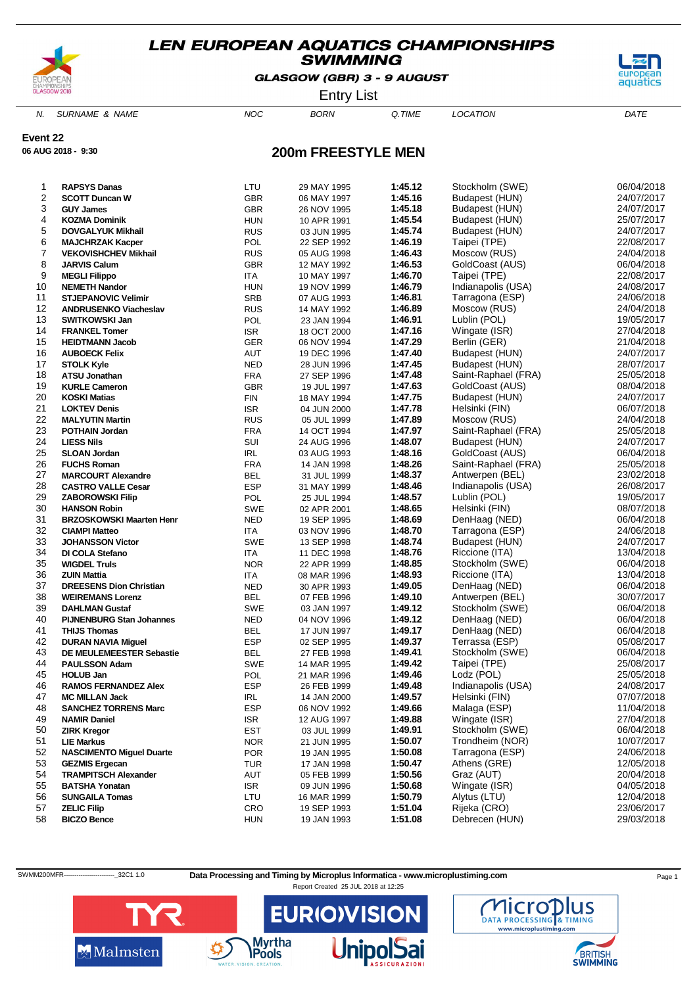

GLASGOW (GBR) 3 - 9 AUGUST



Entry List

N. SURNAME & NAME  $NOC$  BORN Q.TIME LOCATION DATE

**Event 22**

**06 AUG 2018 - 9:30**

# **RAPSYS Danas** LTU 29 MAY 1995 **1:45.12** Stockholm (SWE) 06/04/2018

**200m FREESTYLE MEN**

| 2        | <b>SCOTT Duncan W</b>                    | <b>GBR</b> | 06 MAY 1997 | 1:45.16            | Budapest (HUN)               | 24/07/2017               |
|----------|------------------------------------------|------------|-------------|--------------------|------------------------------|--------------------------|
| 3        | <b>GUY James</b>                         | <b>GBR</b> | 26 NOV 1995 | 1:45.18            | <b>Budapest (HUN)</b>        | 24/07/2017               |
| 4        | <b>KOZMA Dominik</b>                     | <b>HUN</b> | 10 APR 1991 | 1:45.54            | Budapest (HUN)               | 25/07/2017               |
| 5        | <b>DOVGALYUK Mikhail</b>                 | <b>RUS</b> | 03 JUN 1995 | 1:45.74            | Budapest (HUN)               | 24/07/2017               |
| 6        | <b>MAJCHRZAK Kacper</b>                  | POL        | 22 SEP 1992 | 1:46.19            | Taipei (TPE)                 | 22/08/2017               |
| 7        | <b>VEKOVISHCHEV Mikhail</b>              | <b>RUS</b> | 05 AUG 1998 | 1:46.43            | Moscow (RUS)                 | 24/04/2018               |
| 8        | <b>JARVIS Calum</b>                      | <b>GBR</b> | 12 MAY 1992 | 1:46.53            | GoldCoast (AUS)              | 06/04/2018               |
| 9        | <b>MEGLI Filippo</b>                     | ITA        | 10 MAY 1997 | 1:46.70            | Taipei (TPE)                 | 22/08/2017               |
| 10       | <b>NEMETH Nandor</b>                     | <b>HUN</b> | 19 NOV 1999 | 1:46.79            | Indianapolis (USA)           | 24/08/2017               |
| 11       | <b>STJEPANOVIC Velimir</b>               | SRB        | 07 AUG 1993 | 1:46.81            | Tarragona (ESP)              | 24/06/2018               |
| 12       | <b>ANDRUSENKO Viacheslav</b>             | <b>RUS</b> | 14 MAY 1992 | 1:46.89            | Moscow (RUS)                 | 24/04/2018               |
| 13       | <b>SWITKOWSKI Jan</b>                    | POL        | 23 JAN 1994 | 1:46.91            | Lublin (POL)                 | 19/05/2017               |
| 14       | <b>FRANKEL Tomer</b>                     | <b>ISR</b> | 18 OCT 2000 | 1:47.16            | Wingate (ISR)                | 27/04/2018               |
| 15       | <b>HEIDTMANN Jacob</b>                   | GER        | 06 NOV 1994 | 1:47.29            | Berlin (GER)                 | 21/04/2018               |
| 16       | <b>AUBOECK Felix</b>                     | AUT        | 19 DEC 1996 | 1:47.40            | Budapest (HUN)               | 24/07/2017               |
| 17       | <b>STOLK Kyle</b>                        | <b>NED</b> | 28 JUN 1996 | 1:47.45            | Budapest (HUN)               | 28/07/2017               |
| 18       | <b>ATSU Jonathan</b>                     | <b>FRA</b> | 27 SEP 1996 | 1:47.48            | Saint-Raphael (FRA)          | 25/05/2018               |
| 19       | <b>KURLE Cameron</b>                     | <b>GBR</b> | 19 JUL 1997 | 1:47.63            | GoldCoast (AUS)              | 08/04/2018               |
| 20       | <b>KOSKI Matias</b>                      | <b>FIN</b> | 18 MAY 1994 | 1:47.75            | Budapest (HUN)               | 24/07/2017               |
| 21       | <b>LOKTEV Denis</b>                      | <b>ISR</b> | 04 JUN 2000 | 1:47.78            | Helsinki (FIN)               | 06/07/2018               |
| 22       | <b>MALYUTIN Martin</b>                   | <b>RUS</b> | 05 JUL 1999 | 1:47.89            | Moscow (RUS)                 | 24/04/2018               |
| 23       | <b>POTHAIN Jordan</b>                    | <b>FRA</b> | 14 OCT 1994 | 1:47.97            | Saint-Raphael (FRA)          | 25/05/2018               |
| 24       | <b>LIESS Nils</b>                        | SUI        | 24 AUG 1996 | 1:48.07            | Budapest (HUN)               | 24/07/2017               |
| 25       | <b>SLOAN Jordan</b>                      | IRL        | 03 AUG 1993 | 1:48.16            | GoldCoast (AUS)              | 06/04/2018               |
| 26       | <b>FUCHS Roman</b>                       | <b>FRA</b> | 14 JAN 1998 | 1:48.26            | Saint-Raphael (FRA)          | 25/05/2018               |
| 27       | <b>MARCOURT Alexandre</b>                | <b>BEL</b> | 31 JUL 1999 | 1:48.37            | Antwerpen (BEL)              | 23/02/2018               |
| 28       | <b>CASTRO VALLE Cesar</b>                | <b>ESP</b> | 31 MAY 1999 | 1:48.46            | Indianapolis (USA)           | 26/08/2017               |
| 29       | <b>ZABOROWSKI Filip</b>                  | POL        | 25 JUL 1994 | 1:48.57            | Lublin (POL)                 | 19/05/2017               |
| 30       | <b>HANSON Robin</b>                      | <b>SWE</b> | 02 APR 2001 | 1:48.65            | Helsinki (FIN)               | 08/07/2018               |
| 31       | <b>BRZOSKOWSKI Maarten Henr</b>          | <b>NED</b> | 19 SEP 1995 | 1:48.69            | DenHaag (NED)                | 06/04/2018               |
| 32       | <b>CIAMPI Matteo</b>                     | ITA        | 03 NOV 1996 | 1:48.70            | Tarragona (ESP)              | 24/06/2018               |
| 33       | <b>JOHANSSON Victor</b>                  | <b>SWE</b> | 13 SEP 1998 | 1:48.74            | Budapest (HUN)               | 24/07/2017               |
| 34       | DI COLA Stefano                          | ITA        | 11 DEC 1998 | 1:48.76            | Riccione (ITA)               | 13/04/2018               |
| 35       | <b>WIGDEL Truls</b>                      | <b>NOR</b> | 22 APR 1999 | 1:48.85            | Stockholm (SWE)              | 06/04/2018               |
| 36       | <b>ZUIN Mattia</b>                       | ITA        | 08 MAR 1996 | 1:48.93            | Riccione (ITA)               | 13/04/2018               |
| 37       | <b>DREESENS Dion Christian</b>           | NED        | 30 APR 1993 | 1:49.05            | DenHaag (NED)                | 06/04/2018               |
| 38       | <b>WEIREMANS Lorenz</b>                  | BEL        | 07 FEB 1996 | 1:49.10            | Antwerpen (BEL)              | 30/07/2017               |
| 39       | <b>DAHLMAN Gustaf</b>                    | SWE        | 03 JAN 1997 | 1:49.12            | Stockholm (SWE)              | 06/04/2018               |
| 40       | <b>PIJNENBURG Stan Johannes</b>          | NED        | 04 NOV 1996 | 1:49.12            | DenHaag (NED)                | 06/04/2018               |
| 41       | <b>THIJS Thomas</b>                      | BEL        | 17 JUN 1997 | 1:49.17            | DenHaag (NED)                | 06/04/2018               |
| 42       | <b>DURAN NAVIA Miguel</b>                | <b>ESP</b> | 02 SEP 1995 | 1:49.37            | Terrassa (ESP)               | 05/08/2017               |
| 43       | <b>DE MEULEMEESTER Sebastie</b>          | <b>BEL</b> | 27 FEB 1998 | 1:49.41            | Stockholm (SWE)              | 06/04/2018               |
| 44       | <b>PAULSSON Adam</b>                     | <b>SWE</b> | 14 MAR 1995 | 1:49.42            | Taipei (TPE)                 | 25/08/2017               |
| 45       | <b>HOLUB Jan</b>                         | POL        | 21 MAR 1996 | 1:49.46            | Lodz (POL)                   | 25/05/2018               |
| 46       | <b>RAMOS FERNANDEZ Alex</b>              | <b>ESP</b> | 26 FEB 1999 | 1:49.48            | Indianapolis (USA)           | 24/08/2017               |
| 47       | <b>MC MILLAN Jack</b>                    | IRL        | 14 JAN 2000 | 1:49.57            | Helsinki (FIN)               | 07/07/2018               |
| 48       | <b>SANCHEZ TORRENS Marc</b>              | <b>ESP</b> | 06 NOV 1992 | 1:49.66            | Malaga (ESP)                 | 11/04/2018               |
| 49       | <b>NAMIR Daniel</b>                      | <b>ISR</b> | 12 AUG 1997 | 1:49.88            | Wingate (ISR)                | 27/04/2018               |
| 50       | <b>ZIRK Kregor</b>                       | EST        | 03 JUL 1999 | 1:49.91            | Stockholm (SWE)              | 06/04/2018               |
| 51       | <b>LIE Markus</b>                        | <b>NOR</b> | 21 JUN 1995 | 1:50.07            | Trondheim (NOR)              | 10/07/2017               |
| 52       | <b>NASCIMENTO Miguel Duarte</b>          | <b>POR</b> | 19 JAN 1995 | 1:50.08            | Tarragona (ESP)              | 24/06/2018               |
| 53       | <b>GEZMIS Ergecan</b>                    | <b>TUR</b> | 17 JAN 1998 | 1:50.47            | Athens (GRE)                 | 12/05/2018               |
| 54       | <b>TRAMPITSCH Alexander</b>              | AUT        | 05 FEB 1999 | 1:50.56            | Graz (AUT)                   | 20/04/2018               |
| 55       | <b>BATSHA Yonatan</b>                    | <b>ISR</b> | 09 JUN 1996 | 1:50.68            | Wingate (ISR)                | 04/05/2018               |
| 56       | <b>SUNGAILA Tomas</b>                    | LTU        | 16 MAR 1999 | 1:50.79<br>1:51.04 | Alytus (LTU)<br>Rijeka (CRO) | 12/04/2018<br>23/06/2017 |
| 57<br>58 | <b>ZELIC Filip</b><br><b>BICZO Bence</b> | CRO        | 19 SEP 1993 | 1:51.08            | Debrecen (HUN)               | 29/03/2018               |
|          |                                          | <b>HUN</b> | 19 JAN 1993 |                    |                              |                          |

SWMM200MFR---------------------------32C1 1.0 Data Processing and Timing by Microplus Informatica - www.microplustiming.com Page 1





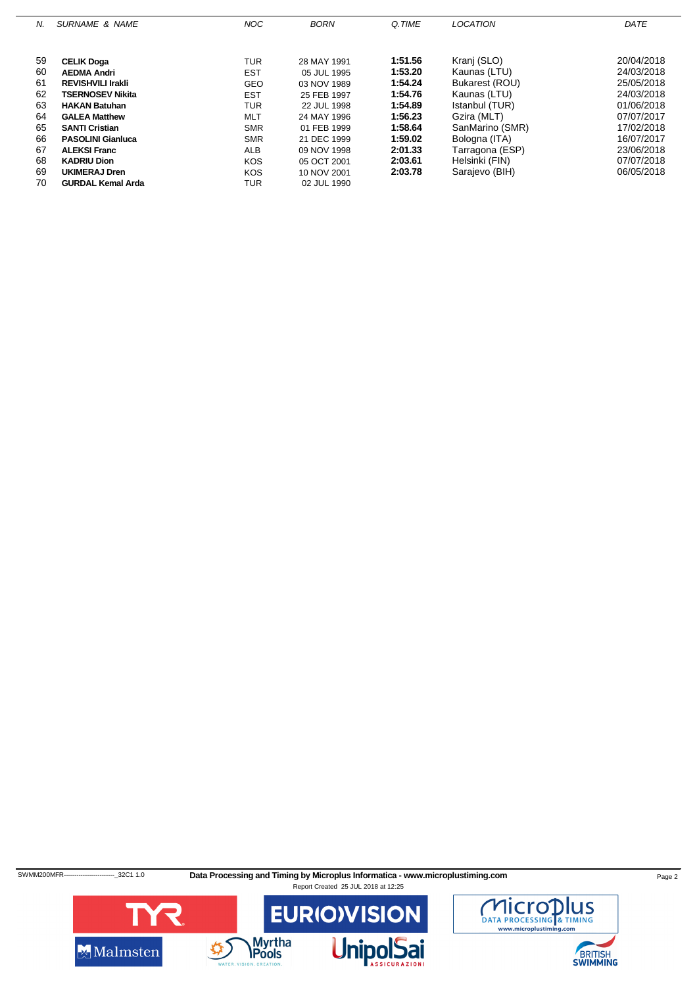| N. | <b>SURNAME &amp; NAME</b> | <b>NOC</b> | <b>BORN</b> | Q.TIME  | LOCATION        | DATE       |
|----|---------------------------|------------|-------------|---------|-----------------|------------|
|    |                           |            |             |         |                 |            |
| 59 | <b>CELIK Doga</b>         | TUR        | 28 MAY 1991 | 1:51.56 | Kranj (SLO)     | 20/04/2018 |
| 60 | <b>AEDMA Andri</b>        | <b>EST</b> | 05 JUL 1995 | 1:53.20 | Kaunas (LTU)    | 24/03/2018 |
| 61 | <b>REVISHVILI Irakli</b>  | <b>GEO</b> | 03 NOV 1989 | 1:54.24 | Bukarest (ROU)  | 25/05/2018 |
| 62 | <b>TSERNOSEV Nikita</b>   | <b>EST</b> | 25 FEB 1997 | 1:54.76 | Kaunas (LTU)    | 24/03/2018 |
| 63 | <b>HAKAN Batuhan</b>      | TUR        | 22 JUL 1998 | 1:54.89 | Istanbul (TUR)  | 01/06/2018 |
| 64 | <b>GALEA Matthew</b>      | <b>MLT</b> | 24 MAY 1996 | 1:56.23 | Gzira (MLT)     | 07/07/2017 |
| 65 | <b>SANTI Cristian</b>     | <b>SMR</b> | 01 FEB 1999 | 1:58.64 | SanMarino (SMR) | 17/02/2018 |
| 66 | <b>PASOLINI Gianluca</b>  | <b>SMR</b> | 21 DEC 1999 | 1:59.02 | Bologna (ITA)   | 16/07/2017 |
| 67 | <b>ALEKSI Franc</b>       | <b>ALB</b> | 09 NOV 1998 | 2:01.33 | Tarragona (ESP) | 23/06/2018 |
| 68 | <b>KADRIU Dion</b>        | <b>KOS</b> | 05 OCT 2001 | 2:03.61 | Helsinki (FIN)  | 07/07/2018 |
| 69 | UKIMERAJ Dren             | <b>KOS</b> | 10 NOV 2001 | 2:03.78 | Sarajevo (BIH)  | 06/05/2018 |
| 70 | <b>GURDAL Kemal Arda</b>  | TUR        | 02 JUL 1990 |         |                 |            |
|    |                           |            |             |         |                 |            |

SWMM200MFR-------------------------32C1 1.0 **Data Processing and Timing by Microplus Informatica - www.microplustiming.com** Page 2



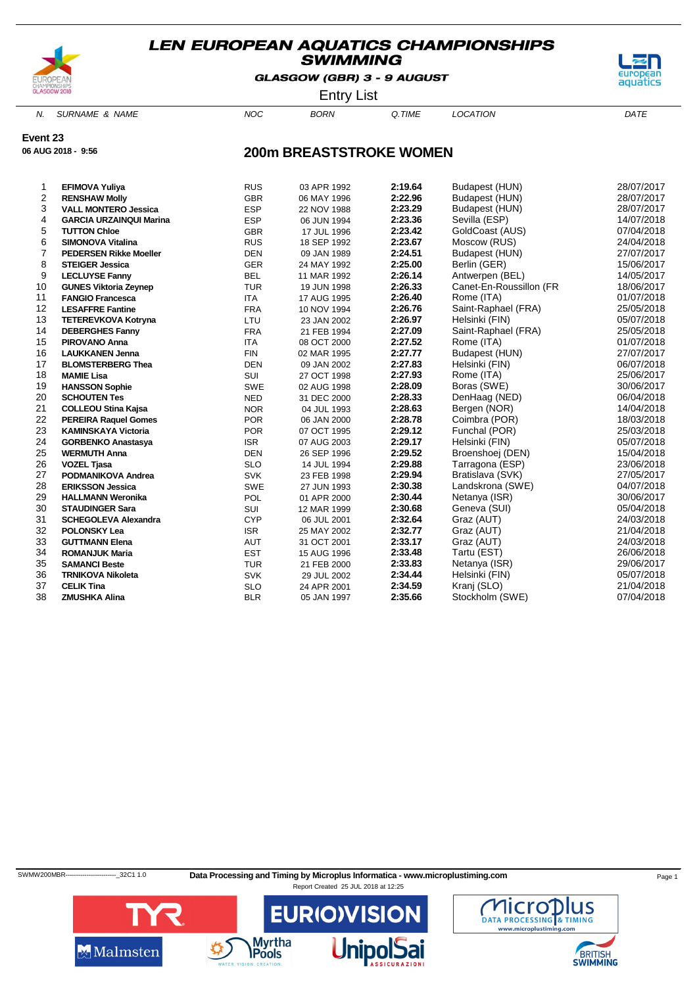

GLASGOW (GBR) 3 - 9 AUGUST



Entry List

N. SURNAME & NAME  $NOC$  BORN Q.TIME LOCATION DATE

### **Event 23**

**06 AUG 2018 - 9:56**

# **200m BREASTSTROKE WOMEN**

| 1              | <b>EFIMOVA Yuliya</b>          | <b>RUS</b> | 03 APR 1992 | 2:19.64 | Budapest (HUN)          | 28/07/2017 |
|----------------|--------------------------------|------------|-------------|---------|-------------------------|------------|
| 2              | <b>RENSHAW Molly</b>           | <b>GBR</b> | 06 MAY 1996 | 2:22.96 | Budapest (HUN)          | 28/07/2017 |
| 3              | <b>VALL MONTERO Jessica</b>    | <b>ESP</b> | 22 NOV 1988 | 2:23.29 | Budapest (HUN)          | 28/07/2017 |
| 4              | <b>GARCIA URZAINQUI Marina</b> | <b>ESP</b> | 06 JUN 1994 | 2:23.36 | Sevilla (ESP)           | 14/07/2018 |
| 5              | <b>TUTTON Chloe</b>            | <b>GBR</b> | 17 JUL 1996 | 2:23.42 | GoldCoast (AUS)         | 07/04/2018 |
| 6              | <b>SIMONOVA Vitalina</b>       | <b>RUS</b> | 18 SEP 1992 | 2:23.67 | Moscow (RUS)            | 24/04/2018 |
| $\overline{7}$ | <b>PEDERSEN Rikke Moeller</b>  | <b>DEN</b> | 09 JAN 1989 | 2:24.51 | Budapest (HUN)          | 27/07/2017 |
| 8              | <b>STEIGER Jessica</b>         | <b>GER</b> | 24 MAY 1992 | 2:25.00 | Berlin (GER)            | 15/06/2017 |
| 9              | <b>LECLUYSE Fanny</b>          | <b>BEL</b> | 11 MAR 1992 | 2:26.14 | Antwerpen (BEL)         | 14/05/2017 |
| 10             | <b>GUNES Viktoria Zeynep</b>   | <b>TUR</b> | 19 JUN 1998 | 2:26.33 | Canet-En-Roussillon (FR | 18/06/2017 |
| 11             | <b>FANGIO Francesca</b>        | <b>ITA</b> | 17 AUG 1995 | 2:26.40 | Rome (ITA)              | 01/07/2018 |
| 12             | <b>LESAFFRE Fantine</b>        | <b>FRA</b> | 10 NOV 1994 | 2:26.76 | Saint-Raphael (FRA)     | 25/05/2018 |
| 13             | <b>TETEREVKOVA Kotryna</b>     | LTU        | 23 JAN 2002 | 2:26.97 | Helsinki (FIN)          | 05/07/2018 |
| 14             | <b>DEBERGHES Fanny</b>         | <b>FRA</b> | 21 FEB 1994 | 2:27.09 | Saint-Raphael (FRA)     | 25/05/2018 |
| 15             | <b>PIROVANO Anna</b>           | <b>ITA</b> | 08 OCT 2000 | 2:27.52 | Rome (ITA)              | 01/07/2018 |
| 16             | <b>LAUKKANEN Jenna</b>         | <b>FIN</b> | 02 MAR 1995 | 2:27.77 | Budapest (HUN)          | 27/07/2017 |
| 17             | <b>BLOMSTERBERG Thea</b>       | <b>DEN</b> | 09 JAN 2002 | 2:27.83 | Helsinki (FIN)          | 06/07/2018 |
| 18             | <b>MAMIE Lisa</b>              | SUI        | 27 OCT 1998 | 2:27.93 | Rome (ITA)              | 25/06/2017 |
| 19             | <b>HANSSON Sophie</b>          | <b>SWE</b> | 02 AUG 1998 | 2:28.09 | Boras (SWE)             | 30/06/2017 |
| 20             | <b>SCHOUTEN Tes</b>            | <b>NED</b> | 31 DEC 2000 | 2:28.33 | DenHaag (NED)           | 06/04/2018 |
| 21             | <b>COLLEOU Stina Kajsa</b>     | <b>NOR</b> | 04 JUL 1993 | 2:28.63 | Bergen (NOR)            | 14/04/2018 |
| 22             | <b>PEREIRA Raquel Gomes</b>    | <b>POR</b> | 06 JAN 2000 | 2:28.78 | Coimbra (POR)           | 18/03/2018 |
| 23             | <b>KAMINSKAYA Victoria</b>     | <b>POR</b> | 07 OCT 1995 | 2:29.12 | Funchal (POR)           | 25/03/2018 |
| 24             | <b>GORBENKO Anastasya</b>      | <b>ISR</b> | 07 AUG 2003 | 2:29.17 | Helsinki (FIN)          | 05/07/2018 |
| 25             | <b>WERMUTH Anna</b>            | <b>DEN</b> | 26 SEP 1996 | 2:29.52 | Broenshoej (DEN)        | 15/04/2018 |
| 26             | <b>VOZEL Tjasa</b>             | <b>SLO</b> | 14 JUL 1994 | 2:29.88 | Tarragona (ESP)         | 23/06/2018 |
| 27             | PODMANIKOVA Andrea             | <b>SVK</b> | 23 FEB 1998 | 2:29.94 | Bratislava (SVK)        | 27/05/2017 |
| 28             | <b>ERIKSSON Jessica</b>        | <b>SWE</b> | 27 JUN 1993 | 2:30.38 | Landskrona (SWE)        | 04/07/2018 |
| 29             | <b>HALLMANN Weronika</b>       | POL        | 01 APR 2000 | 2:30.44 | Netanya (ISR)           | 30/06/2017 |
| 30             | <b>STAUDINGER Sara</b>         | SUI        | 12 MAR 1999 | 2:30.68 | Geneva (SUI)            | 05/04/2018 |
| 31             | <b>SCHEGOLEVA Alexandra</b>    | <b>CYP</b> | 06 JUL 2001 | 2:32.64 | Graz (AUT)              | 24/03/2018 |
| 32             | <b>POLONSKY Lea</b>            | <b>ISR</b> | 25 MAY 2002 | 2:32.77 | Graz (AUT)              | 21/04/2018 |
| 33             | <b>GUTTMANN Elena</b>          | <b>AUT</b> | 31 OCT 2001 | 2:33.17 | Graz (AUT)              | 24/03/2018 |
| 34             | <b>ROMANJUK Maria</b>          | <b>EST</b> | 15 AUG 1996 | 2:33.48 | Tartu (EST)             | 26/06/2018 |
| 35             | <b>SAMANCI Beste</b>           | <b>TUR</b> | 21 FEB 2000 | 2:33.83 | Netanya (ISR)           | 29/06/2017 |
| 36             | <b>TRNIKOVA Nikoleta</b>       | <b>SVK</b> | 29 JUL 2002 | 2:34.44 | Helsinki (FIN)          | 05/07/2018 |
| 37             | <b>CELIK Tina</b>              | <b>SLO</b> | 24 APR 2001 | 2:34.59 | Kranj (SLO)             | 21/04/2018 |
| 38             | <b>ZMUSHKA Alina</b>           | <b>BLR</b> | 05 JAN 1997 | 2:35.66 | Stockholm (SWE)         | 07/04/2018 |

SWMW200MBR---------------------------32C1 1.0 Data Processing and Timing by Microplus Informatica - www.microplustiming.com Page 1



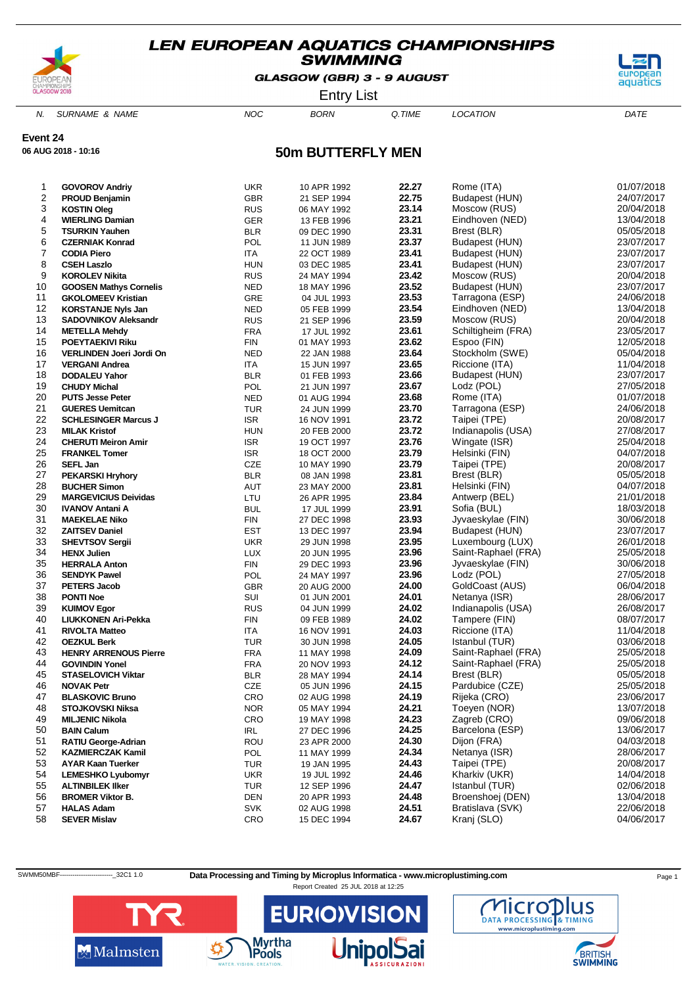

GLASGOW (GBR) 3 - 9 AUGUST



Entry List

N. SURNAME & NAME  $NOC$  BORN Q.TIME LOCATION DATE

**Event 24**

**06 AUG 2018 - 10:16**

### **50m BUTTERFLY MEN**

| 1                       | <b>GOVOROV Andriy</b>         | <b>UKR</b> | 10 APR 1992 | 22.27 | Rome (ITA)          | 01/07/2018 |
|-------------------------|-------------------------------|------------|-------------|-------|---------------------|------------|
| $\overline{\mathbf{c}}$ | <b>PROUD Benjamin</b>         | <b>GBR</b> | 21 SEP 1994 | 22.75 | Budapest (HUN)      | 24/07/2017 |
| 3                       | <b>KOSTIN Oleg</b>            | <b>RUS</b> | 06 MAY 1992 | 23.14 | Moscow (RUS)        | 20/04/2018 |
| 4                       | <b>WIERLING Damian</b>        | <b>GER</b> |             | 23.21 | Eindhoven (NED)     | 13/04/2018 |
| 5                       |                               |            | 13 FEB 1996 | 23.31 |                     |            |
|                         | <b>TSURKIN Yauhen</b>         | <b>BLR</b> | 09 DEC 1990 | 23.37 | Brest (BLR)         | 05/05/2018 |
| 6                       | <b>CZERNIAK Konrad</b>        | POL        | 11 JUN 1989 |       | Budapest (HUN)      | 23/07/2017 |
| 7                       | <b>CODIA Piero</b>            | ITA        | 22 OCT 1989 | 23.41 | Budapest (HUN)      | 23/07/2017 |
| 8                       | <b>CSEH Laszlo</b>            | <b>HUN</b> | 03 DEC 1985 | 23.41 | Budapest (HUN)      | 23/07/2017 |
| 9                       | <b>KOROLEV Nikita</b>         | <b>RUS</b> | 24 MAY 1994 | 23.42 | Moscow (RUS)        | 20/04/2018 |
| 10                      | <b>GOOSEN Mathys Cornelis</b> | <b>NED</b> | 18 MAY 1996 | 23.52 | Budapest (HUN)      | 23/07/2017 |
| 11                      | <b>GKOLOMEEV Kristian</b>     | GRE        | 04 JUL 1993 | 23.53 | Tarragona (ESP)     | 24/06/2018 |
| 12                      | <b>KORSTANJE Nyls Jan</b>     | <b>NED</b> | 05 FEB 1999 | 23.54 | Eindhoven (NED)     | 13/04/2018 |
| 13                      | <b>SADOVNIKOV Aleksandr</b>   | <b>RUS</b> | 21 SEP 1996 | 23.59 | Moscow (RUS)        | 20/04/2018 |
| 14                      | <b>METELLA Mehdy</b>          | <b>FRA</b> | 17 JUL 1992 | 23.61 | Schiltigheim (FRA)  | 23/05/2017 |
| 15                      | <b>POEYTAEKIVI Riku</b>       | FIN        | 01 MAY 1993 | 23.62 | Espoo (FIN)         | 12/05/2018 |
| 16                      | VERLINDEN Joeri Jordi On      | <b>NED</b> | 22 JAN 1988 | 23.64 | Stockholm (SWE)     | 05/04/2018 |
| 17                      | <b>VERGANI Andrea</b>         | <b>ITA</b> | 15 JUN 1997 | 23.65 | Riccione (ITA)      | 11/04/2018 |
| 18                      | <b>DODALEU Yahor</b>          | <b>BLR</b> | 01 FEB 1993 | 23.66 | Budapest (HUN)      | 23/07/2017 |
| 19                      | <b>CHUDY Michal</b>           | POL        | 21 JUN 1997 | 23.67 | Lodz (POL)          | 27/05/2018 |
| 20                      | <b>PUTS Jesse Peter</b>       | <b>NED</b> | 01 AUG 1994 | 23.68 | Rome (ITA)          | 01/07/2018 |
| 21                      | <b>GUERES Uemitcan</b>        | <b>TUR</b> | 24 JUN 1999 | 23.70 | Tarragona (ESP)     | 24/06/2018 |
| 22                      | <b>SCHLESINGER Marcus J</b>   | <b>ISR</b> | 16 NOV 1991 | 23.72 | Taipei (TPE)        | 20/08/2017 |
| 23                      | <b>MILAK Kristof</b>          | <b>HUN</b> | 20 FEB 2000 | 23.72 | Indianapolis (USA)  | 27/08/2017 |
| 24                      | <b>CHERUTI Meiron Amir</b>    | <b>ISR</b> |             | 23.76 | Wingate (ISR)       | 25/04/2018 |
| 25                      |                               |            | 19 OCT 1997 | 23.79 | Helsinki (FIN)      | 04/07/2018 |
|                         | <b>FRANKEL Tomer</b>          | <b>ISR</b> | 18 OCT 2000 | 23.79 |                     | 20/08/2017 |
| 26                      | SEFL Jan                      | CZE        | 10 MAY 1990 |       | Taipei (TPE)        |            |
| 27                      | <b>PEKARSKI Hryhory</b>       | <b>BLR</b> | 08 JAN 1998 | 23.81 | Brest (BLR)         | 05/05/2018 |
| 28                      | <b>BUCHER Simon</b>           | AUT        | 23 MAY 2000 | 23.81 | Helsinki (FIN)      | 04/07/2018 |
| 29                      | <b>MARGEVICIUS Deividas</b>   | LTU        | 26 APR 1995 | 23.84 | Antwerp (BEL)       | 21/01/2018 |
| 30                      | <b>IVANOV Antani A</b>        | <b>BUL</b> | 17 JUL 1999 | 23.91 | Sofia (BUL)         | 18/03/2018 |
| 31                      | <b>MAEKELAE Niko</b>          | <b>FIN</b> | 27 DEC 1998 | 23.93 | Jyvaeskylae (FIN)   | 30/06/2018 |
| 32                      | <b>ZAITSEV Daniel</b>         | <b>EST</b> | 13 DEC 1997 | 23.94 | Budapest (HUN)      | 23/07/2017 |
| 33                      | <b>SHEVTSOV Sergii</b>        | <b>UKR</b> | 29 JUN 1998 | 23.95 | Luxembourg (LUX)    | 26/01/2018 |
| 34                      | <b>HENX Julien</b>            | <b>LUX</b> | 20 JUN 1995 | 23.96 | Saint-Raphael (FRA) | 25/05/2018 |
| 35                      | <b>HERRALA Anton</b>          | <b>FIN</b> | 29 DEC 1993 | 23.96 | Jyvaeskylae (FIN)   | 30/06/2018 |
| 36                      | <b>SENDYK Pawel</b>           | POL        | 24 MAY 1997 | 23.96 | Lodz (POL)          | 27/05/2018 |
| 37                      | <b>PETERS Jacob</b>           | <b>GBR</b> | 20 AUG 2000 | 24.00 | GoldCoast (AUS)     | 06/04/2018 |
| 38                      | <b>PONTI Noe</b>              | SUI        | 01 JUN 2001 | 24.01 | Netanya (ISR)       | 28/06/2017 |
| 39                      | <b>KUIMOV Egor</b>            | <b>RUS</b> | 04 JUN 1999 | 24.02 | Indianapolis (USA)  | 26/08/2017 |
| 40                      | LIUKKONEN Ari-Pekka           | <b>FIN</b> | 09 FEB 1989 | 24.02 | Tampere (FIN)       | 08/07/2017 |
| 41                      | <b>RIVOLTA Matteo</b>         | <b>ITA</b> | 16 NOV 1991 | 24.03 | Riccione (ITA)      | 11/04/2018 |
| 42                      | <b>OEZKUL Berk</b>            | <b>TUR</b> | 30 JUN 1998 | 24.05 | Istanbul (TUR)      | 03/06/2018 |
| 43                      | <b>HENRY ARRENOUS Pierre</b>  | <b>FRA</b> | 11 MAY 1998 | 24.09 | Saint-Raphael (FRA) | 25/05/2018 |
| 44                      | <b>GOVINDIN Yonel</b>         | <b>FRA</b> | 20 NOV 1993 | 24.12 | Saint-Raphael (FRA) | 25/05/2018 |
| 45                      | <b>STASELOVICH Viktar</b>     | <b>BLR</b> | 28 MAY 1994 | 24.14 | Brest (BLR)         | 05/05/2018 |
| 46                      | <b>NOVAK Petr</b>             | CZE        | 05 JUN 1996 | 24.15 | Pardubice (CZE)     | 25/05/2018 |
| 47                      | <b>BLASKOVIC Bruno</b>        | CRO        | 02 AUG 1998 | 24.19 | Rijeka (CRO)        | 23/06/2017 |
| 48                      | <b>STOJKOVSKI Niksa</b>       | <b>NOR</b> | 05 MAY 1994 | 24.21 | Toeyen (NOR)        | 13/07/2018 |
| 49                      | <b>MILJENIC Nikola</b>        | CRO        | 19 MAY 1998 | 24.23 | Zagreb (CRO)        | 09/06/2018 |
| 50                      | <b>BAIN Calum</b>             | <b>IRL</b> |             | 24.25 | Barcelona (ESP)     | 13/06/2017 |
|                         |                               |            | 27 DEC 1996 | 24.30 | Dijon (FRA)         | 04/03/2018 |
| 51<br>52                | <b>RATIU George-Adrian</b>    | ROU        | 23 APR 2000 | 24.34 | Netanya (ISR)       | 28/06/2017 |
|                         | <b>KAZMIERCZAK Kamil</b>      | POL        | 11 MAY 1999 |       |                     |            |
| 53                      | <b>AYAR Kaan Tuerker</b>      | TUR        | 19 JAN 1995 | 24.43 | Taipei (TPE)        | 20/08/2017 |
| 54                      | <b>LEMESHKO Lyubomyr</b>      | <b>UKR</b> | 19 JUL 1992 | 24.46 | Kharkiv (UKR)       | 14/04/2018 |
| 55                      | <b>ALTINBILEK IIker</b>       | TUR        | 12 SEP 1996 | 24.47 | Istanbul (TUR)      | 02/06/2018 |
| 56                      | <b>BROMER Viktor B.</b>       | DEN        | 20 APR 1993 | 24.48 | Broenshoej (DEN)    | 13/04/2018 |
| 57                      | <b>HALAS Adam</b>             | <b>SVK</b> | 02 AUG 1998 | 24.51 | Bratislava (SVK)    | 22/06/2018 |
| 58                      | <b>SEVER Mislav</b>           | CRO        | 15 DEC 1994 | 24.67 | Kranj (SLO)         | 04/06/2017 |

SWMM50MBF-----------------------------32C1 1.0 Data Processing and Timing by Microplus Informatica - www.microplustiming.com Page 1





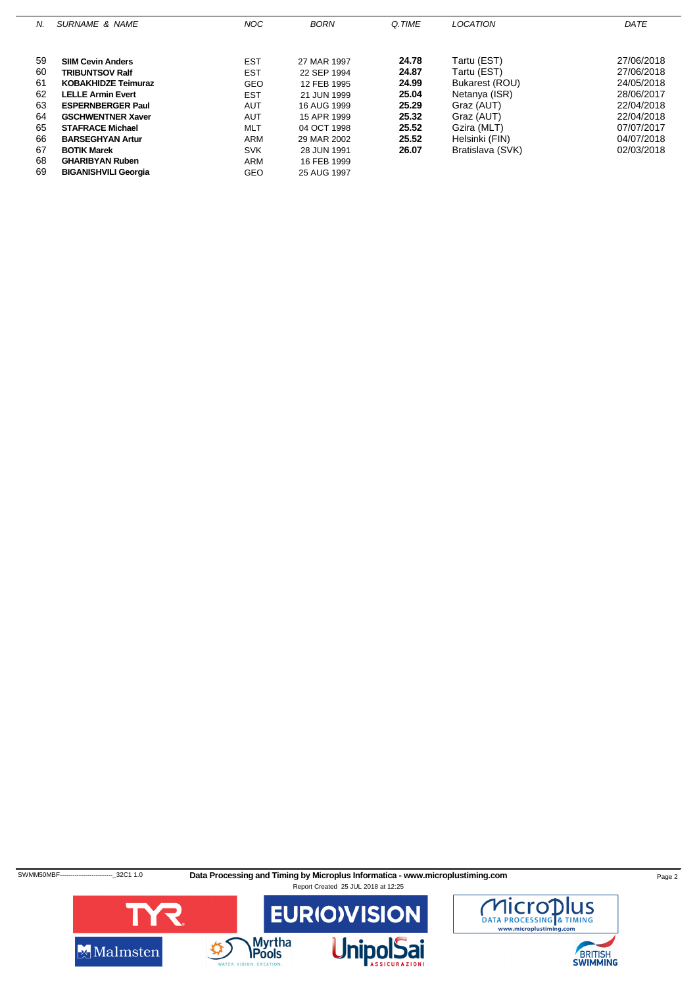| N. | SURNAME & NAME              | <b>NOC</b> | <b>BORN</b> | Q.TIME | <b>LOCATION</b>  | DATE       |
|----|-----------------------------|------------|-------------|--------|------------------|------------|
|    |                             |            |             |        |                  |            |
|    |                             |            |             |        |                  |            |
| 59 | <b>SIIM Cevin Anders</b>    | <b>EST</b> | 27 MAR 1997 | 24.78  | Tartu (EST)      | 27/06/2018 |
| 60 | <b>TRIBUNTSOV Ralf</b>      | <b>EST</b> | 22 SEP 1994 | 24.87  | Tartu (EST)      | 27/06/2018 |
| 61 | <b>KOBAKHIDZE Teimuraz</b>  | GEO        | 12 FEB 1995 | 24.99  | Bukarest (ROU)   | 24/05/2018 |
| 62 | <b>LELLE Armin Evert</b>    | <b>EST</b> | 21 JUN 1999 | 25.04  | Netanya (ISR)    | 28/06/2017 |
| 63 | <b>ESPERNBERGER Paul</b>    | <b>AUT</b> | 16 AUG 1999 | 25.29  | Graz (AUT)       | 22/04/2018 |
| 64 | <b>GSCHWENTNER Xaver</b>    | <b>AUT</b> | 15 APR 1999 | 25.32  | Graz (AUT)       | 22/04/2018 |
| 65 | <b>STAFRACE Michael</b>     | <b>MLT</b> | 04 OCT 1998 | 25.52  | Gzira (MLT)      | 07/07/2017 |
| 66 | <b>BARSEGHYAN Artur</b>     | <b>ARM</b> | 29 MAR 2002 | 25.52  | Helsinki (FIN)   | 04/07/2018 |
| 67 | <b>BOTIK Marek</b>          | <b>SVK</b> | 28 JUN 1991 | 26.07  | Bratislava (SVK) | 02/03/2018 |
| 68 | <b>GHARIBYAN Ruben</b>      | ARM        | 16 FEB 1999 |        |                  |            |
| 69 | <b>BIGANISHVILI Georgia</b> | GEO        | 25 AUG 1997 |        |                  |            |

SWMM50MBF-----------------------------32C1 1.0 Data Processing and Timing by Microplus Informatica - www.microplustiming.com Page 2



BRITISH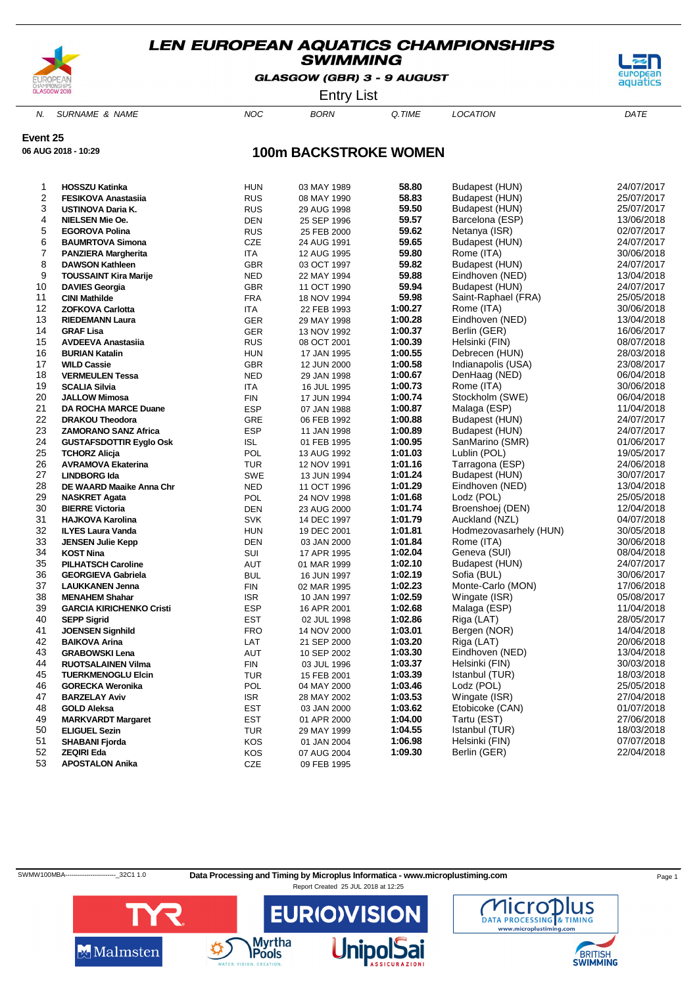

GLASGOW (GBR) 3 - 9 AUGUST



Entry List

N. SURNAME & NAME  $NOC$  BORN Q.TIME LOCATION DATE

**Event 25**

**06 AUG 2018 - 10:29**

# **100m BACKSTROKE WOMEN**

| $\mathbf{1}$     | <b>HOSSZU Katinka</b>           | <b>HUN</b> | 03 MAY 1989 | 58.80   | Budapest (HUN)         | 24/07/2017 |
|------------------|---------------------------------|------------|-------------|---------|------------------------|------------|
| $\boldsymbol{2}$ | <b>FESIKOVA Anastasiia</b>      | <b>RUS</b> | 08 MAY 1990 | 58.83   | Budapest (HUN)         | 25/07/2017 |
| 3                | USTINOVA Daria K.               | <b>RUS</b> | 29 AUG 1998 | 59.50   | Budapest (HUN)         | 25/07/2017 |
| 4                | <b>NIELSEN Mie Oe.</b>          | <b>DEN</b> | 25 SEP 1996 | 59.57   | Barcelona (ESP)        | 13/06/2018 |
| 5                | <b>EGOROVA Polina</b>           | <b>RUS</b> | 25 FEB 2000 | 59.62   | Netanya (ISR)          | 02/07/2017 |
| 6                | <b>BAUMRTOVA Simona</b>         | CZE        | 24 AUG 1991 | 59.65   | Budapest (HUN)         | 24/07/2017 |
| $\overline{7}$   | <b>PANZIERA Margherita</b>      | <b>ITA</b> | 12 AUG 1995 | 59.80   | Rome (ITA)             | 30/06/2018 |
| 8                | <b>DAWSON Kathleen</b>          | <b>GBR</b> | 03 OCT 1997 | 59.82   | Budapest (HUN)         | 24/07/2017 |
| 9                | <b>TOUSSAINT Kira Marije</b>    | <b>NED</b> | 22 MAY 1994 | 59.88   | Eindhoven (NED)        | 13/04/2018 |
| 10               | <b>DAVIES Georgia</b>           | <b>GBR</b> | 11 OCT 1990 | 59.94   | Budapest (HUN)         | 24/07/2017 |
| 11               | <b>CINI Mathilde</b>            | <b>FRA</b> | 18 NOV 1994 | 59.98   | Saint-Raphael (FRA)    | 25/05/2018 |
| 12               | <b>ZOFKOVA Carlotta</b>         | <b>ITA</b> | 22 FEB 1993 | 1:00.27 | Rome (ITA)             | 30/06/2018 |
| 13               | <b>RIEDEMANN Laura</b>          | <b>GER</b> | 29 MAY 1998 | 1:00.28 | Eindhoven (NED)        | 13/04/2018 |
| 14               | <b>GRAF Lisa</b>                | <b>GER</b> | 13 NOV 1992 | 1:00.37 | Berlin (GER)           | 16/06/2017 |
| 15               | <b>AVDEEVA Anastasiia</b>       | <b>RUS</b> | 08 OCT 2001 | 1:00.39 | Helsinki (FIN)         | 08/07/2018 |
| 16               | <b>BURIAN Katalin</b>           | <b>HUN</b> | 17 JAN 1995 | 1:00.55 | Debrecen (HUN)         | 28/03/2018 |
| 17               | <b>WILD Cassie</b>              | <b>GBR</b> | 12 JUN 2000 | 1:00.58 | Indianapolis (USA)     | 23/08/2017 |
| 18               | <b>VERMEULEN Tessa</b>          | <b>NED</b> | 29 JAN 1998 | 1:00.67 | DenHaag (NED)          | 06/04/2018 |
| 19               | <b>SCALIA Silvia</b>            | <b>ITA</b> | 16 JUL 1995 | 1:00.73 | Rome (ITA)             | 30/06/2018 |
| 20               | <b>JALLOW Mimosa</b>            | <b>FIN</b> | 17 JUN 1994 | 1:00.74 | Stockholm (SWE)        | 06/04/2018 |
| 21               | DA ROCHA MARCE Duane            | <b>ESP</b> | 07 JAN 1988 | 1:00.87 | Malaga (ESP)           | 11/04/2018 |
| 22               | <b>DRAKOU Theodora</b>          | GRE        | 06 FEB 1992 | 1:00.88 | Budapest (HUN)         | 24/07/2017 |
| 23               | <b>ZAMORANO SANZ Africa</b>     | <b>ESP</b> | 11 JAN 1998 | 1:00.89 | Budapest (HUN)         | 24/07/2017 |
| 24               | <b>GUSTAFSDOTTIR Eyglo Osk</b>  | <b>ISL</b> | 01 FEB 1995 | 1:00.95 | SanMarino (SMR)        | 01/06/2017 |
| 25               | <b>TCHORZ Alicja</b>            | POL        | 13 AUG 1992 | 1:01.03 | Lublin (POL)           | 19/05/2017 |
| 26               | <b>AVRAMOVA Ekaterina</b>       | <b>TUR</b> | 12 NOV 1991 | 1:01.16 | Tarragona (ESP)        | 24/06/2018 |
| 27               | <b>LINDBORG Ida</b>             | <b>SWE</b> | 13 JUN 1994 | 1:01.24 | Budapest (HUN)         | 30/07/2017 |
| 28               | DE WAARD Maaike Anna Chr        | <b>NED</b> | 11 OCT 1996 | 1:01.29 | Eindhoven (NED)        | 13/04/2018 |
| 29               | <b>NASKRET Agata</b>            | POL        | 24 NOV 1998 | 1:01.68 | Lodz (POL)             | 25/05/2018 |
| 30               | <b>BIERRE Victoria</b>          | <b>DEN</b> | 23 AUG 2000 | 1:01.74 | Broenshoej (DEN)       | 12/04/2018 |
| 31               | <b>HAJKOVA Karolina</b>         | <b>SVK</b> | 14 DEC 1997 | 1:01.79 | Auckland (NZL)         | 04/07/2018 |
| 32               | <b>ILYES Laura Vanda</b>        | <b>HUN</b> | 19 DEC 2001 | 1:01.81 | Hodmezovasarhely (HUN) | 30/05/2018 |
| 33               | <b>JENSEN Julie Kepp</b>        | <b>DEN</b> | 03 JAN 2000 | 1:01.84 | Rome (ITA)             | 30/06/2018 |
| 34               | <b>KOST Nina</b>                | SUI        | 17 APR 1995 | 1:02.04 | Geneva (SUI)           | 08/04/2018 |
| 35               | <b>PILHATSCH Caroline</b>       | <b>AUT</b> | 01 MAR 1999 | 1:02.10 | Budapest (HUN)         | 24/07/2017 |
| 36               | <b>GEORGIEVA Gabriela</b>       | <b>BUL</b> | 16 JUN 1997 | 1:02.19 | Sofia (BUL)            | 30/06/2017 |
| 37               | <b>LAUKKANEN Jenna</b>          | <b>FIN</b> | 02 MAR 1995 | 1:02.23 | Monte-Carlo (MON)      | 17/06/2018 |
| 38               | <b>MENAHEM Shahar</b>           | <b>ISR</b> | 10 JAN 1997 | 1:02.59 | Wingate (ISR)          | 05/08/2017 |
| 39               | <b>GARCIA KIRICHENKO Cristi</b> | <b>ESP</b> | 16 APR 2001 | 1:02.68 | Malaga (ESP)           | 11/04/2018 |
| 40               | <b>SEPP Sigrid</b>              | <b>EST</b> | 02 JUL 1998 | 1:02.86 | Riga (LAT)             | 28/05/2017 |
| 41               | <b>JOENSEN Signhild</b>         | <b>FRO</b> | 14 NOV 2000 | 1:03.01 | Bergen (NOR)           | 14/04/2018 |
| 42               | <b>BAIKOVA Arina</b>            | LAT        | 21 SEP 2000 | 1:03.20 | Riga (LAT)             | 20/06/2018 |
| 43               | <b>GRABOWSKI Lena</b>           | AUT        | 10 SEP 2002 | 1:03.30 | Eindhoven (NED)        | 13/04/2018 |
| 44               | <b>RUOTSALAINEN Vilma</b>       | <b>FIN</b> | 03 JUL 1996 | 1:03.37 | Helsinki (FIN)         | 30/03/2018 |
| 45               | <b>TUERKMENOGLU Elcin</b>       | <b>TUR</b> | 15 FEB 2001 | 1:03.39 | Istanbul (TUR)         | 18/03/2018 |
| 46               | <b>GORECKA Weronika</b>         | POL        | 04 MAY 2000 | 1:03.46 | Lodz (POL)             | 25/05/2018 |
| 47               | <b>BARZELAY Aviv</b>            | <b>ISR</b> | 28 MAY 2002 | 1:03.53 | Wingate (ISR)          | 27/04/2018 |
| 48               | <b>GOLD Aleksa</b>              | <b>EST</b> | 03 JAN 2000 | 1:03.62 | Etobicoke (CAN)        | 01/07/2018 |
| 49               | <b>MARKVARDT Margaret</b>       | EST        | 01 APR 2000 | 1:04.00 | Tartu (EST)            | 27/06/2018 |
| 50               | <b>ELIGUEL Sezin</b>            | <b>TUR</b> | 29 MAY 1999 | 1:04.55 | Istanbul (TUR)         | 18/03/2018 |
| 51               | <b>SHABANI Fjorda</b>           | KOS        | 01 JAN 2004 | 1:06.98 | Helsinki (FIN)         | 07/07/2018 |
| 52               | <b>ZEQIRI Eda</b>               | KOS        | 07 AUG 2004 | 1:09.30 | Berlin (GER)           | 22/04/2018 |
| 53               | <b>APOSTALON Anika</b>          | <b>CZE</b> | 09 FEB 1995 |         |                        |            |
|                  |                                 |            |             |         |                        |            |

SWMW100MBA-----------------------------32C1 1.0 Data Processing and Timing by Microplus Informatica - www.microplustiming.com Page 1





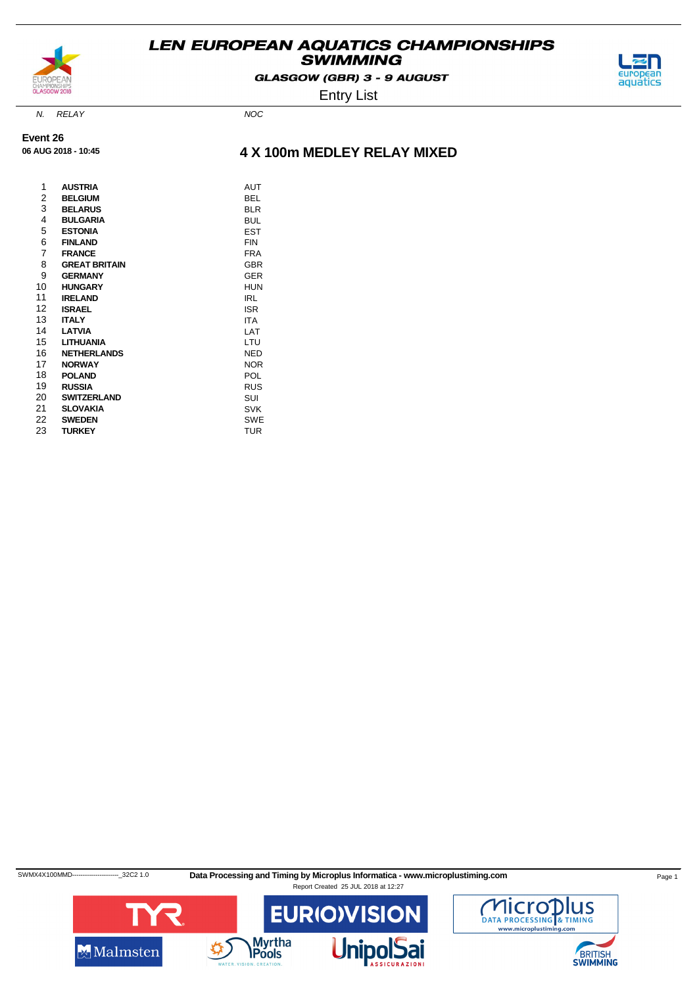

GLASGOW (GBR) 3 - 9 AUGUST



Entry List

N. RELAY NOC

**Event 26 06 AUG 2018 - 10:45**

### **4 X 100m MEDLEY RELAY MIXED**

| 1  | <b>AUSTRIA</b>       | AUT        |
|----|----------------------|------------|
| 2  | <b>BELGIUM</b>       | BEL        |
| 3  | <b>BELARUS</b>       | <b>BLR</b> |
| 4  | <b>BULGARIA</b>      | <b>BUL</b> |
| 5  | <b>ESTONIA</b>       | EST        |
| 6  | <b>FINLAND</b>       | FIN        |
| 7  | <b>FRANCE</b>        | <b>FRA</b> |
| 8  | <b>GREAT BRITAIN</b> | <b>GBR</b> |
| 9  | <b>GERMANY</b>       | GER        |
| 10 | <b>HUNGARY</b>       | HUN        |
| 11 | <b>IRELAND</b>       | IRL        |
| 12 | <b>ISRAEL</b>        | <b>ISR</b> |
| 13 | <b>ITALY</b>         | <b>ITA</b> |
| 14 | LATVIA               | LAT        |
| 15 | LITHUANIA            | LTU        |
| 16 | <b>NETHERLANDS</b>   | NED        |
| 17 | <b>NORWAY</b>        | <b>NOR</b> |
| 18 | <b>POLAND</b>        | POL        |
| 19 | <b>RUSSIA</b>        | <b>RUS</b> |
| 20 | <b>SWITZERLAND</b>   | SUI        |
| 21 | <b>SLOVAKIA</b>      | <b>SVK</b> |
| 22 | <b>SWEDEN</b>        | <b>SWE</b> |
| 23 | <b>TURKEY</b>        | <b>TUR</b> |

SWMX4X100MMD-------------------------32C2 1.0 Data Processing and Timing by Microplus Informatica - www.microplustiming.com Page 1



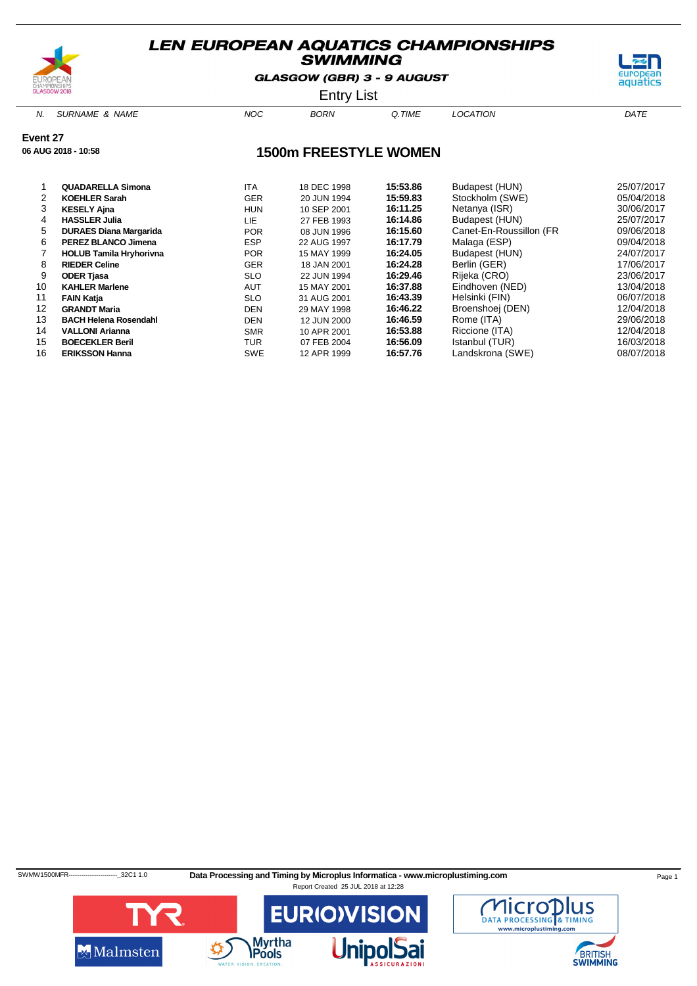

GLASGOW (GBR) 3 - 9 AUGUST



Entry List

N. SURNAME & NAME  $NOC$  BORN Q.TIME LOCATION DATE

**Event 27**

**06 AUG 2018 - 10:58**

### **1500m FREESTYLE WOMEN**

|    | <b>QUADARELLA Simona</b>       | <b>ITA</b> | 18 DEC 1998 | 15:53.86 | Budapest (HUN)          | 25/07/2017 |
|----|--------------------------------|------------|-------------|----------|-------------------------|------------|
|    | <b>KOEHLER Sarah</b>           | <b>GER</b> | 20 JUN 1994 | 15:59.83 | Stockholm (SWE)         | 05/04/2018 |
| 3  | <b>KESELY Ajna</b>             | <b>HUN</b> | 10 SEP 2001 | 16:11.25 | Netanya (ISR)           | 30/06/2017 |
| 4  | <b>HASSLER Julia</b>           | LIE        | 27 FEB 1993 | 16:14.86 | Budapest (HUN)          | 25/07/2017 |
| 5  | <b>DURAES Diana Margarida</b>  | <b>POR</b> | 08 JUN 1996 | 16:15.60 | Canet-En-Roussillon (FR | 09/06/2018 |
| 6  | <b>PEREZ BLANCO Jimena</b>     | <b>ESP</b> | 22 AUG 1997 | 16:17.79 | Malaga (ESP)            | 09/04/2018 |
|    | <b>HOLUB Tamila Hryhorivna</b> | <b>POR</b> | 15 MAY 1999 | 16:24.05 | Budapest (HUN)          | 24/07/2017 |
| 8  | <b>RIEDER Celine</b>           | <b>GER</b> | 18 JAN 2001 | 16:24.28 | Berlin (GER)            | 17/06/2017 |
| 9  | <b>ODER Tjasa</b>              | <b>SLO</b> | 22 JUN 1994 | 16:29.46 | Rijeka (CRO)            | 23/06/2017 |
| 10 | <b>KAHLER Marlene</b>          | <b>AUT</b> | 15 MAY 2001 | 16:37.88 | Eindhoven (NED)         | 13/04/2018 |
| 11 | <b>FAIN Katia</b>              | <b>SLO</b> | 31 AUG 2001 | 16:43.39 | Helsinki (FIN)          | 06/07/2018 |
| 12 | <b>GRANDT Maria</b>            | <b>DEN</b> | 29 MAY 1998 | 16:46.22 | Broenshoej (DEN)        | 12/04/2018 |
| 13 | <b>BACH Helena Rosendahl</b>   | <b>DEN</b> | 12 JUN 2000 | 16:46.59 | Rome (ITA)              | 29/06/2018 |
| 14 | <b>VALLONI Arianna</b>         | <b>SMR</b> | 10 APR 2001 | 16:53.88 | Riccione (ITA)          | 12/04/2018 |
| 15 | <b>BOECEKLER Beril</b>         | <b>TUR</b> | 07 FEB 2004 | 16:56.09 | Istanbul (TUR)          | 16/03/2018 |
| 16 | <b>ERIKSSON Hanna</b>          | <b>SWE</b> | 12 APR 1999 | 16:57.76 | Landskrona (SWE)        | 08/07/2018 |

SWMW1500MFR-----------------------------32C1 1.0 Data Processing and Timing by Microplus Informatica - www.microplustiming.com Page 1



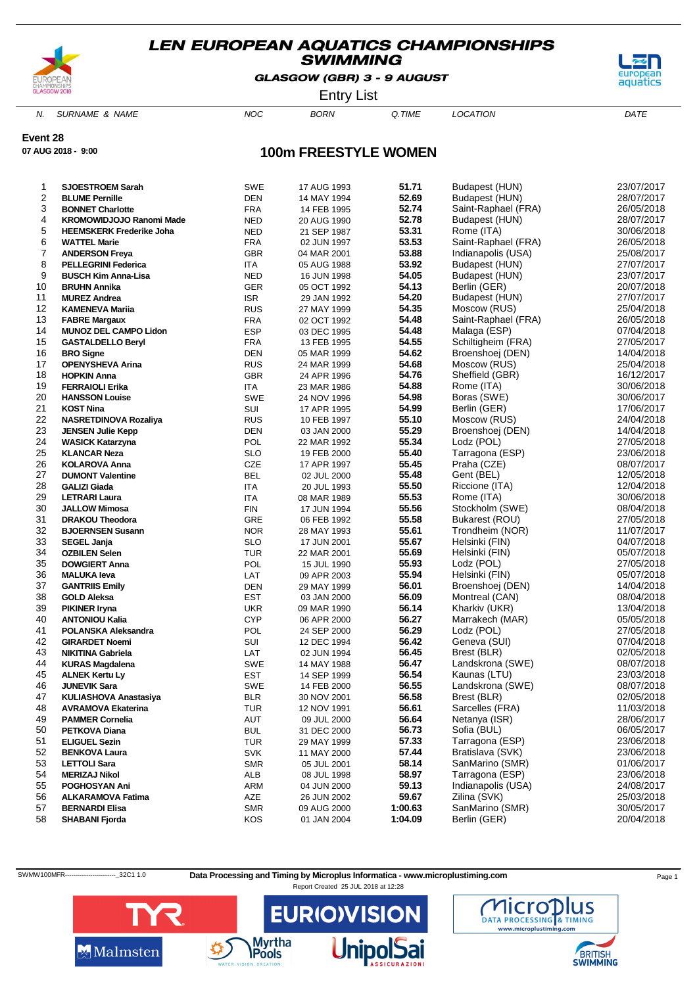

GLASGOW (GBR) 3 - 9 AUGUST



Entry List

N. SURNAME & NAME  $NOC$  BORN Q.TIME LOCATION DATE

**Event 28**

**07 AUG 2018 - 9:00**

# **100m FREESTYLE WOMEN**

| 1        | <b>SJOESTROEM Sarah</b>                    | <b>SWE</b>               | 17 AUG 1993                | 51.71          | Budapest (HUN)                    | 23/07/2017               |
|----------|--------------------------------------------|--------------------------|----------------------------|----------------|-----------------------------------|--------------------------|
| 2        | <b>BLUME Pernille</b>                      | <b>DEN</b>               | 14 MAY 1994                | 52.69          | Budapest (HUN)                    | 28/07/2017               |
| 3        | <b>BONNET Charlotte</b>                    | <b>FRA</b>               | 14 FEB 1995                | 52.74          | Saint-Raphael (FRA)               | 26/05/2018               |
| 4        | KROMOWIDJOJO Ranomi Made                   | <b>NED</b>               | 20 AUG 1990                | 52.78          | Budapest (HUN)                    | 28/07/2017               |
| 5        | <b>HEEMSKERK Frederike Joha</b>            | <b>NED</b>               | 21 SEP 1987                | 53.31          | Rome (ITA)                        | 30/06/2018               |
| 6        | <b>WATTEL Marie</b>                        | <b>FRA</b>               | 02 JUN 1997                | 53.53          | Saint-Raphael (FRA)               | 26/05/2018               |
| 7        | <b>ANDERSON Freya</b>                      | <b>GBR</b>               | 04 MAR 2001                | 53.88          | Indianapolis (USA)                | 25/08/2017               |
| 8        | <b>PELLEGRINI Federica</b>                 | <b>ITA</b>               | 05 AUG 1988                | 53.92          | Budapest (HUN)                    | 27/07/2017               |
| 9        | <b>BUSCH Kim Anna-Lisa</b>                 | <b>NED</b>               | 16 JUN 1998                | 54.05          | Budapest (HUN)                    | 23/07/2017               |
| 10       | <b>BRUHN Annika</b>                        | GER                      | 05 OCT 1992                | 54.13          | Berlin (GER)                      | 20/07/2018               |
| 11       | <b>MUREZ Andrea</b>                        | <b>ISR</b>               | 29 JAN 1992                | 54.20          | Budapest (HUN)                    | 27/07/2017               |
| 12       | <b>KAMENEVA Marija</b>                     | <b>RUS</b>               | 27 MAY 1999                | 54.35          | Moscow (RUS)                      | 25/04/2018               |
| 13       | <b>FABRE Margaux</b>                       | <b>FRA</b>               | 02 OCT 1992                | 54.48          | Saint-Raphael (FRA)               | 26/05/2018               |
| 14       | <b>MUNOZ DEL CAMPO Lidon</b>               | <b>ESP</b>               | 03 DEC 1995                | 54.48          | Malaga (ESP)                      | 07/04/2018               |
| 15       | <b>GASTALDELLO Beryl</b>                   | <b>FRA</b>               | 13 FEB 1995                | 54.55          | Schiltigheim (FRA)                | 27/05/2017               |
| 16       | <b>BRO Signe</b>                           | <b>DEN</b>               | 05 MAR 1999                | 54.62          | Broenshoej (DEN)                  | 14/04/2018               |
| 17       | OPENYSHEVA Arina                           | <b>RUS</b>               | 24 MAR 1999                | 54.68          | Moscow (RUS)                      | 25/04/2018               |
| 18       | <b>HOPKIN Anna</b>                         | <b>GBR</b>               | 24 APR 1996                | 54.76          | Sheffield (GBR)                   | 16/12/2017               |
| 19       | <b>FERRAIOLI Erika</b>                     | <b>ITA</b>               | 23 MAR 1986                | 54.88          | Rome (ITA)                        | 30/06/2018               |
| 20       | <b>HANSSON Louise</b>                      | SWE                      | 24 NOV 1996                | 54.98          | Boras (SWE)                       | 30/06/2017               |
| 21       | <b>KOST Nina</b>                           | SUI                      | 17 APR 1995                | 54.99          | Berlin (GER)                      | 17/06/2017               |
| 22       | NASRETDINOVA Rozaliya                      | <b>RUS</b>               | 10 FEB 1997                | 55.10          | Moscow (RUS)                      | 24/04/2018               |
| 23       | <b>JENSEN Julie Kepp</b>                   | DEN                      | 03 JAN 2000                | 55.29          | Broenshoej (DEN)                  | 14/04/2018               |
| 24       | <b>WASICK Katarzyna</b>                    | POL                      | 22 MAR 1992                | 55.34          | Lodz (POL)                        | 27/05/2018               |
| 25       | <b>KLANCAR Neza</b>                        | <b>SLO</b>               | 19 FEB 2000                | 55.40          | Tarragona (ESP)                   | 23/06/2018               |
| 26       | <b>KOLAROVA Anna</b>                       | <b>CZE</b>               | 17 APR 1997                | 55.45          | Praha (CZE)                       | 08/07/2017               |
| 27       | <b>DUMONT Valentine</b>                    | <b>BEL</b>               | 02 JUL 2000                | 55.48          | Gent (BEL)                        | 12/05/2018               |
| 28       | <b>GALIZI Giada</b>                        | ITA                      | 20 JUL 1993                | 55.50          | Riccione (ITA)                    | 12/04/2018               |
| 29       | <b>LETRARI Laura</b>                       | <b>ITA</b>               | 08 MAR 1989                | 55.53<br>55.56 | Rome (ITA)                        | 30/06/2018<br>08/04/2018 |
| 30       | <b>JALLOW Mimosa</b>                       | <b>FIN</b>               | 17 JUN 1994                | 55.58          | Stockholm (SWE)                   |                          |
| 31<br>32 | <b>DRAKOU Theodora</b>                     | GRE                      | 06 FEB 1992                | 55.61          | Bukarest (ROU)<br>Trondheim (NOR) | 27/05/2018               |
| 33       | <b>BJOERNSEN Susann</b>                    | <b>NOR</b><br><b>SLO</b> | 28 MAY 1993                | 55.67          | Helsinki (FIN)                    | 11/07/2017<br>04/07/2018 |
| 34       | <b>SEGEL Janja</b><br><b>OZBILEN Selen</b> | <b>TUR</b>               | 17 JUN 2001                | 55.69          | Helsinki (FIN)                    | 05/07/2018               |
| 35       | <b>DOWGIERT Anna</b>                       | POL                      | 22 MAR 2001<br>15 JUL 1990 | 55.93          | Lodz (POL)                        | 27/05/2018               |
| 36       | <b>MALUKA leva</b>                         | LAT                      | 09 APR 2003                | 55.94          | Helsinki (FIN)                    | 05/07/2018               |
| 37       | <b>GANTRIIS Emily</b>                      | <b>DEN</b>               | 29 MAY 1999                | 56.01          | Broenshoej (DEN)                  | 14/04/2018               |
| 38       | <b>GOLD Aleksa</b>                         | EST                      | 03 JAN 2000                | 56.09          | Montreal (CAN)                    | 08/04/2018               |
| 39       | <b>PIKINER Iryna</b>                       | <b>UKR</b>               | 09 MAR 1990                | 56.14          | Kharkiv (UKR)                     | 13/04/2018               |
| 40       | <b>ANTONIOU Kalia</b>                      | <b>CYP</b>               | 06 APR 2000                | 56.27          | Marrakech (MAR)                   | 05/05/2018               |
| 41       | POLANSKA Aleksandra                        | POL                      | 24 SEP 2000                | 56.29          | Lodz (POL)                        | 27/05/2018               |
| 42       | <b>GIRARDET Noemi</b>                      | SUI                      | 12 DEC 1994                | 56.42          | Geneva (SUI)                      | 07/04/2018               |
| 43       | <b>NIKITINA Gabriela</b>                   | LAT                      | 02 JUN 1994                | 56.45          | Brest (BLR)                       | 02/05/2018               |
| 44       | <b>KURAS Magdalena</b>                     | SWE                      | 14 MAY 1988                | 56.47          | Landskrona (SWE)                  | 08/07/2018               |
| 45       | <b>ALNEK Kertu Ly</b>                      | EST                      | 14 SEP 1999                | 56.54          | Kaunas (LTU)                      | 23/03/2018               |
| 46       | <b>JUNEVIK Sara</b>                        | SWE                      | 14 FEB 2000                | 56.55          | Landskrona (SWE)                  | 08/07/2018               |
| 47       | <b>KULIASHOVA Anastasiya</b>               | <b>BLR</b>               | 30 NOV 2001                | 56.58          | Brest (BLR)                       | 02/05/2018               |
| 48       | <b>AVRAMOVA Ekaterina</b>                  | <b>TUR</b>               | 12 NOV 1991                | 56.61          | Sarcelles (FRA)                   | 11/03/2018               |
| 49       | <b>PAMMER Cornelia</b>                     | AUT                      | 09 JUL 2000                | 56.64          | Netanya (ISR)                     | 28/06/2017               |
| 50       | <b>PETKOVA Diana</b>                       | <b>BUL</b>               | 31 DEC 2000                | 56.73          | Sofia (BUL)                       | 06/05/2017               |
| 51       | <b>ELIGUEL Sezin</b>                       | <b>TUR</b>               | 29 MAY 1999                | 57.33          | Tarragona (ESP)                   | 23/06/2018               |
| 52       | <b>BENKOVA Laura</b>                       | <b>SVK</b>               | 11 MAY 2000                | 57.44          | Bratislava (SVK)                  | 23/06/2018               |
| 53       | <b>LETTOLI Sara</b>                        | <b>SMR</b>               | 05 JUL 2001                | 58.14          | SanMarino (SMR)                   | 01/06/2017               |
| 54       | <b>MERIZAJ Nikol</b>                       | ALB                      | 08 JUL 1998                | 58.97          | Tarragona (ESP)                   | 23/06/2018               |
| 55       | POGHOSYAN Ani                              | ARM                      | 04 JUN 2000                | 59.13          | Indianapolis (USA)                | 24/08/2017               |
| 56       | <b>ALKARAMOVA Fatima</b>                   | AZE                      | 26 JUN 2002                | 59.67          | Zilina (SVK)                      | 25/03/2018               |
| 57       | <b>BERNARDI Elisa</b>                      | <b>SMR</b>               | 09 AUG 2000                | 1:00.63        | SanMarino (SMR)                   | 30/05/2017               |
| 58       | <b>SHABANI Fjorda</b>                      | KOS                      | 01 JAN 2004                | 1:04.09        | Berlin (GER)                      | 20/04/2018               |

SWMW100MFR-----------------------------32C1 1.0 Data Processing and Timing by Microplus Informatica - www.microplustiming.com Page 1





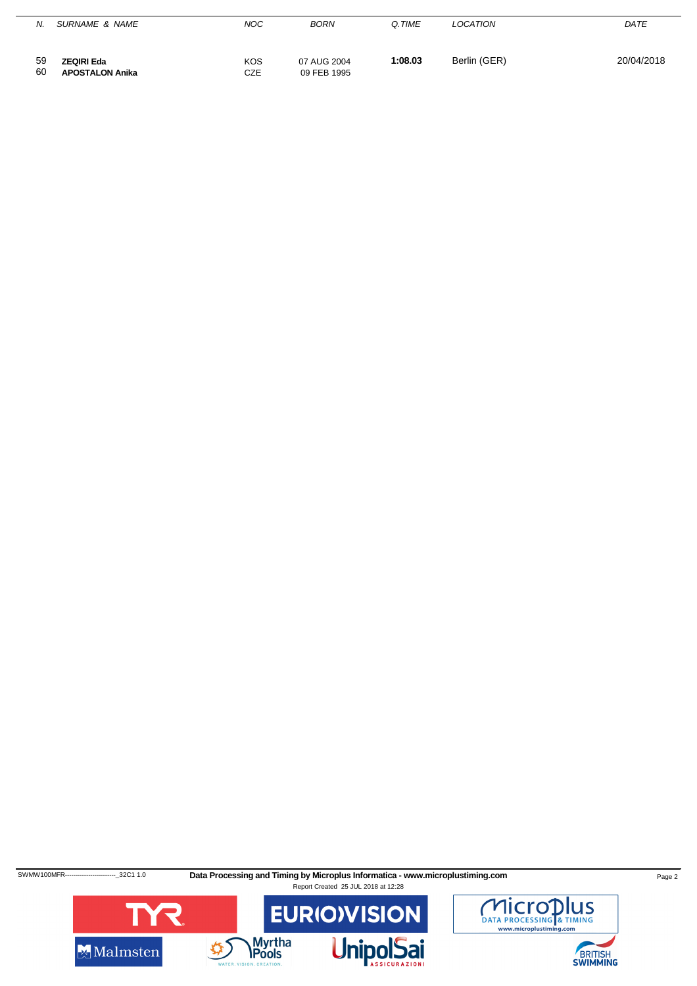| N.       | SURNAME & NAME                              | <b>NOC</b> | <b>BORN</b>                | Q.TIME  | LOCATION     | <i>DATE</i> |
|----------|---------------------------------------------|------------|----------------------------|---------|--------------|-------------|
| 59<br>60 | <b>ZEQIRI Eda</b><br><b>APOSTALON Anika</b> | KOS<br>CZE | 07 AUG 2004<br>09 FEB 1995 | 1:08.03 | Berlin (GER) | 20/04/2018  |

SWMW100MFR------------------------32C1 1.0 **Data Processing and Timing by Microplus Informatica - www.microplustiming.com** Page 2





BRITISH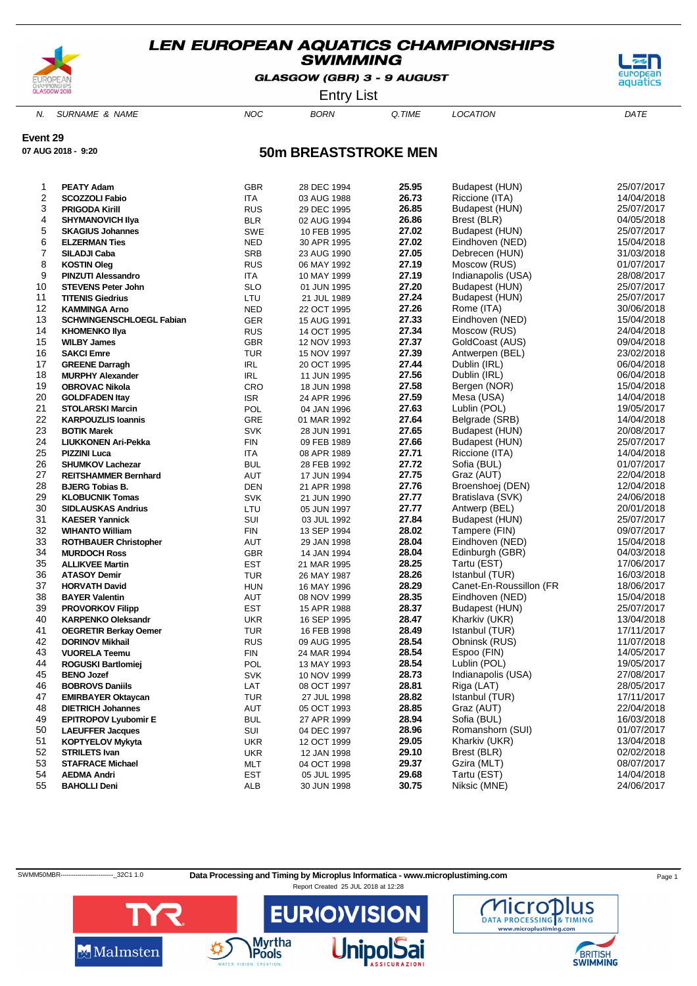

GLASGOW (GBR) 3 - 9 AUGUST



Entry List

N. SURNAME & NAME  $NOC$  BORN Q.TIME LOCATION DATE

**Event 29**

**07 AUG 2018 - 9:20**

### **50m BREASTSTROKE MEN**

| 1  | <b>PEATY Adam</b>                                  | <b>GBR</b>        |                            | 25.95          | Budapest (HUN)                       | 25/07/2017 |
|----|----------------------------------------------------|-------------------|----------------------------|----------------|--------------------------------------|------------|
| 2  | <b>SCOZZOLI Fabio</b>                              | <b>ITA</b>        | 28 DEC 1994                | 26.73          | Riccione (ITA)                       | 14/04/2018 |
| 3  | <b>PRIGODA Kirill</b>                              | <b>RUS</b>        | 03 AUG 1988<br>29 DEC 1995 | 26.85          | Budapest (HUN)                       | 25/07/2017 |
| 4  |                                                    | <b>BLR</b>        |                            | 26.86          | Brest (BLR)                          | 04/05/2018 |
| 5  | <b>SHYMANOVICH IIya</b><br><b>SKAGIUS Johannes</b> | <b>SWE</b>        | 02 AUG 1994                | 27.02          | Budapest (HUN)                       | 25/07/2017 |
| 6  | <b>ELZERMAN Ties</b>                               |                   | 10 FEB 1995<br>30 APR 1995 | 27.02          | Eindhoven (NED)                      | 15/04/2018 |
| 7  |                                                    | NED<br><b>SRB</b> |                            | 27.05          | Debrecen (HUN)                       | 31/03/2018 |
| 8  | SILADJI Caba                                       | <b>RUS</b>        | 23 AUG 1990                | 27.19          |                                      | 01/07/2017 |
| 9  | <b>KOSTIN Oleg</b><br><b>PINZUTI Alessandro</b>    |                   | 06 MAY 1992                | 27.19          | Moscow (RUS)                         | 28/08/2017 |
| 10 |                                                    | ITA<br><b>SLO</b> | 10 MAY 1999                | 27.20          | Indianapolis (USA)<br>Budapest (HUN) | 25/07/2017 |
|    | <b>STEVENS Peter John</b>                          |                   | 01 JUN 1995                | 27.24          |                                      |            |
| 11 | <b>TITENIS Giedrius</b>                            | LTU               | 21 JUL 1989                |                | Budapest (HUN)                       | 25/07/2017 |
| 12 | <b>KAMMINGA Arno</b>                               | <b>NED</b>        | 22 OCT 1995                | 27.26<br>27.33 | Rome (ITA)                           | 30/06/2018 |
| 13 | <b>SCHWINGENSCHLOEGL Fabian</b>                    | <b>GER</b>        | 15 AUG 1991                |                | Eindhoven (NED)                      | 15/04/2018 |
| 14 | <b>KHOMENKO IIya</b>                               | <b>RUS</b>        | 14 OCT 1995                | 27.34          | Moscow (RUS)                         | 24/04/2018 |
| 15 | <b>WILBY James</b>                                 | <b>GBR</b>        | 12 NOV 1993                | 27.37          | GoldCoast (AUS)                      | 09/04/2018 |
| 16 | <b>SAKCI Emre</b>                                  | <b>TUR</b>        | 15 NOV 1997                | 27.39          | Antwerpen (BEL)                      | 23/02/2018 |
| 17 | <b>GREENE Darragh</b>                              | <b>IRL</b>        | 20 OCT 1995                | 27.44          | Dublin (IRL)                         | 06/04/2018 |
| 18 | <b>MURPHY Alexander</b>                            | IRL               | 11 JUN 1995                | 27.56          | Dublin (IRL)                         | 06/04/2018 |
| 19 | <b>OBROVAC Nikola</b>                              | CRO               | 18 JUN 1998                | 27.58          | Bergen (NOR)                         | 15/04/2018 |
| 20 | <b>GOLDFADEN Itay</b>                              | <b>ISR</b>        | 24 APR 1996                | 27.59          | Mesa (USA)                           | 14/04/2018 |
| 21 | <b>STOLARSKI Marcin</b>                            | POL               | 04 JAN 1996                | 27.63          | Lublin (POL)                         | 19/05/2017 |
| 22 | <b>KARPOUZLIS Ioannis</b>                          | <b>GRE</b>        | 01 MAR 1992                | 27.64          | Belgrade (SRB)                       | 14/04/2018 |
| 23 | <b>BOTIK Marek</b>                                 | <b>SVK</b>        | 28 JUN 1991                | 27.65          | Budapest (HUN)                       | 20/08/2017 |
| 24 | LIUKKONEN Ari-Pekka                                | <b>FIN</b>        | 09 FEB 1989                | 27.66          | Budapest (HUN)                       | 25/07/2017 |
| 25 | <b>PIZZINI Luca</b>                                | ITA               | 08 APR 1989                | 27.71          | Riccione (ITA)                       | 14/04/2018 |
| 26 | <b>SHUMKOV Lachezar</b>                            | <b>BUL</b>        | 28 FEB 1992                | 27.72          | Sofia (BUL)                          | 01/07/2017 |
| 27 | <b>REITSHAMMER Bernhard</b>                        | AUT               | 17 JUN 1994                | 27.75          | Graz (AUT)                           | 22/04/2018 |
| 28 | <b>BJERG Tobias B.</b>                             | <b>DEN</b>        | 21 APR 1998                | 27.76          | Broenshoej (DEN)                     | 12/04/2018 |
| 29 | <b>KLOBUCNIK Tomas</b>                             | <b>SVK</b>        | 21 JUN 1990                | 27.77          | Bratislava (SVK)                     | 24/06/2018 |
| 30 | <b>SIDLAUSKAS Andrius</b>                          | LTU               | 05 JUN 1997                | 27.77          | Antwerp (BEL)                        | 20/01/2018 |
| 31 | <b>KAESER Yannick</b>                              | SUI               | 03 JUL 1992                | 27.84          | Budapest (HUN)                       | 25/07/2017 |
| 32 | <b>WIHANTO William</b>                             | <b>FIN</b>        | 13 SEP 1994                | 28.02          | Tampere (FIN)                        | 09/07/2017 |
| 33 | <b>ROTHBAUER Christopher</b>                       | AUT               | 29 JAN 1998                | 28.04          | Eindhoven (NED)                      | 15/04/2018 |
| 34 | <b>MURDOCH Ross</b>                                | <b>GBR</b>        | 14 JAN 1994                | 28.04          | Edinburgh (GBR)                      | 04/03/2018 |
| 35 | <b>ALLIKVEE Martin</b>                             | <b>EST</b>        | 21 MAR 1995                | 28.25          | Tartu (EST)                          | 17/06/2017 |
| 36 | <b>ATASOY Demir</b>                                | <b>TUR</b>        | 26 MAY 1987                | 28.26          | Istanbul (TUR)                       | 16/03/2018 |
| 37 | <b>HORVATH David</b>                               | <b>HUN</b>        | 16 MAY 1996                | 28.29          | Canet-En-Roussillon (FR              | 18/06/2017 |
| 38 | <b>BAYER Valentin</b>                              | AUT               | 08 NOV 1999                | 28.35          | Eindhoven (NED)                      | 15/04/2018 |
| 39 | <b>PROVORKOV Filipp</b>                            | <b>EST</b>        | 15 APR 1988                | 28.37          | Budapest (HUN)                       | 25/07/2017 |
| 40 | <b>KARPENKO Oleksandr</b>                          | <b>UKR</b>        | 16 SEP 1995                | 28.47          | Kharkiv (UKR)                        | 13/04/2018 |
| 41 | <b>OEGRETIR Berkay Oemer</b>                       | <b>TUR</b>        | 16 FEB 1998                | 28.49          | Istanbul (TUR)                       | 17/11/2017 |
| 42 | <b>DORINOV Mikhail</b>                             | <b>RUS</b>        | 09 AUG 1995                | 28.54          | Obninsk (RUS)                        | 11/07/2018 |
| 43 | <b>VUORELA Teemu</b>                               | FIN               | 24 MAR 1994                | 28.54          | Espoo (FIN)                          | 14/05/2017 |
| 44 | <b>ROGUSKI Bartlomiej</b>                          | POL               | 13 MAY 1993                | 28.54          | Lublin (POL)                         | 19/05/2017 |
| 45 | <b>BENO Jozef</b>                                  | <b>SVK</b>        | 10 NOV 1999                | 28.73          | Indianapolis (USA)                   | 27/08/2017 |
| 46 | <b>BOBROVS Daniils</b>                             | LAT               | 08 OCT 1997                | 28.81          | Riga (LAT)                           | 28/05/2017 |
| 47 | <b>EMIRBAYER Oktaycan</b>                          | <b>TUR</b>        | 27 JUL 1998                | 28.82          | Istanbul (TUR)                       | 17/11/2017 |
| 48 | <b>DIETRICH Johannes</b>                           | AUT               | 05 OCT 1993                | 28.85          | Graz (AUT)                           | 22/04/2018 |
| 49 | <b>EPITROPOV Lyubomir E</b>                        | <b>BUL</b>        | 27 APR 1999                | 28.94          | Sofia (BUL)                          | 16/03/2018 |
| 50 | <b>LAEUFFER Jacques</b>                            | SUI               | 04 DEC 1997                | 28.96          | Romanshorn (SUI)                     | 01/07/2017 |
| 51 | <b>KOPTYELOV Mykyta</b>                            | <b>UKR</b>        | 12 OCT 1999                | 29.05          | Kharkiv (UKR)                        | 13/04/2018 |
| 52 | <b>STRILETS Ivan</b>                               | <b>UKR</b>        | 12 JAN 1998                | 29.10          | Brest (BLR)                          | 02/02/2018 |
| 53 | <b>STAFRACE Michael</b>                            | MLT               | 04 OCT 1998                | 29.37          | Gzira (MLT)                          | 08/07/2017 |
| 54 | <b>AEDMA Andri</b>                                 | EST               | 05 JUL 1995                | 29.68          | Tartu (EST)                          | 14/04/2018 |
| 55 | <b>BAHOLLI Deni</b>                                | ALB               | 30 JUN 1998                | 30.75          | Niksic (MNE)                         | 24/06/2017 |
|    |                                                    |                   |                            |                |                                      |            |

SWMM50MBR-------------------------\_32C1 1.0 **Data Processing and Timing by Microplus Informatica - www.microplustiming.com** Page 1

Report Created 25 JUL 2018 at 12:28



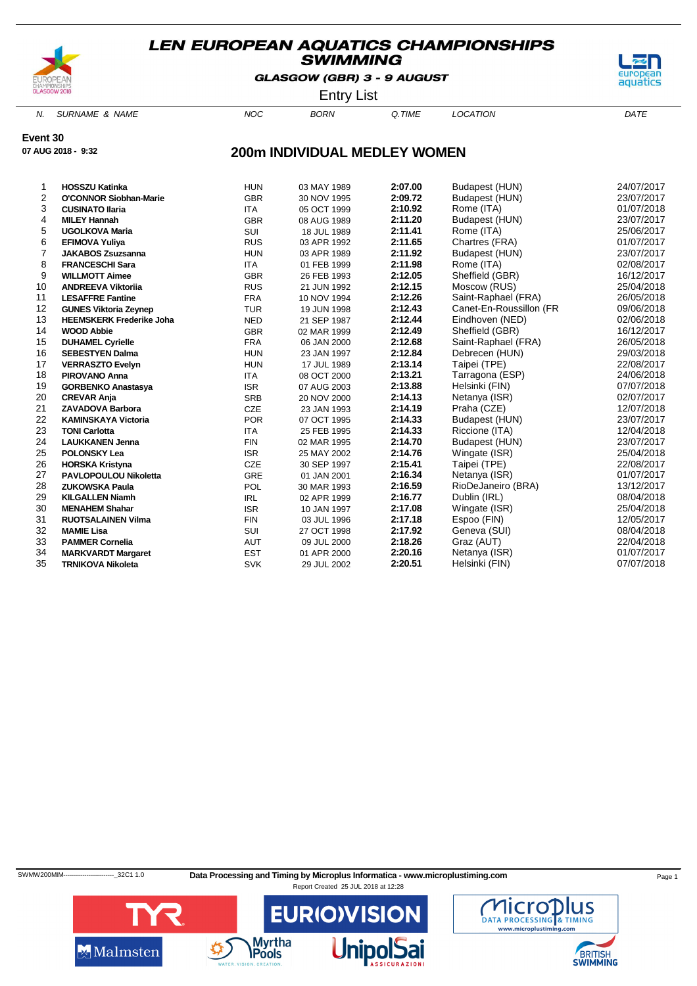

GLASGOW (GBR) 3 - 9 AUGUST



Entry List

N. SURNAME & NAME  $NOC$  BORN Q.TIME LOCATION DATE

**Event 30**

**07 AUG 2018 - 9:32**

### **200m INDIVIDUAL MEDLEY WOMEN**

| 1              | <b>HOSSZU Katinka</b>           | <b>HUN</b> | 03 MAY 1989 | 2:07.00 | Budapest (HUN)          | 24/07/2017 |
|----------------|---------------------------------|------------|-------------|---------|-------------------------|------------|
| $\overline{2}$ | <b>O'CONNOR Siobhan-Marie</b>   | <b>GBR</b> | 30 NOV 1995 | 2:09.72 | Budapest (HUN)          | 23/07/2017 |
| 3              | <b>CUSINATO Ilaria</b>          | <b>ITA</b> | 05 OCT 1999 | 2:10.92 | Rome (ITA)              | 01/07/2018 |
| 4              | <b>MILEY Hannah</b>             | <b>GBR</b> | 08 AUG 1989 | 2:11.20 | Budapest (HUN)          | 23/07/2017 |
| 5              | <b>UGOLKOVA Maria</b>           | SUI        | 18 JUL 1989 | 2:11.41 | Rome (ITA)              | 25/06/2017 |
| 6              | <b>EFIMOVA Yuliya</b>           | <b>RUS</b> | 03 APR 1992 | 2:11.65 | Chartres (FRA)          | 01/07/2017 |
| 7              | <b>JAKABOS Zsuzsanna</b>        | <b>HUN</b> | 03 APR 1989 | 2:11.92 | Budapest (HUN)          | 23/07/2017 |
| 8              | <b>FRANCESCHI Sara</b>          | <b>ITA</b> | 01 FEB 1999 | 2:11.98 | Rome (ITA)              | 02/08/2017 |
| 9              | <b>WILLMOTT Aimee</b>           | <b>GBR</b> | 26 FEB 1993 | 2:12.05 | Sheffield (GBR)         | 16/12/2017 |
| 10             | <b>ANDREEVA Viktorija</b>       | <b>RUS</b> | 21 JUN 1992 | 2:12.15 | Moscow (RUS)            | 25/04/2018 |
| 11             | <b>LESAFFRE Fantine</b>         | <b>FRA</b> | 10 NOV 1994 | 2:12.26 | Saint-Raphael (FRA)     | 26/05/2018 |
| 12             | <b>GUNES Viktoria Zeynep</b>    | <b>TUR</b> | 19 JUN 1998 | 2:12.43 | Canet-En-Roussillon (FR | 09/06/2018 |
| 13             | <b>HEEMSKERK Frederike Joha</b> | <b>NED</b> | 21 SEP 1987 | 2:12.44 | Eindhoven (NED)         | 02/06/2018 |
| 14             | <b>WOOD Abbie</b>               | <b>GBR</b> | 02 MAR 1999 | 2:12.49 | Sheffield (GBR)         | 16/12/2017 |
| 15             | <b>DUHAMEL Cyrielle</b>         | <b>FRA</b> | 06 JAN 2000 | 2:12.68 | Saint-Raphael (FRA)     | 26/05/2018 |
| 16             | <b>SEBESTYEN Dalma</b>          | <b>HUN</b> | 23 JAN 1997 | 2:12.84 | Debrecen (HUN)          | 29/03/2018 |
| 17             | <b>VERRASZTO Evelyn</b>         | <b>HUN</b> | 17 JUL 1989 | 2:13.14 | Taipei (TPE)            | 22/08/2017 |
| 18             | <b>PIROVANO Anna</b>            | <b>ITA</b> | 08 OCT 2000 | 2:13.21 | Tarragona (ESP)         | 24/06/2018 |
| 19             | <b>GORBENKO Anastasya</b>       | <b>ISR</b> | 07 AUG 2003 | 2:13.88 | Helsinki (FIN)          | 07/07/2018 |
| 20             | <b>CREVAR Anja</b>              | <b>SRB</b> | 20 NOV 2000 | 2:14.13 | Netanya (ISR)           | 02/07/2017 |
| 21             | <b>ZAVADOVA Barbora</b>         | CZE        | 23 JAN 1993 | 2:14.19 | Praha (CZE)             | 12/07/2018 |
| 22             | <b>KAMINSKAYA Victoria</b>      | <b>POR</b> | 07 OCT 1995 | 2:14.33 | Budapest (HUN)          | 23/07/2017 |
| 23             | <b>TONI Carlotta</b>            | <b>ITA</b> | 25 FEB 1995 | 2:14.33 | Riccione (ITA)          | 12/04/2018 |
| 24             | <b>LAUKKANEN Jenna</b>          | <b>FIN</b> | 02 MAR 1995 | 2:14.70 | Budapest (HUN)          | 23/07/2017 |
| 25             | <b>POLONSKY Lea</b>             | <b>ISR</b> | 25 MAY 2002 | 2:14.76 | Wingate (ISR)           | 25/04/2018 |
| 26             | <b>HORSKA Kristyna</b>          | CZE        | 30 SEP 1997 | 2:15.41 | Taipei (TPE)            | 22/08/2017 |
| 27             | <b>PAVLOPOULOU Nikoletta</b>    | GRE        | 01 JAN 2001 | 2:16.34 | Netanya (ISR)           | 01/07/2017 |
| 28             | <b>ZUKOWSKA Paula</b>           | <b>POL</b> | 30 MAR 1993 | 2:16.59 | RioDeJaneiro (BRA)      | 13/12/2017 |
| 29             | <b>KILGALLEN Niamh</b>          | <b>IRL</b> | 02 APR 1999 | 2:16.77 | Dublin (IRL)            | 08/04/2018 |
| 30             | <b>MENAHEM Shahar</b>           | <b>ISR</b> | 10 JAN 1997 | 2:17.08 | Wingate (ISR)           | 25/04/2018 |
| 31             | <b>RUOTSALAINEN Vilma</b>       | <b>FIN</b> | 03 JUL 1996 | 2:17.18 | Espoo (FIN)             | 12/05/2017 |
| 32             | <b>MAMIE Lisa</b>               | <b>SUI</b> | 27 OCT 1998 | 2:17.92 | Geneva (SUI)            | 08/04/2018 |
| 33             | <b>PAMMER Cornelia</b>          | <b>AUT</b> | 09 JUL 2000 | 2:18.26 | Graz (AUT)              | 22/04/2018 |
| 34             | <b>MARKVARDT Margaret</b>       | <b>EST</b> | 01 APR 2000 | 2:20.16 | Netanya (ISR)           | 01/07/2017 |
| 35             | <b>TRNIKOVA Nikoleta</b>        | <b>SVK</b> | 29 JUL 2002 | 2:20.51 | Helsinki (FIN)          | 07/07/2018 |

SWMW200MIM-----------------------------32C1 1.0 Data Processing and Timing by Microplus Informatica - www.microplustiming.com Page 1



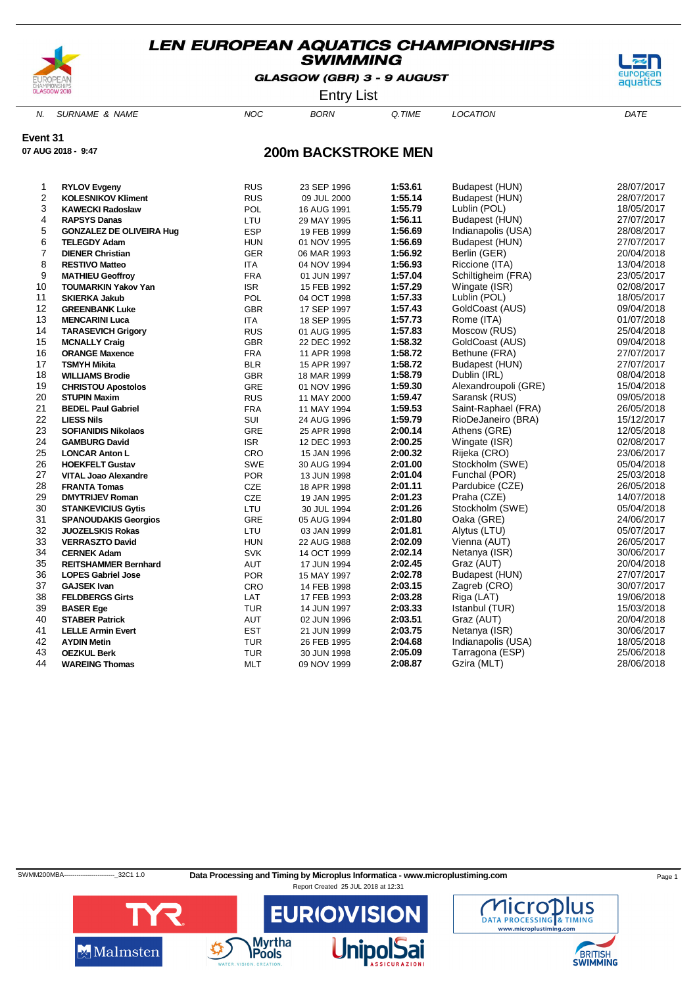

GLASGOW (GBR) 3 - 9 AUGUST



Entry List

N. SURNAME & NAME  $NOC$  BORN Q.TIME LOCATION DATE

**Event 31**

**07 AUG 2018 - 9:47**

### **200m BACKSTROKE MEN**

| 1              | <b>RYLOV Evgeny</b>             | <b>RUS</b> | 23 SEP 1996 | 1:53.61 | Budapest (HUN)       | 28/07/2017 |
|----------------|---------------------------------|------------|-------------|---------|----------------------|------------|
| $\overline{2}$ | <b>KOLESNIKOV Kliment</b>       | <b>RUS</b> | 09 JUL 2000 | 1:55.14 | Budapest (HUN)       | 28/07/2017 |
| 3              | <b>KAWECKI Radoslaw</b>         | POL        | 16 AUG 1991 | 1:55.79 | Lublin (POL)         | 18/05/2017 |
| 4              | <b>RAPSYS Danas</b>             | LTU        | 29 MAY 1995 | 1:56.11 | Budapest (HUN)       | 27/07/2017 |
| 5              | <b>GONZALEZ DE OLIVEIRA Hug</b> | <b>ESP</b> | 19 FEB 1999 | 1:56.69 | Indianapolis (USA)   | 28/08/2017 |
| 6              | <b>TELEGDY Adam</b>             | <b>HUN</b> | 01 NOV 1995 | 1:56.69 | Budapest (HUN)       | 27/07/2017 |
| 7              | <b>DIENER Christian</b>         | <b>GER</b> | 06 MAR 1993 | 1:56.92 | Berlin (GER)         | 20/04/2018 |
| 8              | <b>RESTIVO Matteo</b>           | <b>ITA</b> | 04 NOV 1994 | 1:56.93 | Riccione (ITA)       | 13/04/2018 |
| 9              | <b>MATHIEU Geoffroy</b>         | <b>FRA</b> | 01 JUN 1997 | 1:57.04 | Schiltigheim (FRA)   | 23/05/2017 |
| 10             | <b>TOUMARKIN Yakov Yan</b>      | <b>ISR</b> | 15 FEB 1992 | 1:57.29 | Wingate (ISR)        | 02/08/2017 |
| 11             | <b>SKIERKA Jakub</b>            | POL        | 04 OCT 1998 | 1:57.33 | Lublin (POL)         | 18/05/2017 |
| 12             | <b>GREENBANK Luke</b>           | <b>GBR</b> | 17 SEP 1997 | 1:57.43 | GoldCoast (AUS)      | 09/04/2018 |
| 13             | <b>MENCARINI Luca</b>           | <b>ITA</b> | 18 SEP 1995 | 1:57.73 | Rome (ITA)           | 01/07/2018 |
| 14             | <b>TARASEVICH Grigory</b>       | <b>RUS</b> | 01 AUG 1995 | 1:57.83 | Moscow (RUS)         | 25/04/2018 |
| 15             | <b>MCNALLY Craig</b>            | <b>GBR</b> | 22 DEC 1992 | 1:58.32 | GoldCoast (AUS)      | 09/04/2018 |
| 16             | <b>ORANGE Maxence</b>           | <b>FRA</b> | 11 APR 1998 | 1:58.72 | Bethune (FRA)        | 27/07/2017 |
| 17             | <b>TSMYH Mikita</b>             | <b>BLR</b> | 15 APR 1997 | 1:58.72 | Budapest (HUN)       | 27/07/2017 |
| 18             | <b>WILLIAMS Brodie</b>          | <b>GBR</b> | 18 MAR 1999 | 1:58.79 | Dublin (IRL)         | 08/04/2018 |
| 19             | <b>CHRISTOU Apostolos</b>       | GRE        | 01 NOV 1996 | 1:59.30 | Alexandroupoli (GRE) | 15/04/2018 |
| 20             | <b>STUPIN Maxim</b>             | <b>RUS</b> | 11 MAY 2000 | 1:59.47 | Saransk (RUS)        | 09/05/2018 |
| 21             | <b>BEDEL Paul Gabriel</b>       | <b>FRA</b> | 11 MAY 1994 | 1:59.53 | Saint-Raphael (FRA)  | 26/05/2018 |
| 22             | <b>LIESS Nils</b>               | SUI        | 24 AUG 1996 | 1:59.79 | RioDeJaneiro (BRA)   | 15/12/2017 |
| 23             | <b>SOFIANIDIS Nikolaos</b>      | GRE        | 25 APR 1998 | 2:00.14 | Athens (GRE)         | 12/05/2018 |
| 24             | <b>GAMBURG David</b>            | <b>ISR</b> | 12 DEC 1993 | 2:00.25 | Wingate (ISR)        | 02/08/2017 |
| 25             | <b>LONCAR Anton L</b>           | CRO        | 15 JAN 1996 | 2:00.32 | Rijeka (CRO)         | 23/06/2017 |
| 26             | <b>HOEKFELT Gustav</b>          | <b>SWE</b> | 30 AUG 1994 | 2:01.00 | Stockholm (SWE)      | 05/04/2018 |
| 27             | <b>VITAL Joao Alexandre</b>     | <b>POR</b> | 13 JUN 1998 | 2:01.04 | Funchal (POR)        | 25/03/2018 |
| 28             | <b>FRANTA Tomas</b>             | <b>CZE</b> | 18 APR 1998 | 2:01.11 | Pardubice (CZE)      | 26/05/2018 |
| 29             | <b>DMYTRIJEV Roman</b>          | <b>CZE</b> | 19 JAN 1995 | 2:01.23 | Praha (CZE)          | 14/07/2018 |
| 30             | <b>STANKEVICIUS Gytis</b>       | LTU        | 30 JUL 1994 | 2:01.26 | Stockholm (SWE)      | 05/04/2018 |
| 31             | <b>SPANOUDAKIS Georgios</b>     | GRE        | 05 AUG 1994 | 2:01.80 | Oaka (GRE)           | 24/06/2017 |
| 32             | <b>JUOZELSKIS Rokas</b>         | LTU        | 03 JAN 1999 | 2:01.81 | Alytus (LTU)         | 05/07/2017 |
| 33             | <b>VERRASZTO David</b>          | <b>HUN</b> | 22 AUG 1988 | 2:02.09 | Vienna (AUT)         | 26/05/2017 |
| 34             | <b>CERNEK Adam</b>              | <b>SVK</b> | 14 OCT 1999 | 2:02.14 | Netanya (ISR)        | 30/06/2017 |
| 35             | <b>REITSHAMMER Bernhard</b>     | AUT        | 17 JUN 1994 | 2:02.45 | Graz (AUT)           | 20/04/2018 |
| 36             | <b>LOPES Gabriel Jose</b>       | <b>POR</b> | 15 MAY 1997 | 2:02.78 | Budapest (HUN)       | 27/07/2017 |
| 37             | <b>GAJSEK Ivan</b>              | CRO        | 14 FEB 1998 | 2:03.15 | Zagreb (CRO)         | 30/07/2017 |
| 38             | <b>FELDBERGS Girts</b>          | LAT        | 17 FEB 1993 | 2:03.28 | Riga (LAT)           | 19/06/2018 |
| 39             | <b>BASER Ege</b>                | <b>TUR</b> | 14 JUN 1997 | 2:03.33 | Istanbul (TUR)       | 15/03/2018 |
| 40             | <b>STABER Patrick</b>           | AUT        | 02 JUN 1996 | 2:03.51 | Graz (AUT)           | 20/04/2018 |
| 41             | <b>LELLE Armin Evert</b>        | <b>EST</b> | 21 JUN 1999 | 2:03.75 | Netanya (ISR)        | 30/06/2017 |
| 42             | <b>AYDIN Metin</b>              | <b>TUR</b> | 26 FEB 1995 | 2:04.68 | Indianapolis (USA)   | 18/05/2018 |
| 43             | <b>OEZKUL Berk</b>              | <b>TUR</b> | 30 JUN 1998 | 2:05.09 | Tarragona (ESP)      | 25/06/2018 |
| 44             | <b>WAREING Thomas</b>           | <b>MLT</b> | 09 NOV 1999 | 2:08.87 | Gzira (MLT)          | 28/06/2018 |
|                |                                 |            |             |         |                      |            |

SWMM200MBA----------------------------32C1 1.0 Data Processing and Timing by Microplus Informatica - www.microplustiming.com Page 1



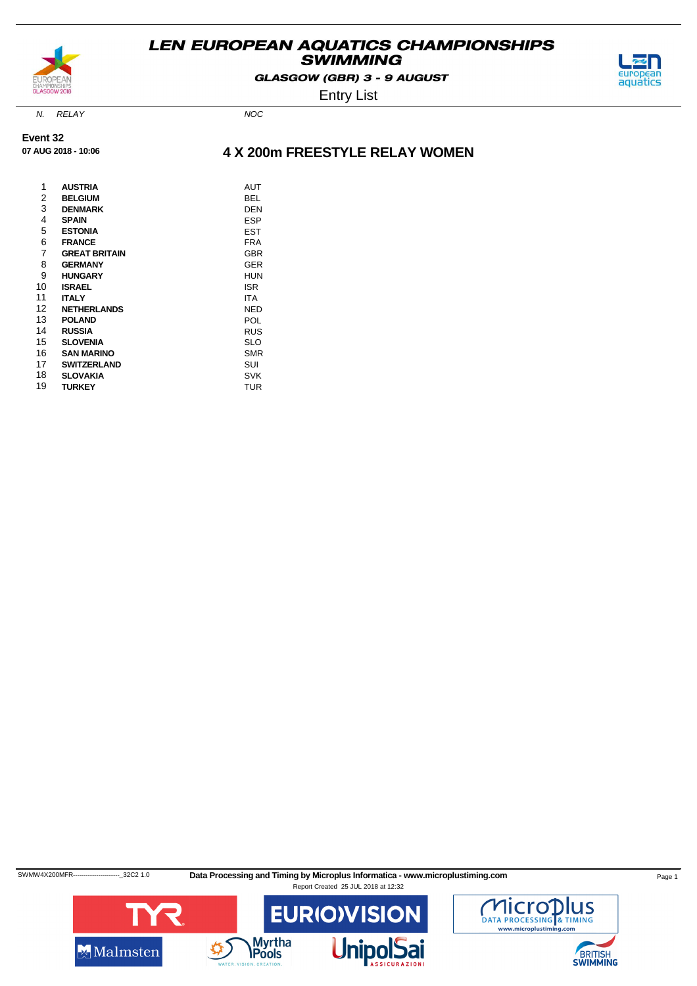

GLASGOW (GBR) 3 - 9 AUGUST



Entry List

N. RELAY NOC

**Event 32 07 AUG 2018 - 10:06**

### **4 X 200m FREESTYLE RELAY WOMEN**

| 1<br>2 | <b>AUSTRIA</b><br><b>BELGIUM</b> | AUT<br>BEL |
|--------|----------------------------------|------------|
| 3      | <b>DENMARK</b>                   | DEN        |
| 4      | <b>SPAIN</b>                     | <b>ESP</b> |
| 5      | <b>ESTONIA</b>                   | <b>EST</b> |
| 6      | <b>FRANCE</b>                    | <b>FRA</b> |
| 7      | <b>GREAT BRITAIN</b>             | <b>GBR</b> |
| 8      | <b>GERMANY</b>                   | <b>GER</b> |
| 9      | <b>HUNGARY</b>                   | <b>HUN</b> |
| 10     | <b>ISRAEL</b>                    | ISR        |
| 11     | <b>ITALY</b>                     | <b>ITA</b> |
| 12     | <b>NETHERLANDS</b>               | NED        |
| 13     | <b>POLAND</b>                    | POL        |
| 14     | <b>RUSSIA</b>                    | <b>RUS</b> |
| 15     | <b>SLOVENIA</b>                  | SLO        |
| 16     | <b>SAN MARINO</b>                | <b>SMR</b> |
| 17     | <b>SWITZERLAND</b>               | SUI        |
| 18     | <b>SLOVAKIA</b>                  | <b>SVK</b> |
| 19     | <b>TURKEY</b>                    | <b>TUR</b> |

SWMW4X200MFR----------------------------32C2 1.0 Data Processing and Timing by Microplus Informatica - www.microplustiming.com



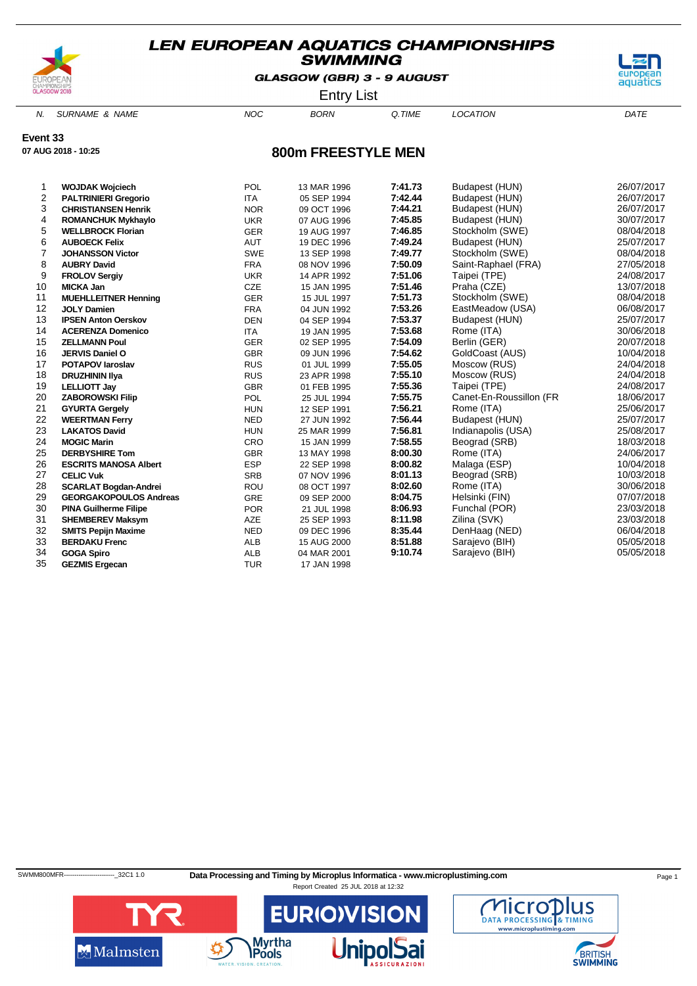

GLASGOW (GBR) 3 - 9 AUGUST



Entry List

N. SURNAME & NAME  $NOC$  BORN Q.TIME LOCATION DATE

**Event 33**

**07 AUG 2018 - 10:25**

### **800m FREESTYLE MEN**

| 1              | <b>WOJDAK Wojciech</b>        | POL        | 13 MAR 1996 | 7:41.73 | Budapest (HUN)          | 26/07/2017 |
|----------------|-------------------------------|------------|-------------|---------|-------------------------|------------|
| 2              | <b>PALTRINIERI Gregorio</b>   | <b>ITA</b> | 05 SEP 1994 | 7:42.44 | Budapest (HUN)          | 26/07/2017 |
| 3              | <b>CHRISTIANSEN Henrik</b>    | <b>NOR</b> | 09 OCT 1996 | 7:44.21 | Budapest (HUN)          | 26/07/2017 |
| 4              | <b>ROMANCHUK Mykhaylo</b>     | <b>UKR</b> | 07 AUG 1996 | 7:45.85 | Budapest (HUN)          | 30/07/2017 |
| 5              | <b>WELLBROCK Florian</b>      | <b>GER</b> | 19 AUG 1997 | 7:46.85 | Stockholm (SWE)         | 08/04/2018 |
| 6              | <b>AUBOECK Felix</b>          | <b>AUT</b> | 19 DEC 1996 | 7:49.24 | Budapest (HUN)          | 25/07/2017 |
| $\overline{7}$ | <b>JOHANSSON Victor</b>       | <b>SWE</b> | 13 SEP 1998 | 7:49.77 | Stockholm (SWE)         | 08/04/2018 |
| 8              | <b>AUBRY David</b>            | <b>FRA</b> | 08 NOV 1996 | 7:50.09 | Saint-Raphael (FRA)     | 27/05/2018 |
| 9              | <b>FROLOV Sergiy</b>          | <b>UKR</b> | 14 APR 1992 | 7:51.06 | Taipei (TPE)            | 24/08/2017 |
| 10             | <b>MICKA Jan</b>              | <b>CZE</b> | 15 JAN 1995 | 7:51.46 | Praha (CZE)             | 13/07/2018 |
| 11             | <b>MUEHLLEITNER Henning</b>   | <b>GER</b> | 15 JUL 1997 | 7:51.73 | Stockholm (SWE)         | 08/04/2018 |
| 12             | <b>JOLY Damien</b>            | <b>FRA</b> | 04 JUN 1992 | 7:53.26 | EastMeadow (USA)        | 06/08/2017 |
| 13             | <b>IPSEN Anton Oerskov</b>    | <b>DEN</b> | 04 SEP 1994 | 7:53.37 | Budapest (HUN)          | 25/07/2017 |
| 14             | <b>ACERENZA Domenico</b>      | <b>ITA</b> | 19 JAN 1995 | 7:53.68 | Rome (ITA)              | 30/06/2018 |
| 15             | <b>ZELLMANN Poul</b>          | <b>GER</b> | 02 SEP 1995 | 7:54.09 | Berlin (GER)            | 20/07/2018 |
| 16             | <b>JERVIS Daniel O</b>        | <b>GBR</b> | 09 JUN 1996 | 7:54.62 | GoldCoast (AUS)         | 10/04/2018 |
| 17             | <b>POTAPOV laroslav</b>       | <b>RUS</b> | 01 JUL 1999 | 7:55.05 | Moscow (RUS)            | 24/04/2018 |
| 18             | <b>DRUZHININ IIya</b>         | <b>RUS</b> | 23 APR 1998 | 7:55.10 | Moscow (RUS)            | 24/04/2018 |
| 19             | <b>LELLIOTT Jay</b>           | <b>GBR</b> | 01 FEB 1995 | 7:55.36 | Taipei (TPE)            | 24/08/2017 |
| 20             | <b>ZABOROWSKI Filip</b>       | POL        | 25 JUL 1994 | 7:55.75 | Canet-En-Roussillon (FR | 18/06/2017 |
| 21             | <b>GYURTA Gergely</b>         | <b>HUN</b> | 12 SEP 1991 | 7:56.21 | Rome (ITA)              | 25/06/2017 |
| 22             | <b>WEERTMAN Ferry</b>         | <b>NED</b> | 27 JUN 1992 | 7:56.44 | Budapest (HUN)          | 25/07/2017 |
| 23             | <b>LAKATOS David</b>          | <b>HUN</b> | 25 MAR 1999 | 7:56.81 | Indianapolis (USA)      | 25/08/2017 |
| 24             | <b>MOGIC Marin</b>            | CRO        | 15 JAN 1999 | 7:58.55 | Beograd (SRB)           | 18/03/2018 |
| 25             | <b>DERBYSHIRE Tom</b>         | <b>GBR</b> | 13 MAY 1998 | 8:00.30 | Rome (ITA)              | 24/06/2017 |
| 26             | <b>ESCRITS MANOSA Albert</b>  | <b>ESP</b> | 22 SEP 1998 | 8:00.82 | Malaga (ESP)            | 10/04/2018 |
| 27             | <b>CELIC Vuk</b>              | <b>SRB</b> | 07 NOV 1996 | 8:01.13 | Beograd (SRB)           | 10/03/2018 |
| 28             | <b>SCARLAT Bogdan-Andrei</b>  | ROU        | 08 OCT 1997 | 8:02.60 | Rome (ITA)              | 30/06/2018 |
| 29             | <b>GEORGAKOPOULOS Andreas</b> | <b>GRE</b> | 09 SEP 2000 | 8:04.75 | Helsinki (FIN)          | 07/07/2018 |
| 30             | <b>PINA Guilherme Filipe</b>  | <b>POR</b> | 21 JUL 1998 | 8:06.93 | Funchal (POR)           | 23/03/2018 |
| 31             | <b>SHEMBEREV Maksym</b>       | <b>AZE</b> | 25 SEP 1993 | 8:11.98 | Zilina (SVK)            | 23/03/2018 |
| 32             | <b>SMITS Pepijn Maxime</b>    | <b>NED</b> | 09 DEC 1996 | 8:35.44 | DenHaag (NED)           | 06/04/2018 |
| 33             | <b>BERDAKU Frenc</b>          | <b>ALB</b> | 15 AUG 2000 | 8:51.88 | Sarajevo (BIH)          | 05/05/2018 |
| 34             | <b>GOGA Spiro</b>             | <b>ALB</b> | 04 MAR 2001 | 9:10.74 | Sarajevo (BIH)          | 05/05/2018 |
| 35             | <b>GEZMIS Ergecan</b>         | <b>TUR</b> | 17 JAN 1998 |         |                         |            |

SWMM800MFR----------------------------32C1 1.0 Data Processing and Timing by Microplus Informatica - www.microplustiming.com Page 1



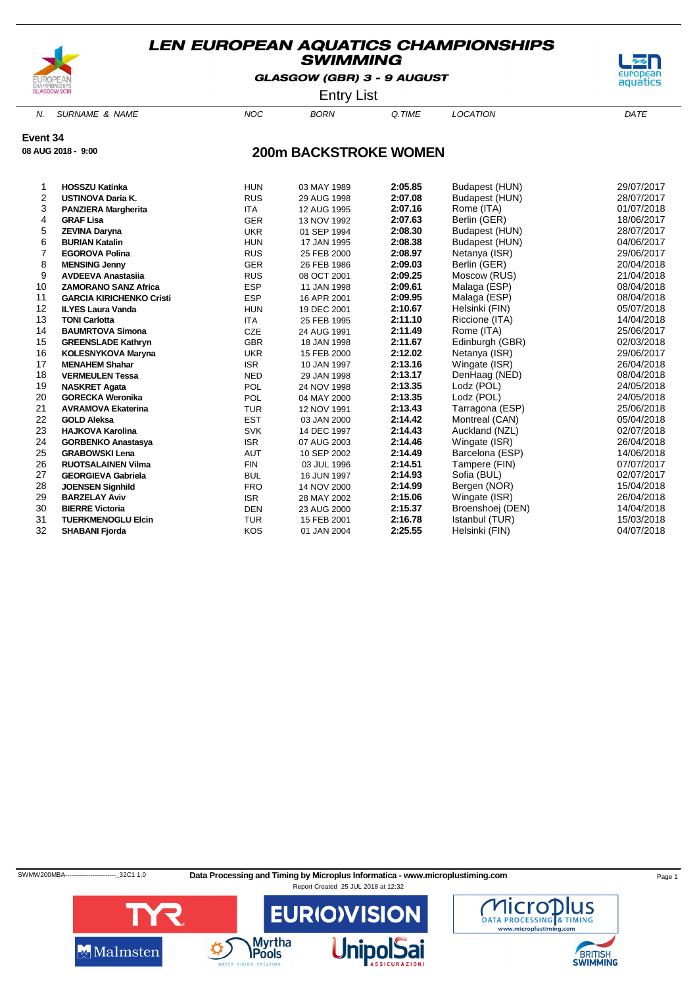

GLASGOW (GBR) 3 - 9 AUGUST



Entry List

N. SURNAME & NAME  $NOC$  BORN Q.TIME LOCATION DATE

**Event 34**

**08 AUG 2018 - 9:00**

### **200m BACKSTROKE WOMEN**

| <b>HOSSZU Katinka</b>           | <b>HUN</b> | 03 MAY 1989 | 2:05.85 | Budapest (HUN)   | 29/07/2017 |
|---------------------------------|------------|-------------|---------|------------------|------------|
| <b>USTINOVA Daria K.</b>        | <b>RUS</b> | 29 AUG 1998 | 2:07.08 | Budapest (HUN)   | 28/07/2017 |
| <b>PANZIERA Margherita</b>      | <b>ITA</b> | 12 AUG 1995 | 2:07.16 | Rome (ITA)       | 01/07/2018 |
| <b>GRAF Lisa</b>                | <b>GER</b> | 13 NOV 1992 | 2:07.63 | Berlin (GER)     | 18/06/2017 |
| <b>ZEVINA Daryna</b>            | <b>UKR</b> | 01 SEP 1994 | 2:08.30 | Budapest (HUN)   | 28/07/2017 |
| <b>BURIAN Katalin</b>           | <b>HUN</b> | 17 JAN 1995 | 2:08.38 | Budapest (HUN)   | 04/06/2017 |
| <b>EGOROVA Polina</b>           | <b>RUS</b> | 25 FEB 2000 | 2:08.97 | Netanya (ISR)    | 29/06/2017 |
| <b>MENSING Jenny</b>            | <b>GER</b> | 26 FEB 1986 | 2:09.03 | Berlin (GER)     | 20/04/2018 |
| <b>AVDEEVA Anastasija</b>       | <b>RUS</b> | 08 OCT 2001 | 2:09.25 | Moscow (RUS)     | 21/04/2018 |
| <b>ZAMORANO SANZ Africa</b>     | <b>ESP</b> | 11 JAN 1998 | 2:09.61 | Malaga (ESP)     | 08/04/2018 |
| <b>GARCIA KIRICHENKO Cristi</b> | <b>ESP</b> | 16 APR 2001 | 2:09.95 | Malaga (ESP)     | 08/04/2018 |
| <b>ILYES Laura Vanda</b>        | <b>HUN</b> | 19 DEC 2001 | 2:10.67 | Helsinki (FIN)   | 05/07/2018 |
| <b>TONI Carlotta</b>            | <b>ITA</b> | 25 FEB 1995 | 2:11.10 | Riccione (ITA)   | 14/04/2018 |
| <b>BAUMRTOVA Simona</b>         | CZE        | 24 AUG 1991 | 2:11.49 | Rome (ITA)       | 25/06/2017 |
| <b>GREENSLADE Kathryn</b>       | <b>GBR</b> | 18 JAN 1998 | 2:11.67 | Edinburgh (GBR)  | 02/03/2018 |
| <b>KOLESNYKOVA Maryna</b>       | <b>UKR</b> | 15 FEB 2000 | 2:12.02 | Netanya (ISR)    | 29/06/2017 |
| <b>MENAHEM Shahar</b>           | <b>ISR</b> | 10 JAN 1997 | 2:13.16 | Wingate (ISR)    | 26/04/2018 |
| <b>VERMEULEN Tessa</b>          | <b>NED</b> | 29 JAN 1998 | 2:13.17 | DenHaag (NED)    | 08/04/2018 |
| <b>NASKRET Agata</b>            | POL        | 24 NOV 1998 | 2:13.35 | Lodz (POL)       | 24/05/2018 |
| <b>GORECKA Weronika</b>         | POL        | 04 MAY 2000 | 2:13.35 | Lodz (POL)       | 24/05/2018 |
| <b>AVRAMOVA Ekaterina</b>       | TUR        | 12 NOV 1991 | 2:13.43 | Tarragona (ESP)  | 25/06/2018 |
| <b>GOLD Aleksa</b>              | <b>EST</b> | 03 JAN 2000 | 2:14.42 | Montreal (CAN)   | 05/04/2018 |
| <b>HAJKOVA Karolina</b>         | <b>SVK</b> | 14 DEC 1997 | 2:14.43 | Auckland (NZL)   | 02/07/2018 |
| <b>GORBENKO Anastasya</b>       | <b>ISR</b> | 07 AUG 2003 | 2:14.46 | Wingate (ISR)    | 26/04/2018 |
| <b>GRABOWSKI Lena</b>           | <b>AUT</b> | 10 SEP 2002 | 2:14.49 | Barcelona (ESP)  | 14/06/2018 |
| <b>RUOTSALAINEN Vilma</b>       | <b>FIN</b> | 03 JUL 1996 | 2:14.51 | Tampere (FIN)    | 07/07/2017 |
| <b>GEORGIEVA Gabriela</b>       | <b>BUL</b> | 16 JUN 1997 | 2:14.93 | Sofia (BUL)      | 02/07/2017 |
| <b>JOENSEN Signhild</b>         | <b>FRO</b> | 14 NOV 2000 | 2:14.99 | Bergen (NOR)     | 15/04/2018 |
| <b>BARZELAY Aviv</b>            | <b>ISR</b> | 28 MAY 2002 | 2:15.06 | Wingate (ISR)    | 26/04/2018 |
| <b>BIERRE Victoria</b>          | <b>DEN</b> | 23 AUG 2000 | 2:15.37 | Broenshoej (DEN) | 14/04/2018 |
| <b>TUERKMENOGLU Elcin</b>       | <b>TUR</b> | 15 FEB 2001 | 2:16.78 | Istanbul (TUR)   | 15/03/2018 |
| <b>SHABANI Fjorda</b>           | <b>KOS</b> | 01 JAN 2004 | 2:25.55 | Helsinki (FIN)   | 04/07/2018 |
|                                 |            |             |         |                  |            |

SWMW200MBA------------------------------32C1 1.0 Data Processing and Timing by Microplus Informatica - www.microplustiming.com Page 1



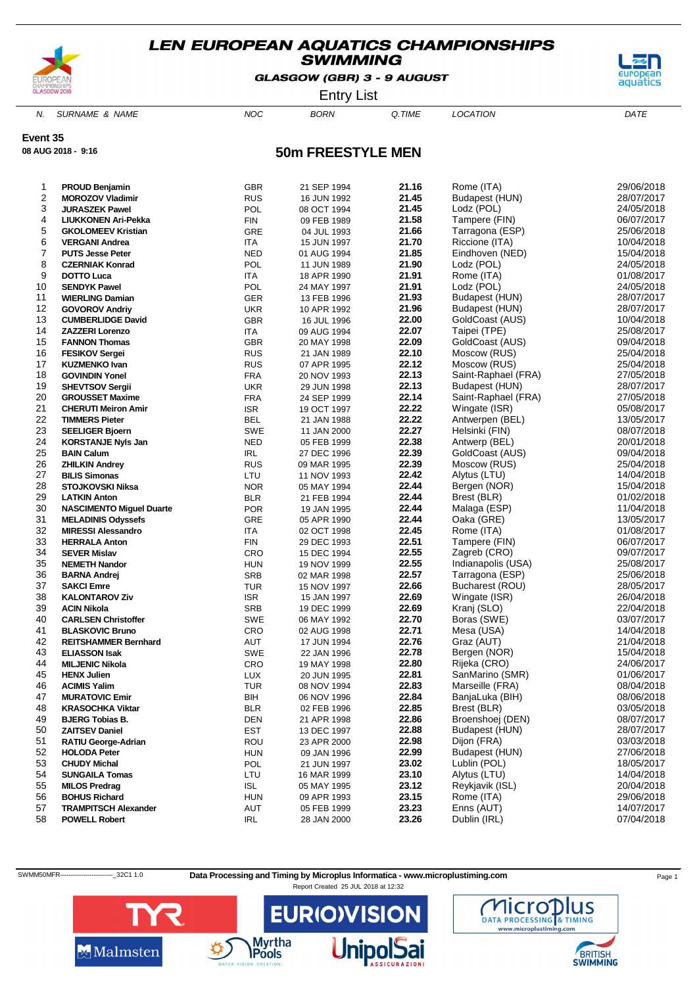

GLASGOW (GBR) 3 - 9 AUGUST



Entry List

N. SURNAME & NAME  $NOC$  BORN Q.TIME LOCATION DATE

**Event 35**

**08 AUG 2018 - 9:16**

# **50m FREESTYLE MEN**

| 1  | PROUD Benjamin                  | <b>GBR</b> | 21 SEP 1994 | 21.16 | Rome (ITA)            | 29/06/2018               |
|----|---------------------------------|------------|-------------|-------|-----------------------|--------------------------|
| 2  | <b>MOROZOV Vladimir</b>         | <b>RUS</b> | 16 JUN 1992 | 21.45 | Budapest (HUN)        | 28/07/2017               |
| 3  |                                 |            |             | 21.45 |                       |                          |
| 4  | <b>JURASZEK Pawel</b>           | POL        | 08 OCT 1994 |       | Lodz (POL)            | 24/05/2018<br>06/07/2017 |
|    | <b>LIUKKONEN Ari-Pekka</b>      | <b>FIN</b> | 09 FEB 1989 | 21.58 | Tampere (FIN)         |                          |
| 5  | <b>GKOLOMEEV Kristian</b>       | GRE        | 04 JUL 1993 | 21.66 | Tarragona (ESP)       | 25/06/2018               |
| 6  | <b>VERGANI Andrea</b>           | <b>ITA</b> | 15 JUN 1997 | 21.70 | Riccione (ITA)        | 10/04/2018               |
| 7  | <b>PUTS Jesse Peter</b>         | <b>NED</b> | 01 AUG 1994 | 21.85 | Eindhoven (NED)       | 15/04/2018               |
| 8  | <b>CZERNIAK Konrad</b>          | POL        | 11 JUN 1989 | 21.90 | Lodz (POL)            | 24/05/2018               |
| 9  | DOTTO Luca                      | ITA        | 18 APR 1990 | 21.91 | Rome (ITA)            | 01/08/2017               |
| 10 | <b>SENDYK Pawel</b>             | POL        | 24 MAY 1997 | 21.91 | Lodz (POL)            | 24/05/2018               |
| 11 | <b>WIERLING Damian</b>          | GER        | 13 FEB 1996 | 21.93 | Budapest (HUN)        | 28/07/2017               |
| 12 | <b>GOVOROV Andriy</b>           | <b>UKR</b> | 10 APR 1992 | 21.96 | Budapest (HUN)        | 28/07/2017               |
| 13 | <b>CUMBERLIDGE David</b>        | <b>GBR</b> | 16 JUL 1996 | 22.00 | GoldCoast (AUS)       | 10/04/2018               |
| 14 | <b>ZAZZERI Lorenzo</b>          | ITA        | 09 AUG 1994 | 22.07 | Taipei (TPE)          | 25/08/2017               |
| 15 | <b>FANNON Thomas</b>            | <b>GBR</b> | 20 MAY 1998 | 22.09 | GoldCoast (AUS)       | 09/04/2018               |
| 16 | <b>FESIKOV Sergei</b>           | <b>RUS</b> | 21 JAN 1989 | 22.10 | Moscow (RUS)          | 25/04/2018               |
| 17 | <b>KUZMENKO Ivan</b>            | <b>RUS</b> | 07 APR 1995 | 22.12 | Moscow (RUS)          | 25/04/2018               |
| 18 | <b>GOVINDIN Yonel</b>           | <b>FRA</b> | 20 NOV 1993 | 22.13 | Saint-Raphael (FRA)   | 27/05/2018               |
| 19 | <b>SHEVTSOV Sergii</b>          | <b>UKR</b> | 29 JUN 1998 | 22.13 | Budapest (HUN)        | 28/07/2017               |
| 20 | <b>GROUSSET Maxime</b>          | <b>FRA</b> | 24 SEP 1999 | 22.14 | Saint-Raphael (FRA)   | 27/05/2018               |
| 21 | <b>CHERUTI Meiron Amir</b>      | <b>ISR</b> | 19 OCT 1997 | 22.22 | Wingate (ISR)         | 05/08/2017               |
| 22 | <b>TIMMERS Pieter</b>           | <b>BEL</b> | 21 JAN 1988 | 22.22 | Antwerpen (BEL)       | 13/05/2017               |
| 23 | <b>SEELIGER Bjoern</b>          | SWE        | 11 JAN 2000 | 22.27 | Helsinki (FIN)        | 08/07/2018               |
| 24 | <b>KORSTANJE Nyls Jan</b>       | <b>NED</b> | 05 FEB 1999 | 22.38 | Antwerp (BEL)         | 20/01/2018               |
| 25 | <b>BAIN Calum</b>               | <b>IRL</b> | 27 DEC 1996 | 22.39 | GoldCoast (AUS)       | 09/04/2018               |
| 26 | <b>ZHILKIN Andrey</b>           | <b>RUS</b> | 09 MAR 1995 | 22.39 | Moscow (RUS)          | 25/04/2018               |
| 27 | <b>BILIS Simonas</b>            | LTU        | 11 NOV 1993 | 22.42 | Alytus (LTU)          | 14/04/2018               |
| 28 | <b>STOJKOVSKI Niksa</b>         | <b>NOR</b> | 05 MAY 1994 | 22.44 | Bergen (NOR)          | 15/04/2018               |
| 29 | <b>LATKIN Anton</b>             | <b>BLR</b> | 21 FEB 1994 | 22.44 | Brest (BLR)           | 01/02/2018               |
| 30 | <b>NASCIMENTO Miguel Duarte</b> | <b>POR</b> | 19 JAN 1995 | 22.44 | Malaga (ESP)          | 11/04/2018               |
| 31 | <b>MELADINIS Odyssefs</b>       | GRE        | 05 APR 1990 | 22.44 | Oaka (GRE)            | 13/05/2017               |
| 32 | <b>MIRESSI Alessandro</b>       | <b>ITA</b> | 02 OCT 1998 | 22.45 | Rome (ITA)            | 01/08/2017               |
| 33 | <b>HERRALA Anton</b>            | FIN        | 29 DEC 1993 | 22.51 | Tampere (FIN)         | 06/07/2017               |
| 34 | <b>SEVER Mislav</b>             | CRO        | 15 DEC 1994 | 22.55 | Zagreb (CRO)          | 09/07/2017               |
| 35 | <b>NEMETH Nandor</b>            | <b>HUN</b> | 19 NOV 1999 | 22.55 | Indianapolis (USA)    | 25/08/2017               |
| 36 | <b>BARNA Andrej</b>             | SRB        | 02 MAR 1998 | 22.57 | Tarragona (ESP)       | 25/06/2018               |
| 37 | <b>SAKCI Emre</b>               | <b>TUR</b> | 15 NOV 1997 | 22.66 | Bucharest (ROU)       | 28/05/2017               |
| 38 | <b>KALONTAROV Ziv</b>           | <b>ISR</b> | 15 JAN 1997 | 22.69 | Wingate (ISR)         | 26/04/2018               |
| 39 | <b>ACIN Nikola</b>              | SRB        | 19 DEC 1999 | 22.69 | Kranj (SLO)           | 22/04/2018               |
| 40 | <b>CARLSEN Christoffer</b>      | SWE        | 06 MAY 1992 | 22.70 | Boras (SWE)           | 03/07/2017               |
| 41 | <b>BLASKOVIC Bruno</b>          | CRO        | 02 AUG 1998 | 22.71 | Mesa (USA)            | 14/04/2018               |
| 42 | <b>REITSHAMMER Bernhard</b>     | AUT        | 17 JUN 1994 | 22.76 | Graz (AUT)            | 21/04/2018               |
| 43 | <b>ELIASSON Isak</b>            | SWE        | 22 JAN 1996 | 22.78 | Bergen (NOR)          | 15/04/2018               |
| 44 | <b>MILJENIC Nikola</b>          | CRO        | 19 MAY 1998 | 22.80 | Rijeka (CRO)          | 24/06/2017               |
| 45 | <b>HENX Julien</b>              | <b>LUX</b> | 20 JUN 1995 | 22.81 | SanMarino (SMR)       | 01/06/2017               |
| 46 | <b>ACIMIS Yalim</b>             | <b>TUR</b> | 08 NOV 1994 | 22.83 | Marseille (FRA)       | 08/04/2018               |
| 47 | <b>MURATOVIC Emir</b>           | BIH        | 06 NOV 1996 | 22.84 | BanjaLuka (BIH)       | 08/06/2018               |
| 48 | <b>KRASOCHKA Viktar</b>         | <b>BLR</b> | 02 FEB 1996 | 22.85 | Brest (BLR)           | 03/05/2018               |
| 49 | <b>BJERG Tobias B.</b>          | <b>DEN</b> | 21 APR 1998 | 22.86 | Broenshoej (DEN)      | 08/07/2017               |
| 50 | <b>ZAITSEV Daniel</b>           | <b>EST</b> | 13 DEC 1997 | 22.88 | <b>Budapest (HUN)</b> | 28/07/2017               |
| 51 | <b>RATIU George-Adrian</b>      | ROU        | 23 APR 2000 | 22.98 | Dijon (FRA)           | 03/03/2018               |
| 52 | <b>HOLODA Peter</b>             | <b>HUN</b> | 09 JAN 1996 | 22.99 | Budapest (HUN)        | 27/06/2018               |
| 53 | <b>CHUDY Michal</b>             | POL        | 21 JUN 1997 | 23.02 | Lublin (POL)          | 18/05/2017               |
| 54 | <b>SUNGAILA Tomas</b>           | LTU        | 16 MAR 1999 | 23.10 | Alytus (LTU)          | 14/04/2018               |
| 55 | <b>MILOS Predrag</b>            | <b>ISL</b> | 05 MAY 1995 | 23.12 | Reykjavik (ISL)       | 20/04/2018               |
| 56 | <b>BOHUS Richard</b>            | <b>HUN</b> | 09 APR 1993 | 23.15 | Rome (ITA)            | 29/06/2018               |
| 57 | <b>TRAMPITSCH Alexander</b>     | AUT        | 05 FEB 1999 | 23.23 | Enns (AUT)            | 14/07/2017               |
| 58 | <b>POWELL Robert</b>            | IRL        | 28 JAN 2000 | 23.26 | Dublin (IRL)          | 07/04/2018               |
|    |                                 |            |             |       |                       |                          |

SWMM50MFR------------------------------32C1 1.0 Data Processing and Timing by Microplus Informatica - www.microplustiming.com Page 1





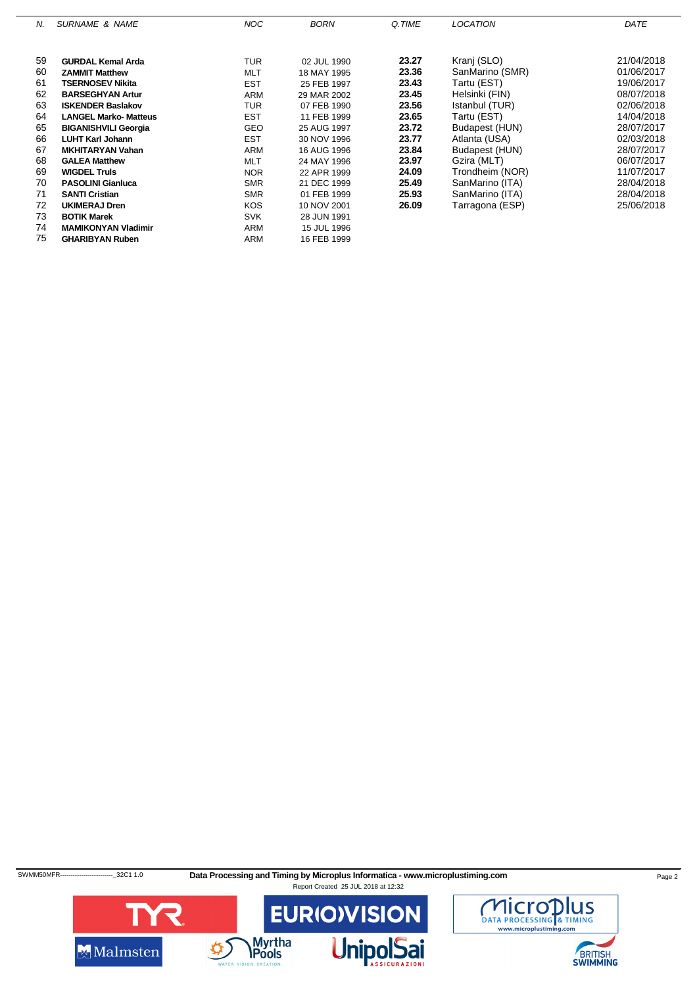| N. | <b>SURNAME &amp; NAME</b>    | <b>NOC</b> | <b>BORN</b> | Q.TIME | <b>LOCATION</b> | DATE       |
|----|------------------------------|------------|-------------|--------|-----------------|------------|
|    |                              |            |             |        |                 |            |
| 59 | <b>GURDAL Kemal Arda</b>     | <b>TUR</b> | 02 JUL 1990 | 23.27  | Kranj (SLO)     | 21/04/2018 |
| 60 | <b>ZAMMIT Matthew</b>        | <b>MLT</b> | 18 MAY 1995 | 23.36  | SanMarino (SMR) | 01/06/2017 |
| 61 | <b>TSERNOSEV Nikita</b>      | <b>EST</b> | 25 FEB 1997 | 23.43  | Tartu (EST)     | 19/06/2017 |
| 62 | <b>BARSEGHYAN Artur</b>      | ARM        | 29 MAR 2002 | 23.45  | Helsinki (FIN)  | 08/07/2018 |
| 63 | <b>ISKENDER Baslakov</b>     | <b>TUR</b> | 07 FEB 1990 | 23.56  | Istanbul (TUR)  | 02/06/2018 |
| 64 | <b>LANGEL Marko- Matteus</b> | <b>EST</b> | 11 FEB 1999 | 23.65  | Tartu (EST)     | 14/04/2018 |
| 65 | <b>BIGANISHVILI Georgia</b>  | <b>GEO</b> | 25 AUG 1997 | 23.72  | Budapest (HUN)  | 28/07/2017 |
| 66 | <b>LUHT Karl Johann</b>      | <b>EST</b> | 30 NOV 1996 | 23.77  | Atlanta (USA)   | 02/03/2018 |
| 67 | <b>MKHITARYAN Vahan</b>      | <b>ARM</b> | 16 AUG 1996 | 23.84  | Budapest (HUN)  | 28/07/2017 |
| 68 | <b>GALEA Matthew</b>         | <b>MLT</b> | 24 MAY 1996 | 23.97  | Gzira (MLT)     | 06/07/2017 |
| 69 | <b>WIGDEL Truls</b>          | <b>NOR</b> | 22 APR 1999 | 24.09  | Trondheim (NOR) | 11/07/2017 |
| 70 | <b>PASOLINI Gianluca</b>     | <b>SMR</b> | 21 DEC 1999 | 25.49  | SanMarino (ITA) | 28/04/2018 |
| 71 | <b>SANTI Cristian</b>        | <b>SMR</b> | 01 FEB 1999 | 25.93  | SanMarino (ITA) | 28/04/2018 |
| 72 | <b>UKIMERAJ Dren</b>         | <b>KOS</b> | 10 NOV 2001 | 26.09  | Tarragona (ESP) | 25/06/2018 |
| 73 | <b>BOTIK Marek</b>           | <b>SVK</b> | 28 JUN 1991 |        |                 |            |
| 74 | <b>MAMIKONYAN Vladimir</b>   | <b>ARM</b> | 15 JUL 1996 |        |                 |            |
| 75 | <b>GHARIBYAN Ruben</b>       | <b>ARM</b> | 16 FEB 1999 |        |                 |            |

SWMM50MFR------------------------------32C1 1.0 Data Processing and Timing by Microplus Informatica - www.microplustiming.com Page 2



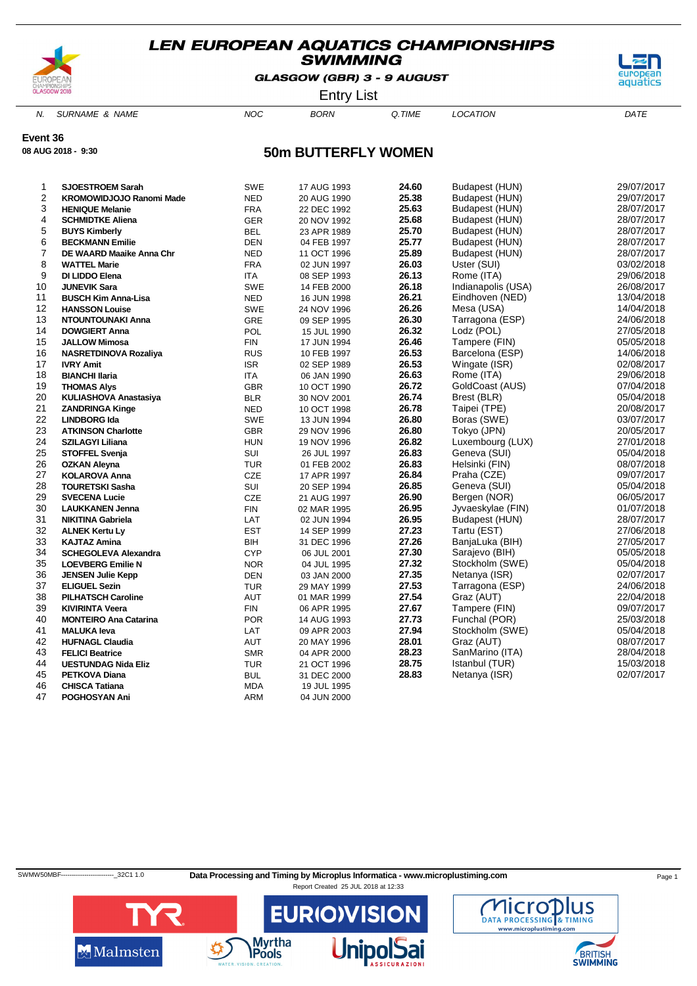

GLASGOW (GBR) 3 - 9 AUGUST



Entry List

N. SURNAME & NAME  $NOC$  BORN Q.TIME LOCATION DATE

**Event 36**

**08 AUG 2018 - 9:30**

### **50m BUTTERFLY WOMEN**

| 1  | <b>SJOESTROEM Sarah</b>         | <b>SWE</b> | 17 AUG 1993 | 24.60 | Budapest (HUN)     | 29/07/2017 |
|----|---------------------------------|------------|-------------|-------|--------------------|------------|
| 2  | <b>KROMOWIDJOJO Ranomi Made</b> | <b>NED</b> | 20 AUG 1990 | 25.38 | Budapest (HUN)     | 29/07/2017 |
| 3  | <b>HENIQUE Melanie</b>          | <b>FRA</b> | 22 DEC 1992 | 25.63 | Budapest (HUN)     | 28/07/2017 |
| 4  | <b>SCHMIDTKE Aliena</b>         | GER        | 20 NOV 1992 | 25.68 | Budapest (HUN)     | 28/07/2017 |
| 5  | <b>BUYS Kimberly</b>            | <b>BEL</b> | 23 APR 1989 | 25.70 | Budapest (HUN)     | 28/07/2017 |
| 6  | <b>BECKMANN Emilie</b>          | <b>DEN</b> | 04 FEB 1997 | 25.77 | Budapest (HUN)     | 28/07/2017 |
| 7  | DE WAARD Maaike Anna Chr        | <b>NED</b> | 11 OCT 1996 | 25.89 | Budapest (HUN)     | 28/07/2017 |
| 8  | <b>WATTEL Marie</b>             | <b>FRA</b> | 02 JUN 1997 | 26.03 | Uster (SUI)        | 03/02/2018 |
| 9  | DI LIDDO Elena                  | <b>ITA</b> | 08 SEP 1993 | 26.13 | Rome (ITA)         | 29/06/2018 |
| 10 | <b>JUNEVIK Sara</b>             | <b>SWE</b> | 14 FEB 2000 | 26.18 | Indianapolis (USA) | 26/08/2017 |
| 11 | <b>BUSCH Kim Anna-Lisa</b>      | <b>NED</b> | 16 JUN 1998 | 26.21 | Eindhoven (NED)    | 13/04/2018 |
| 12 | <b>HANSSON Louise</b>           | <b>SWE</b> | 24 NOV 1996 | 26.26 | Mesa (USA)         | 14/04/2018 |
| 13 | NTOUNTOUNAKI Anna               | <b>GRE</b> | 09 SEP 1995 | 26.30 | Tarragona (ESP)    | 24/06/2018 |
| 14 | <b>DOWGIERT Anna</b>            | <b>POL</b> | 15 JUL 1990 | 26.32 | Lodz (POL)         | 27/05/2018 |
| 15 | <b>JALLOW Mimosa</b>            | <b>FIN</b> | 17 JUN 1994 | 26.46 | Tampere (FIN)      | 05/05/2018 |
| 16 | <b>NASRETDINOVA Rozaliya</b>    | <b>RUS</b> | 10 FEB 1997 | 26.53 | Barcelona (ESP)    | 14/06/2018 |
| 17 | <b>IVRY Amit</b>                | <b>ISR</b> | 02 SEP 1989 | 26.53 | Wingate (ISR)      | 02/08/2017 |
| 18 | <b>BIANCHI Ilaria</b>           | ITA        | 06 JAN 1990 | 26.63 | Rome (ITA)         | 29/06/2018 |
| 19 | <b>THOMAS Alys</b>              | <b>GBR</b> | 10 OCT 1990 | 26.72 | GoldCoast (AUS)    | 07/04/2018 |
| 20 | KULIASHOVA Anastasiya           | <b>BLR</b> | 30 NOV 2001 | 26.74 | Brest (BLR)        | 05/04/2018 |
| 21 | <b>ZANDRINGA Kinge</b>          | <b>NED</b> | 10 OCT 1998 | 26.78 | Taipei (TPE)       | 20/08/2017 |
| 22 | <b>LINDBORG Ida</b>             | <b>SWE</b> | 13 JUN 1994 | 26.80 | Boras (SWE)        | 03/07/2017 |
| 23 | <b>ATKINSON Charlotte</b>       | <b>GBR</b> | 29 NOV 1996 | 26.80 | Tokyo (JPN)        | 20/05/2017 |
| 24 | <b>SZILAGYI Liliana</b>         | <b>HUN</b> | 19 NOV 1996 | 26.82 | Luxembourg (LUX)   | 27/01/2018 |
| 25 | <b>STOFFEL Svenja</b>           | SUI        | 26 JUL 1997 | 26.83 | Geneva (SUI)       | 05/04/2018 |
| 26 | <b>OZKAN Aleyna</b>             | <b>TUR</b> | 01 FEB 2002 | 26.83 | Helsinki (FIN)     | 08/07/2018 |
| 27 | <b>KOLAROVA Anna</b>            | <b>CZE</b> | 17 APR 1997 | 26.84 | Praha (CZE)        | 09/07/2017 |
| 28 | <b>TOURETSKI Sasha</b>          | <b>SUI</b> | 20 SEP 1994 | 26.85 | Geneva (SUI)       | 05/04/2018 |
| 29 | <b>SVECENA Lucie</b>            | CZE        | 21 AUG 1997 | 26.90 | Bergen (NOR)       | 06/05/2017 |
| 30 | <b>LAUKKANEN Jenna</b>          | <b>FIN</b> | 02 MAR 1995 | 26.95 | Jyvaeskylae (FIN)  | 01/07/2018 |
| 31 | <b>NIKITINA Gabriela</b>        | LAT        | 02 JUN 1994 | 26.95 | Budapest (HUN)     | 28/07/2017 |
| 32 | <b>ALNEK Kertu Ly</b>           | <b>EST</b> | 14 SEP 1999 | 27.23 | Tartu (EST)        | 27/06/2018 |
| 33 | <b>KAJTAZ Amina</b>             | BIH        | 31 DEC 1996 | 27.26 | BanjaLuka (BIH)    | 27/05/2017 |
| 34 | <b>SCHEGOLEVA Alexandra</b>     | <b>CYP</b> | 06 JUL 2001 | 27.30 | Sarajevo (BIH)     | 05/05/2018 |
| 35 | <b>LOEVBERG Emilie N</b>        | <b>NOR</b> | 04 JUL 1995 | 27.32 | Stockholm (SWE)    | 05/04/2018 |
| 36 | <b>JENSEN Julie Kepp</b>        | <b>DEN</b> | 03 JAN 2000 | 27.35 | Netanya (ISR)      | 02/07/2017 |
| 37 | <b>ELIGUEL Sezin</b>            | <b>TUR</b> | 29 MAY 1999 | 27.53 | Tarragona (ESP)    | 24/06/2018 |
| 38 | <b>PILHATSCH Caroline</b>       | AUT        | 01 MAR 1999 | 27.54 | Graz (AUT)         | 22/04/2018 |
| 39 | <b>KIVIRINTA Veera</b>          | <b>FIN</b> | 06 APR 1995 | 27.67 | Tampere (FIN)      | 09/07/2017 |
| 40 | <b>MONTEIRO Ana Catarina</b>    | <b>POR</b> | 14 AUG 1993 | 27.73 | Funchal (POR)      | 25/03/2018 |
| 41 | <b>MALUKA leva</b>              | LAT        | 09 APR 2003 | 27.94 | Stockholm (SWE)    | 05/04/2018 |
| 42 | <b>HUFNAGL Claudia</b>          | AUT        | 20 MAY 1996 | 28.01 | Graz (AUT)         | 08/07/2017 |
| 43 | <b>FELICI Beatrice</b>          | <b>SMR</b> | 04 APR 2000 | 28.23 | SanMarino (ITA)    | 28/04/2018 |
| 44 | <b>UESTUNDAG Nida Eliz</b>      | TUR        | 21 OCT 1996 | 28.75 | Istanbul (TUR)     | 15/03/2018 |
| 45 | <b>PETKOVA Diana</b>            | <b>BUL</b> | 31 DEC 2000 | 28.83 | Netanya (ISR)      | 02/07/2017 |
| 46 | <b>CHISCA Tatiana</b>           | <b>MDA</b> | 19 JUL 1995 |       |                    |            |
| 47 | POGHOSYAN Ani                   | <b>ARM</b> | 04 JUN 2000 |       |                    |            |
|    |                                 |            |             |       |                    |            |

SWMW50MBF-------------------------\_32C1 1.0 **Data Processing and Timing by Microplus Informatica - www.microplustiming.com** Page 1





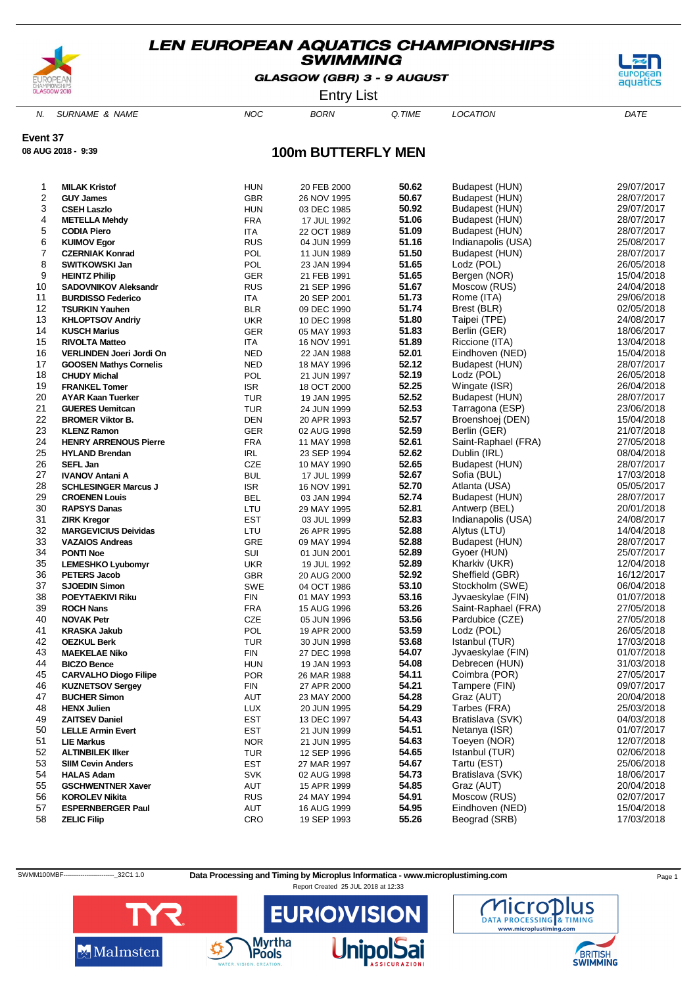

GLASGOW (GBR) 3 - 9 AUGUST



Entry List

N. SURNAME & NAME  $NOC$  BORN Q.TIME LOCATION DATE

**Event 37**

**08 AUG 2018 - 9:39**

# **100m BUTTERFLY MEN**

| 1        | <b>MILAK Kristof</b>                                      | <b>HUN</b>               | 20 FEB 2000                | 50.62          | Budapest (HUN)                    | 29/07/2017               |
|----------|-----------------------------------------------------------|--------------------------|----------------------------|----------------|-----------------------------------|--------------------------|
| 2        | <b>GUY James</b>                                          | <b>GBR</b>               | 26 NOV 1995                | 50.67          | Budapest (HUN)                    | 28/07/2017               |
| 3        | <b>CSEH Laszlo</b>                                        | <b>HUN</b>               | 03 DEC 1985                | 50.92          | Budapest (HUN)                    | 29/07/2017               |
| 4        | <b>METELLA Mehdy</b>                                      | FRA                      | 17 JUL 1992                | 51.06          | Budapest (HUN)                    | 28/07/2017               |
| 5        | <b>CODIA Piero</b>                                        | ITA                      | 22 OCT 1989                | 51.09          | Budapest (HUN)                    | 28/07/2017               |
| 6        | <b>KUIMOV Egor</b>                                        | <b>RUS</b>               | 04 JUN 1999                | 51.16          | Indianapolis (USA)                | 25/08/2017               |
| 7        | <b>CZERNIAK Konrad</b>                                    | POL                      | 11 JUN 1989                | 51.50          | Budapest (HUN)                    | 28/07/2017               |
| 8        | SWITKOWSKI Jan                                            | POL                      | 23 JAN 1994                | 51.65          | Lodz (POL)                        | 26/05/2018               |
| 9        | <b>HEINTZ Philip</b>                                      | <b>GER</b>               | 21 FEB 1991                | 51.65          | Bergen (NOR)                      | 15/04/2018               |
| 10       | <b>SADOVNIKOV Aleksandr</b>                               | <b>RUS</b>               | 21 SEP 1996                | 51.67          | Moscow (RUS)                      | 24/04/2018               |
| 11       | <b>BURDISSO Federico</b>                                  | <b>ITA</b>               | 20 SEP 2001                | 51.73          | Rome (ITA)                        | 29/06/2018               |
| 12       | <b>TSURKIN Yauhen</b>                                     | <b>BLR</b>               | 09 DEC 1990                | 51.74          | Brest (BLR)                       | 02/05/2018               |
| 13       | <b>KHLOPTSOV Andriy</b>                                   | <b>UKR</b>               | 10 DEC 1998                | 51.80          | Taipei (TPE)                      | 24/08/2017               |
| 14<br>15 | <b>KUSCH Marius</b>                                       | <b>GER</b><br><b>ITA</b> | 05 MAY 1993                | 51.83<br>51.89 | Berlin (GER)                      | 18/06/2017<br>13/04/2018 |
| 16       | <b>RIVOLTA Matteo</b>                                     | <b>NED</b>               | 16 NOV 1991                | 52.01          | Riccione (ITA)<br>Eindhoven (NED) | 15/04/2018               |
| 17       | VERLINDEN Joeri Jordi On<br><b>GOOSEN Mathys Cornelis</b> | <b>NED</b>               | 22 JAN 1988                | 52.12          | Budapest (HUN)                    | 28/07/2017               |
| 18       | <b>CHUDY Michal</b>                                       | POL                      | 18 MAY 1996<br>21 JUN 1997 | 52.19          | Lodz (POL)                        | 26/05/2018               |
| 19       | <b>FRANKEL Tomer</b>                                      | <b>ISR</b>               | 18 OCT 2000                | 52.25          | Wingate (ISR)                     | 26/04/2018               |
| 20       | <b>AYAR Kaan Tuerker</b>                                  | <b>TUR</b>               | 19 JAN 1995                | 52.52          | Budapest (HUN)                    | 28/07/2017               |
| 21       | <b>GUERES Uemitcan</b>                                    | <b>TUR</b>               | 24 JUN 1999                | 52.53          | Tarragona (ESP)                   | 23/06/2018               |
| 22       | <b>BROMER Viktor B.</b>                                   | <b>DEN</b>               | 20 APR 1993                | 52.57          | Broenshoej (DEN)                  | 15/04/2018               |
| 23       | <b>KLENZ Ramon</b>                                        | <b>GER</b>               | 02 AUG 1998                | 52.59          | Berlin (GER)                      | 21/07/2018               |
| 24       | <b>HENRY ARRENOUS Pierre</b>                              | <b>FRA</b>               | 11 MAY 1998                | 52.61          | Saint-Raphael (FRA)               | 27/05/2018               |
| 25       | <b>HYLAND Brendan</b>                                     | <b>IRL</b>               | 23 SEP 1994                | 52.62          | Dublin (IRL)                      | 08/04/2018               |
| 26       | <b>SEFL Jan</b>                                           | CZE                      | 10 MAY 1990                | 52.65          | Budapest (HUN)                    | 28/07/2017               |
| 27       | <b>IVANOV Antani A</b>                                    | <b>BUL</b>               | 17 JUL 1999                | 52.67          | Sofia (BUL)                       | 17/03/2018               |
| 28       | <b>SCHLESINGER Marcus J</b>                               | <b>ISR</b>               | 16 NOV 1991                | 52.70          | Atlanta (USA)                     | 05/05/2017               |
| 29       | <b>CROENEN Louis</b>                                      | <b>BEL</b>               | 03 JAN 1994                | 52.74          | Budapest (HUN)                    | 28/07/2017               |
| 30       | <b>RAPSYS Danas</b>                                       | LTU                      | 29 MAY 1995                | 52.81          | Antwerp (BEL)                     | 20/01/2018               |
| 31       | <b>ZIRK Kregor</b>                                        | <b>EST</b>               | 03 JUL 1999                | 52.83          | Indianapolis (USA)                | 24/08/2017               |
| 32       | <b>MARGEVICIUS Deividas</b>                               | LTU                      | 26 APR 1995                | 52.88          | Alytus (LTU)                      | 14/04/2018               |
| 33       | <b>VAZAIOS Andreas</b>                                    | GRE                      | 09 MAY 1994                | 52.88          | Budapest (HUN)                    | 28/07/2017               |
| 34       | <b>PONTI Noe</b>                                          | SUI                      | 01 JUN 2001                | 52.89          | Gyoer (HUN)                       | 25/07/2017               |
| 35       | <b>LEMESHKO Lyubomyr</b>                                  | <b>UKR</b>               | 19 JUL 1992                | 52.89          | Kharkiv (UKR)                     | 12/04/2018               |
| 36       | <b>PETERS Jacob</b>                                       | <b>GBR</b>               | 20 AUG 2000                | 52.92          | Sheffield (GBR)                   | 16/12/2017               |
| 37       | <b>SJOEDIN Simon</b>                                      | <b>SWE</b>               | 04 OCT 1986                | 53.10          | Stockholm (SWE)                   | 06/04/2018               |
| 38       | <b>POEYTAEKIVI Riku</b>                                   | FIN                      | 01 MAY 1993                | 53.16          | Jyvaeskylae (FIN)                 | 01/07/2018               |
| 39       | <b>ROCH Nans</b>                                          | <b>FRA</b>               | 15 AUG 1996                | 53.26          | Saint-Raphael (FRA)               | 27/05/2018               |
| 40       | <b>NOVAK Petr</b>                                         | <b>CZE</b>               | 05 JUN 1996                | 53.56          | Pardubice (CZE)                   | 27/05/2018               |
| 41       | <b>KRASKA Jakub</b>                                       | POL                      | 19 APR 2000                | 53.59          | Lodz (POL)                        | 26/05/2018               |
| 42       | <b>OEZKUL Berk</b>                                        | TUR                      | 30 JUN 1998                | 53.68          | Istanbul (TUR)                    | 17/03/2018               |
| 43       | <b>MAEKELAE Niko</b>                                      | <b>FIN</b>               | 27 DEC 1998                | 54.07          | Jyvaeskylae (FIN)                 | 01/07/2018               |
| 44       | <b>BICZO Bence</b>                                        | <b>HUN</b>               | 19 JAN 1993                | 54.08          | Debrecen (HUN)                    | 31/03/2018               |
| 45<br>46 | <b>CARVALHO Diogo Filipe</b>                              | <b>POR</b>               | 26 MAR 1988                | 54.11<br>54.21 | Coimbra (POR)<br>Tampere (FIN)    | 27/05/2017               |
| 47       | <b>KUZNETSOV Sergey</b><br><b>BUCHER Simon</b>            | FIN                      | 27 APR 2000<br>23 MAY 2000 | 54.28          | Graz (AUT)                        | 09/07/2017<br>20/04/2018 |
|          |                                                           | AUT                      |                            | 54.29          | Tarbes (FRA)                      |                          |
| 48<br>49 | <b>HENX Julien</b><br><b>ZAITSEV Daniel</b>               | LUX<br><b>EST</b>        | 20 JUN 1995<br>13 DEC 1997 | 54.43          | Bratislava (SVK)                  | 25/03/2018<br>04/03/2018 |
| 50       | <b>LELLE Armin Evert</b>                                  | <b>EST</b>               | 21 JUN 1999                | 54.51          | Netanya (ISR)                     | 01/07/2017               |
| 51       | <b>LIE Markus</b>                                         | <b>NOR</b>               | 21 JUN 1995                | 54.63          | Toeyen (NOR)                      | 12/07/2018               |
| 52       | <b>ALTINBILEK IIker</b>                                   | <b>TUR</b>               | 12 SEP 1996                | 54.65          | Istanbul (TUR)                    | 02/06/2018               |
| 53       | <b>SIIM Cevin Anders</b>                                  | EST                      | 27 MAR 1997                | 54.67          | Tartu (EST)                       | 25/06/2018               |
| 54       | <b>HALAS Adam</b>                                         | <b>SVK</b>               | 02 AUG 1998                | 54.73          | Bratislava (SVK)                  | 18/06/2017               |
| 55       | <b>GSCHWENTNER Xaver</b>                                  | AUT                      | 15 APR 1999                | 54.85          | Graz (AUT)                        | 20/04/2018               |
| 56       | <b>KOROLEV Nikita</b>                                     | <b>RUS</b>               | 24 MAY 1994                | 54.91          | Moscow (RUS)                      | 02/07/2017               |
| 57       | <b>ESPERNBERGER Paul</b>                                  | AUT                      | 16 AUG 1999                | 54.95          | Eindhoven (NED)                   | 15/04/2018               |
| 58       | <b>ZELIC Filip</b>                                        | CRO                      | 19 SEP 1993                | 55.26          | Beograd (SRB)                     | 17/03/2018               |
|          |                                                           |                          |                            |                |                                   |                          |

SWMM100MBF-----------------------------32C1 1.0 Data Processing and Timing by Microplus Informatica - www.microplustiming.com Page 1





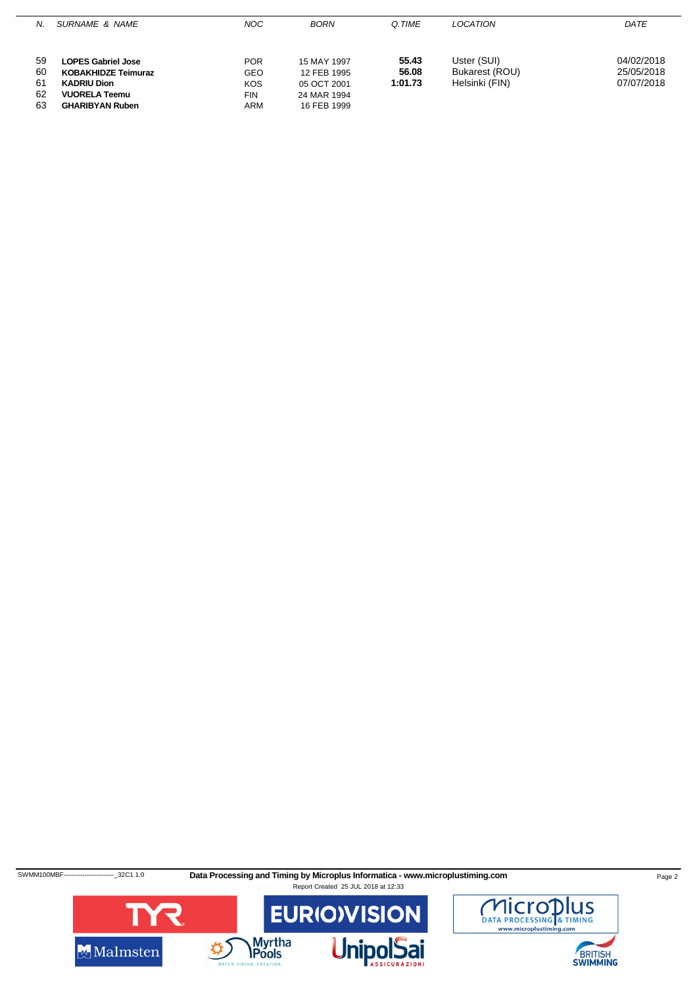| N. | SURNAME & NAME             | <b>NOC</b> | <b>BORN</b> | O.TIME  | <b>LOCATION</b> | DATE       |
|----|----------------------------|------------|-------------|---------|-----------------|------------|
|    |                            |            |             |         |                 |            |
| 59 | <b>LOPES Gabriel Jose</b>  | <b>POR</b> | 15 MAY 1997 | 55.43   | Uster (SUI)     | 04/02/2018 |
| 60 | <b>KOBAKHIDZE Teimuraz</b> | <b>GEO</b> | 12 FEB 1995 | 56.08   | Bukarest (ROU)  | 25/05/2018 |
| 61 | <b>KADRIU Dion</b>         | <b>KOS</b> | 05 OCT 2001 | 1:01.73 | Helsinki (FIN)  | 07/07/2018 |
| 62 | <b>VUORELA Teemu</b>       | <b>FIN</b> | 24 MAR 1994 |         |                 |            |
| 63 | <b>GHARIBYAN Ruben</b>     | ARM        | 16 FEB 1999 |         |                 |            |

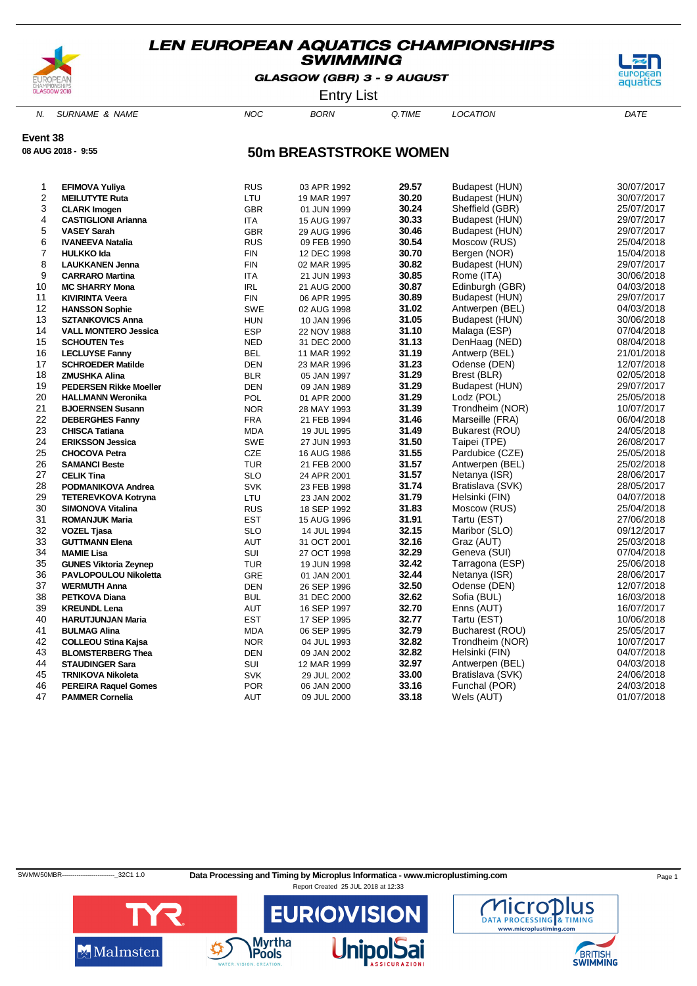

GLASGOW (GBR) 3 - 9 AUGUST



Entry List

N. SURNAME & NAME  $NOC$  BORN Q.TIME LOCATION DATE

**Event 38**

**08 AUG 2018 - 9:55**

### **50m BREASTSTROKE WOMEN**

| 1  | <b>EFIMOVA Yuliya</b>         | <b>RUS</b> | 03 APR 1992 | 29.57 | Budapest (HUN)               | 30/07/2017 |
|----|-------------------------------|------------|-------------|-------|------------------------------|------------|
| 2  | <b>MEILUTYTE Ruta</b>         | LTU        | 19 MAR 1997 | 30.20 | <b>Budapest (HUN)</b>        | 30/07/2017 |
| 3  | <b>CLARK Imogen</b>           | <b>GBR</b> | 01 JUN 1999 | 30.24 | Sheffield (GBR)              | 25/07/2017 |
| 4  | <b>CASTIGLIONI Arianna</b>    | ITA        | 15 AUG 1997 | 30.33 | Budapest (HUN)               | 29/07/2017 |
| 5  | <b>VASEY Sarah</b>            | <b>GBR</b> |             | 30.46 | Budapest (HUN)               | 29/07/2017 |
| 6  |                               |            | 29 AUG 1996 | 30.54 |                              | 25/04/2018 |
| 7  | <b>IVANEEVA Natalia</b>       | <b>RUS</b> | 09 FEB 1990 | 30.70 | Moscow (RUS)<br>Bergen (NOR) | 15/04/2018 |
|    | <b>HULKKO Ida</b>             | <b>FIN</b> | 12 DEC 1998 | 30.82 |                              |            |
| 8  | <b>LAUKKANEN Jenna</b>        | <b>FIN</b> | 02 MAR 1995 |       | Budapest (HUN)               | 29/07/2017 |
| 9  | <b>CARRARO Martina</b>        | <b>ITA</b> | 21 JUN 1993 | 30.85 | Rome (ITA)                   | 30/06/2018 |
| 10 | <b>MC SHARRY Mona</b>         | <b>IRL</b> | 21 AUG 2000 | 30.87 | Edinburgh (GBR)              | 04/03/2018 |
| 11 | <b>KIVIRINTA Veera</b>        | <b>FIN</b> | 06 APR 1995 | 30.89 | Budapest (HUN)               | 29/07/2017 |
| 12 | <b>HANSSON Sophie</b>         | <b>SWE</b> | 02 AUG 1998 | 31.02 | Antwerpen (BEL)              | 04/03/2018 |
| 13 | <b>SZTANKOVICS Anna</b>       | <b>HUN</b> | 10 JAN 1996 | 31.05 | Budapest (HUN)               | 30/06/2018 |
| 14 | <b>VALL MONTERO Jessica</b>   | <b>ESP</b> | 22 NOV 1988 | 31.10 | Malaga (ESP)                 | 07/04/2018 |
| 15 | <b>SCHOUTEN Tes</b>           | <b>NED</b> | 31 DEC 2000 | 31.13 | DenHaag (NED)                | 08/04/2018 |
| 16 | <b>LECLUYSE Fanny</b>         | <b>BEL</b> | 11 MAR 1992 | 31.19 | Antwerp (BEL)                | 21/01/2018 |
| 17 | <b>SCHROEDER Matilde</b>      | <b>DEN</b> | 23 MAR 1996 | 31.23 | Odense (DEN)                 | 12/07/2018 |
| 18 | <b>ZMUSHKA Alina</b>          | <b>BLR</b> | 05 JAN 1997 | 31.29 | Brest (BLR)                  | 02/05/2018 |
| 19 | <b>PEDERSEN Rikke Moeller</b> | <b>DEN</b> | 09 JAN 1989 | 31.29 | Budapest (HUN)               | 29/07/2017 |
| 20 | <b>HALLMANN Weronika</b>      | POL        | 01 APR 2000 | 31.29 | Lodz (POL)                   | 25/05/2018 |
| 21 | <b>BJOERNSEN Susann</b>       | <b>NOR</b> | 28 MAY 1993 | 31.39 | Trondheim (NOR)              | 10/07/2017 |
| 22 | <b>DEBERGHES Fanny</b>        | <b>FRA</b> | 21 FEB 1994 | 31.46 | Marseille (FRA)              | 06/04/2018 |
| 23 | <b>CHISCA Tatiana</b>         | <b>MDA</b> | 19 JUL 1995 | 31.49 | Bukarest (ROU)               | 24/05/2018 |
| 24 | <b>ERIKSSON Jessica</b>       | <b>SWE</b> | 27 JUN 1993 | 31.50 | Taipei (TPE)                 | 26/08/2017 |
| 25 | <b>CHOCOVA Petra</b>          | <b>CZE</b> | 16 AUG 1986 | 31.55 | Pardubice (CZE)              | 25/05/2018 |
| 26 | <b>SAMANCI Beste</b>          | <b>TUR</b> | 21 FEB 2000 | 31.57 | Antwerpen (BEL)              | 25/02/2018 |
| 27 | <b>CELIK Tina</b>             | <b>SLO</b> | 24 APR 2001 | 31.57 | Netanya (ISR)                | 28/06/2017 |
| 28 | PODMANIKOVA Andrea            | <b>SVK</b> | 23 FEB 1998 | 31.74 | Bratislava (SVK)             | 28/05/2017 |
| 29 | <b>TETEREVKOVA Kotryna</b>    | LTU        | 23 JAN 2002 | 31.79 | Helsinki (FIN)               | 04/07/2018 |
| 30 | <b>SIMONOVA Vitalina</b>      | <b>RUS</b> | 18 SEP 1992 | 31.83 | Moscow (RUS)                 | 25/04/2018 |
| 31 | <b>ROMANJUK Maria</b>         | <b>EST</b> | 15 AUG 1996 | 31.91 | Tartu (EST)                  | 27/06/2018 |
| 32 | <b>VOZEL Tjasa</b>            | <b>SLO</b> | 14 JUL 1994 | 32.15 | Maribor (SLO)                | 09/12/2017 |
| 33 | <b>GUTTMANN Elena</b>         | AUT        | 31 OCT 2001 | 32.16 | Graz (AUT)                   | 25/03/2018 |
| 34 | <b>MAMIE Lisa</b>             | SUI        | 27 OCT 1998 | 32.29 | Geneva (SUI)                 | 07/04/2018 |
| 35 | <b>GUNES Viktoria Zeynep</b>  | <b>TUR</b> | 19 JUN 1998 | 32.42 | Tarragona (ESP)              | 25/06/2018 |
| 36 | PAVLOPOULOU Nikoletta         | GRE        | 01 JAN 2001 | 32.44 | Netanya (ISR)                | 28/06/2017 |
| 37 | <b>WERMUTH Anna</b>           | DEN        | 26 SEP 1996 | 32.50 | Odense (DEN)                 | 12/07/2018 |
| 38 | PETKOVA Diana                 | <b>BUL</b> | 31 DEC 2000 | 32.62 | Sofia (BUL)                  | 16/03/2018 |
| 39 | <b>KREUNDL Lena</b>           | AUT        | 16 SEP 1997 | 32.70 | Enns (AUT)                   | 16/07/2017 |
| 40 | <b>HARUTJUNJAN Maria</b>      | <b>EST</b> | 17 SEP 1995 | 32.77 | Tartu (EST)                  | 10/06/2018 |
| 41 | <b>BULMAG Alina</b>           | <b>MDA</b> | 06 SEP 1995 | 32.79 | Bucharest (ROU)              | 25/05/2017 |
| 42 | <b>COLLEOU Stina Kajsa</b>    | <b>NOR</b> | 04 JUL 1993 | 32.82 | Trondheim (NOR)              | 10/07/2017 |
| 43 | <b>BLOMSTERBERG Thea</b>      | DEN        | 09 JAN 2002 | 32.82 | Helsinki (FIN)               | 04/07/2018 |
| 44 | <b>STAUDINGER Sara</b>        | SUI        | 12 MAR 1999 | 32.97 | Antwerpen (BEL)              | 04/03/2018 |
| 45 | <b>TRNIKOVA Nikoleta</b>      | <b>SVK</b> | 29 JUL 2002 | 33.00 | Bratislava (SVK)             | 24/06/2018 |
| 46 | <b>PEREIRA Raquel Gomes</b>   | <b>POR</b> | 06 JAN 2000 | 33.16 | Funchal (POR)                | 24/03/2018 |
| 47 | <b>PAMMER Cornelia</b>        | AUT        | 09 JUL 2000 | 33.18 | Wels (AUT)                   | 01/07/2018 |
|    |                               |            |             |       |                              |            |

SWMW50MBR------------------------------32C1 1.0 Data Processing and Timing by Microplus Informatica - www.microplustiming.com Page 1





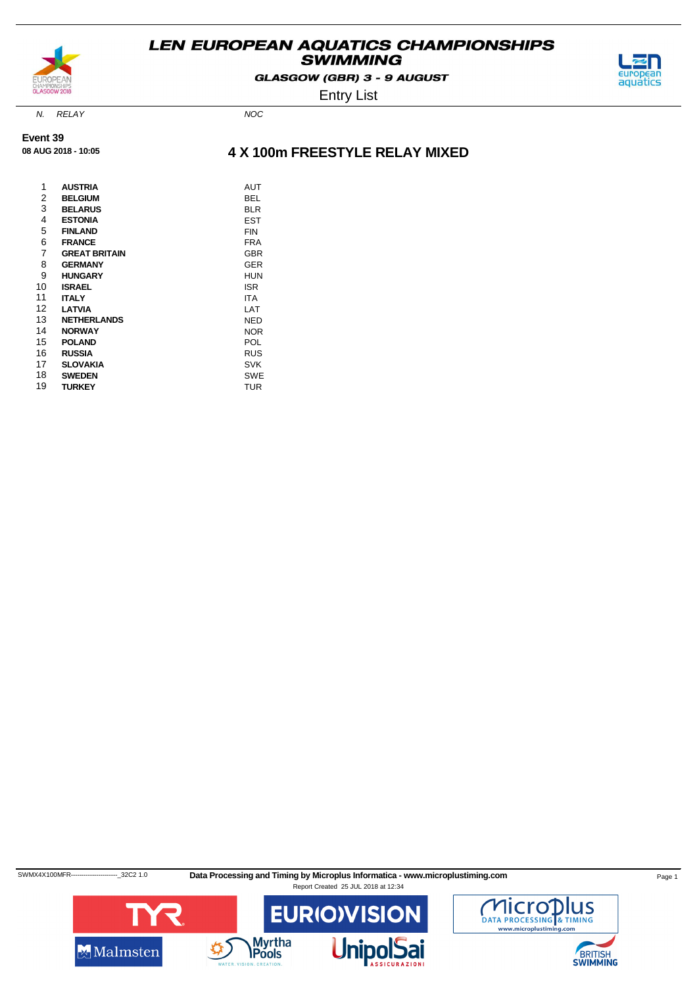

GLASGOW (GBR) 3 - 9 AUGUST



Entry List

N. RELAY NOC

**Event 39 08 AUG 2018 - 10:05**

### **4 X 100m FREESTYLE RELAY MIXED**

| 1<br>2<br>3<br>4 | <b>AUSTRIA</b><br><b>BELGIUM</b><br><b>BELARUS</b><br><b>ESTONIA</b> | AUT<br>BEL<br>BLR<br>EST |
|------------------|----------------------------------------------------------------------|--------------------------|
| 5                | <b>FINLAND</b>                                                       | <b>FIN</b>               |
| 6                | <b>FRANCE</b>                                                        | <b>FRA</b>               |
| 7                | <b>GREAT BRITAIN</b>                                                 | <b>GBR</b>               |
| 8                | <b>GERMANY</b>                                                       | <b>GER</b>               |
| 9                | <b>HUNGARY</b>                                                       | HUN                      |
| 10               | <b>ISRAEL</b>                                                        | <b>ISR</b>               |
| 11               | <b>ITALY</b>                                                         | ITA                      |
| 12               | <b>LATVIA</b>                                                        | LAT                      |
| 13               | <b>NETHERLANDS</b>                                                   | NED                      |
| 14               | <b>NORWAY</b>                                                        | <b>NOR</b>               |
| 15               | <b>POLAND</b>                                                        | POL                      |
| 16               | <b>RUSSIA</b>                                                        | <b>RUS</b>               |
| 17               | <b>SLOVAKIA</b>                                                      | <b>SVK</b>               |
| 18               | <b>SWEDEN</b>                                                        | <b>SWE</b>               |
| 19               | TURKEY                                                               | TUR                      |

SWMX4X100MFR---------------------------32C2 1.0 Data Processing and Timing by Microplus Informatica - www.microplustiming.com Page 1 Report Created 25 JUL 2018 at 12:34



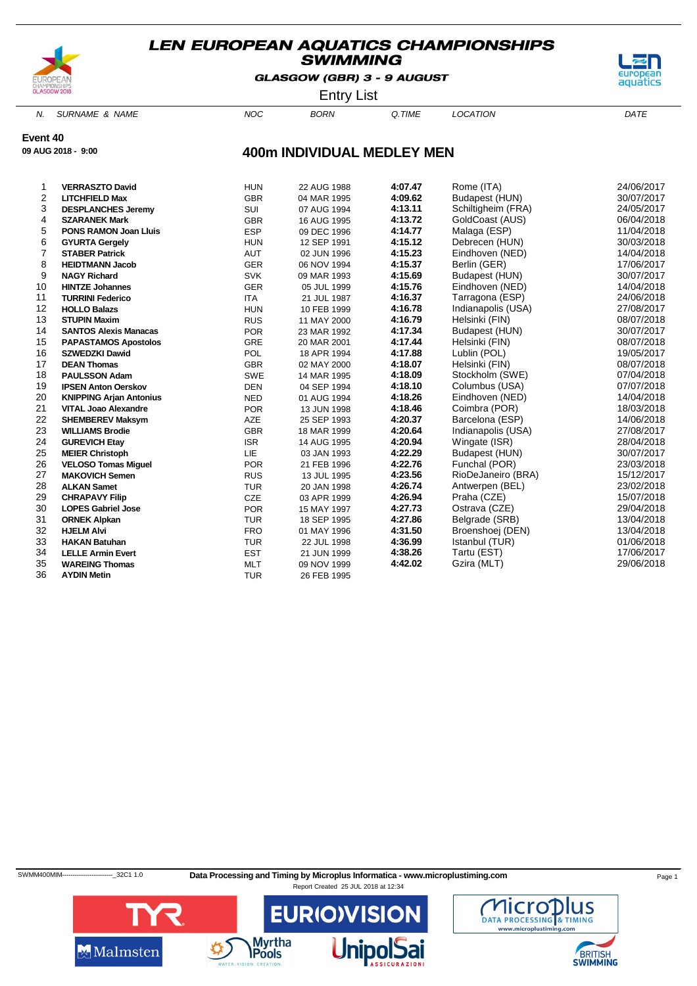

**09 AUG 2018 - 9:00**

### **LEN EUROPEAN AQUATICS CHAMPIONSHIPS SWIMMING**

GLASGOW (GBR) 3 - 9 AUGUST



Entry List

N. SURNAME & NAME  $NOC$  BORN Q.TIME LOCATION DATE

**Event 40**

### **400m INDIVIDUAL MEDLEY MEN**

| 1              | <b>VERRASZTO David</b>         | <b>HUN</b> | 22 AUG 1988 | 4:07.47 | Rome (ITA)         | 24/06/2017 |
|----------------|--------------------------------|------------|-------------|---------|--------------------|------------|
| 2              | <b>LITCHFIELD Max</b>          | <b>GBR</b> | 04 MAR 1995 | 4:09.62 | Budapest (HUN)     | 30/07/2017 |
| 3              | <b>DESPLANCHES Jeremy</b>      | SUI        | 07 AUG 1994 | 4:13.11 | Schiltigheim (FRA) | 24/05/2017 |
| 4              | <b>SZARANEK Mark</b>           | <b>GBR</b> | 16 AUG 1995 | 4:13.72 | GoldCoast (AUS)    | 06/04/2018 |
| 5              | <b>PONS RAMON Joan Lluis</b>   | <b>ESP</b> | 09 DEC 1996 | 4:14.77 | Malaga (ESP)       | 11/04/2018 |
| 6              | <b>GYURTA Gergely</b>          | <b>HUN</b> | 12 SEP 1991 | 4:15.12 | Debrecen (HUN)     | 30/03/2018 |
| $\overline{7}$ | <b>STABER Patrick</b>          | AUT        | 02 JUN 1996 | 4:15.23 | Eindhoven (NED)    | 14/04/2018 |
| 8              | <b>HEIDTMANN Jacob</b>         | <b>GER</b> | 06 NOV 1994 | 4:15.37 | Berlin (GER)       | 17/06/2017 |
| 9              | <b>NAGY Richard</b>            | <b>SVK</b> | 09 MAR 1993 | 4:15.69 | Budapest (HUN)     | 30/07/2017 |
| 10             | <b>HINTZE Johannes</b>         | <b>GER</b> | 05 JUL 1999 | 4:15.76 | Eindhoven (NED)    | 14/04/2018 |
| 11             | <b>TURRINI Federico</b>        | <b>ITA</b> | 21 JUL 1987 | 4:16.37 | Tarragona (ESP)    | 24/06/2018 |
| 12             | <b>HOLLO Balazs</b>            | <b>HUN</b> | 10 FEB 1999 | 4:16.78 | Indianapolis (USA) | 27/08/2017 |
| 13             | <b>STUPIN Maxim</b>            | <b>RUS</b> | 11 MAY 2000 | 4:16.79 | Helsinki (FIN)     | 08/07/2018 |
| 14             | <b>SANTOS Alexis Manacas</b>   | <b>POR</b> | 23 MAR 1992 | 4:17.34 | Budapest (HUN)     | 30/07/2017 |
| 15             | <b>PAPASTAMOS Apostolos</b>    | <b>GRE</b> | 20 MAR 2001 | 4:17.44 | Helsinki (FIN)     | 08/07/2018 |
| 16             | <b>SZWEDZKI Dawid</b>          | POL        | 18 APR 1994 | 4:17.88 | Lublin (POL)       | 19/05/2017 |
| 17             | <b>DEAN Thomas</b>             | <b>GBR</b> | 02 MAY 2000 | 4:18.07 | Helsinki (FIN)     | 08/07/2018 |
| 18             | <b>PAULSSON Adam</b>           | <b>SWE</b> | 14 MAR 1995 | 4:18.09 | Stockholm (SWE)    | 07/04/2018 |
| 19             | <b>IPSEN Anton Oerskov</b>     | <b>DEN</b> | 04 SEP 1994 | 4:18.10 | Columbus (USA)     | 07/07/2018 |
| 20             | <b>KNIPPING Arjan Antonius</b> | <b>NED</b> | 01 AUG 1994 | 4:18.26 | Eindhoven (NED)    | 14/04/2018 |
| 21             | <b>VITAL Joao Alexandre</b>    | <b>POR</b> | 13 JUN 1998 | 4:18.46 | Coimbra (POR)      | 18/03/2018 |
| 22             | <b>SHEMBEREV Maksym</b>        | <b>AZE</b> | 25 SEP 1993 | 4:20.37 | Barcelona (ESP)    | 14/06/2018 |
| 23             | <b>WILLIAMS Brodie</b>         | <b>GBR</b> | 18 MAR 1999 | 4:20.64 | Indianapolis (USA) | 27/08/2017 |
| 24             | <b>GUREVICH Etay</b>           | <b>ISR</b> | 14 AUG 1995 | 4:20.94 | Wingate (ISR)      | 28/04/2018 |
| 25             | <b>MEIER Christoph</b>         | <b>LIE</b> | 03 JAN 1993 | 4:22.29 | Budapest (HUN)     | 30/07/2017 |
| 26             | <b>VELOSO Tomas Miguel</b>     | <b>POR</b> | 21 FEB 1996 | 4:22.76 | Funchal (POR)      | 23/03/2018 |
| 27             | <b>MAKOVICH Semen</b>          | <b>RUS</b> | 13 JUL 1995 | 4:23.56 | RioDeJaneiro (BRA) | 15/12/2017 |
| 28             | <b>ALKAN Samet</b>             | <b>TUR</b> | 20 JAN 1998 | 4:26.74 | Antwerpen (BEL)    | 23/02/2018 |
| 29             | <b>CHRAPAVY Filip</b>          | <b>CZE</b> | 03 APR 1999 | 4:26.94 | Praha (CZE)        | 15/07/2018 |
| 30             | <b>LOPES Gabriel Jose</b>      | <b>POR</b> | 15 MAY 1997 | 4:27.73 | Ostrava (CZE)      | 29/04/2018 |
| 31             | <b>ORNEK Alpkan</b>            | <b>TUR</b> | 18 SEP 1995 | 4:27.86 | Belgrade (SRB)     | 13/04/2018 |
| 32             | <b>HJELM Alvi</b>              | <b>FRO</b> | 01 MAY 1996 | 4:31.50 | Broenshoej (DEN)   | 13/04/2018 |
| 33             | <b>HAKAN Batuhan</b>           | <b>TUR</b> | 22 JUL 1998 | 4:36.99 | Istanbul (TUR)     | 01/06/2018 |
| 34             | <b>LELLE Armin Evert</b>       | <b>EST</b> | 21 JUN 1999 | 4:38.26 | Tartu (EST)        | 17/06/2017 |
| 35             | <b>WAREING Thomas</b>          | <b>MLT</b> | 09 NOV 1999 | 4:42.02 | Gzira (MLT)        | 29/06/2018 |
| 36             | <b>AYDIN Metin</b>             | <b>TUR</b> | 26 FEB 1995 |         |                    |            |

SWMM400MIM--------------------------32C1 1.0 Data Processing and Timing by Microplus Informatica - www.microplustiming.com Page 1 Report Created 25 JUL 2018 at 12:34



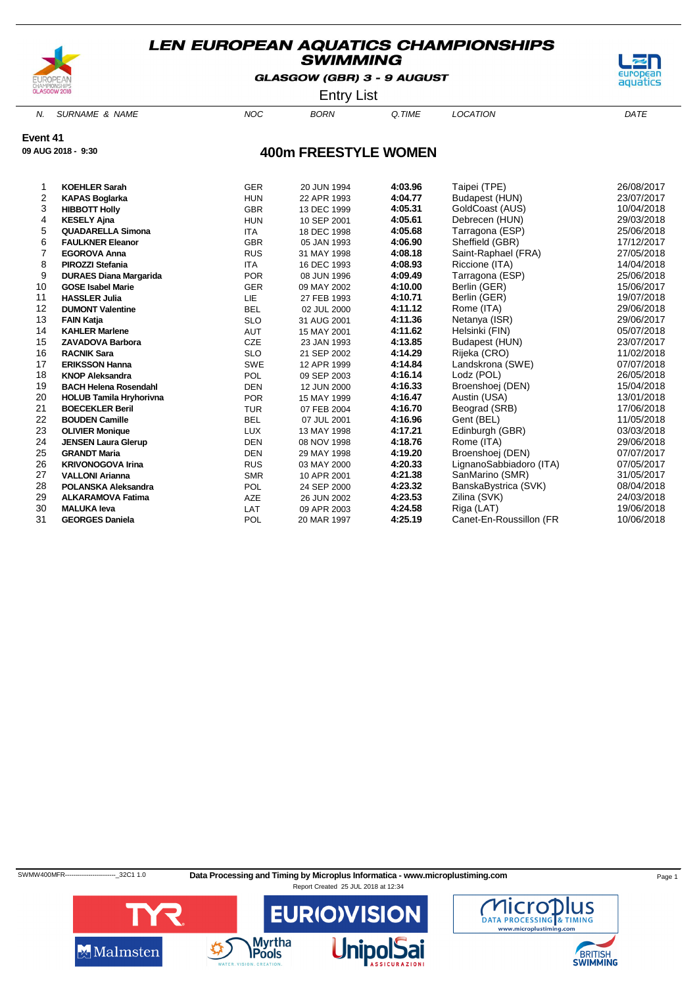

GLASGOW (GBR) 3 - 9 AUGUST



Entry List

N. SURNAME & NAME  $NOC$  BORN Q.TIME LOCATION DATE

**Event 41**

**09 AUG 2018 - 9:30**

### **400m FREESTYLE WOMEN**

|    | <b>KOEHLER Sarah</b>           | <b>GER</b> | 20 JUN 1994 | 4:03.96 | Taipei (TPE)            | 26/08/2017 |
|----|--------------------------------|------------|-------------|---------|-------------------------|------------|
| 2  | <b>KAPAS Boglarka</b>          | <b>HUN</b> | 22 APR 1993 | 4:04.77 | Budapest (HUN)          | 23/07/2017 |
| 3  | <b>HIBBOTT Holly</b>           | <b>GBR</b> | 13 DEC 1999 | 4:05.31 | GoldCoast (AUS)         | 10/04/2018 |
| 4  | <b>KESELY Ajna</b>             | <b>HUN</b> | 10 SEP 2001 | 4:05.61 | Debrecen (HUN)          | 29/03/2018 |
| 5  | <b>QUADARELLA Simona</b>       | <b>ITA</b> | 18 DEC 1998 | 4:05.68 | Tarragona (ESP)         | 25/06/2018 |
| 6  | <b>FAULKNER Eleanor</b>        | <b>GBR</b> | 05 JAN 1993 | 4:06.90 | Sheffield (GBR)         | 17/12/2017 |
| 7  | <b>EGOROVA Anna</b>            | <b>RUS</b> | 31 MAY 1998 | 4:08.18 | Saint-Raphael (FRA)     | 27/05/2018 |
| 8  | <b>PIROZZI Stefania</b>        | <b>ITA</b> | 16 DEC 1993 | 4:08.93 | Riccione (ITA)          | 14/04/2018 |
| 9  | <b>DURAES Diana Margarida</b>  | <b>POR</b> | 08 JUN 1996 | 4:09.49 | Tarragona (ESP)         | 25/06/2018 |
| 10 | <b>GOSE Isabel Marie</b>       | <b>GER</b> | 09 MAY 2002 | 4:10.00 | Berlin (GER)            | 15/06/2017 |
| 11 | <b>HASSLER Julia</b>           | <b>LIE</b> | 27 FEB 1993 | 4:10.71 | Berlin (GER)            | 19/07/2018 |
| 12 | <b>DUMONT Valentine</b>        | <b>BEL</b> | 02 JUL 2000 | 4:11.12 | Rome (ITA)              | 29/06/2018 |
| 13 | <b>FAIN Katja</b>              | <b>SLO</b> | 31 AUG 2001 | 4:11.36 | Netanya (ISR)           | 29/06/2017 |
| 14 | <b>KAHLER Marlene</b>          | <b>AUT</b> | 15 MAY 2001 | 4:11.62 | Helsinki (FIN)          | 05/07/2018 |
| 15 | <b>ZAVADOVA Barbora</b>        | CZE        | 23 JAN 1993 | 4:13.85 | Budapest (HUN)          | 23/07/2017 |
| 16 | <b>RACNIK Sara</b>             | <b>SLO</b> | 21 SEP 2002 | 4:14.29 | Rijeka (CRO)            | 11/02/2018 |
| 17 | <b>ERIKSSON Hanna</b>          | <b>SWE</b> | 12 APR 1999 | 4:14.84 | Landskrona (SWE)        | 07/07/2018 |
| 18 | <b>KNOP Aleksandra</b>         | <b>POL</b> | 09 SEP 2003 | 4:16.14 | Lodz (POL)              | 26/05/2018 |
| 19 | <b>BACH Helena Rosendahl</b>   | <b>DEN</b> | 12 JUN 2000 | 4:16.33 | Broenshoej (DEN)        | 15/04/2018 |
| 20 | <b>HOLUB Tamila Hryhorivna</b> | <b>POR</b> | 15 MAY 1999 | 4:16.47 | Austin (USA)            | 13/01/2018 |
| 21 | <b>BOECEKLER Beril</b>         | <b>TUR</b> | 07 FEB 2004 | 4:16.70 | Beograd (SRB)           | 17/06/2018 |
| 22 | <b>BOUDEN Camille</b>          | <b>BEL</b> | 07 JUL 2001 | 4:16.96 | Gent (BEL)              | 11/05/2018 |
| 23 | <b>OLIVIER Monique</b>         | <b>LUX</b> | 13 MAY 1998 | 4:17.21 | Edinburgh (GBR)         | 03/03/2018 |
| 24 | <b>JENSEN Laura Glerup</b>     | <b>DEN</b> | 08 NOV 1998 | 4:18.76 | Rome (ITA)              | 29/06/2018 |
| 25 | <b>GRANDT Maria</b>            | <b>DEN</b> | 29 MAY 1998 | 4:19.20 | Broenshoej (DEN)        | 07/07/2017 |
| 26 | <b>KRIVONOGOVA Irina</b>       | <b>RUS</b> | 03 MAY 2000 | 4:20.33 | LignanoSabbiadoro (ITA) | 07/05/2017 |
| 27 | <b>VALLONI Arianna</b>         | <b>SMR</b> | 10 APR 2001 | 4:21.38 | SanMarino (SMR)         | 31/05/2017 |
| 28 | <b>POLANSKA Aleksandra</b>     | <b>POL</b> | 24 SEP 2000 | 4:23.32 | BanskaBystrica (SVK)    | 08/04/2018 |
| 29 | <b>ALKARAMOVA Fatima</b>       | AZE        | 26 JUN 2002 | 4:23.53 | Zilina (SVK)            | 24/03/2018 |
| 30 | <b>MALUKA leva</b>             | LAT        | 09 APR 2003 | 4:24.58 | Riga (LAT)              | 19/06/2018 |
| 31 | <b>GEORGES Daniela</b>         | POL        | 20 MAR 1997 | 4:25.19 | Canet-En-Roussillon (FR | 10/06/2018 |
|    |                                |            |             |         |                         |            |

SWMW400MFR-----------------------------32C1 1.0 Data Processing and Timing by Microplus Informatica - www.microplustiming.com Page 1



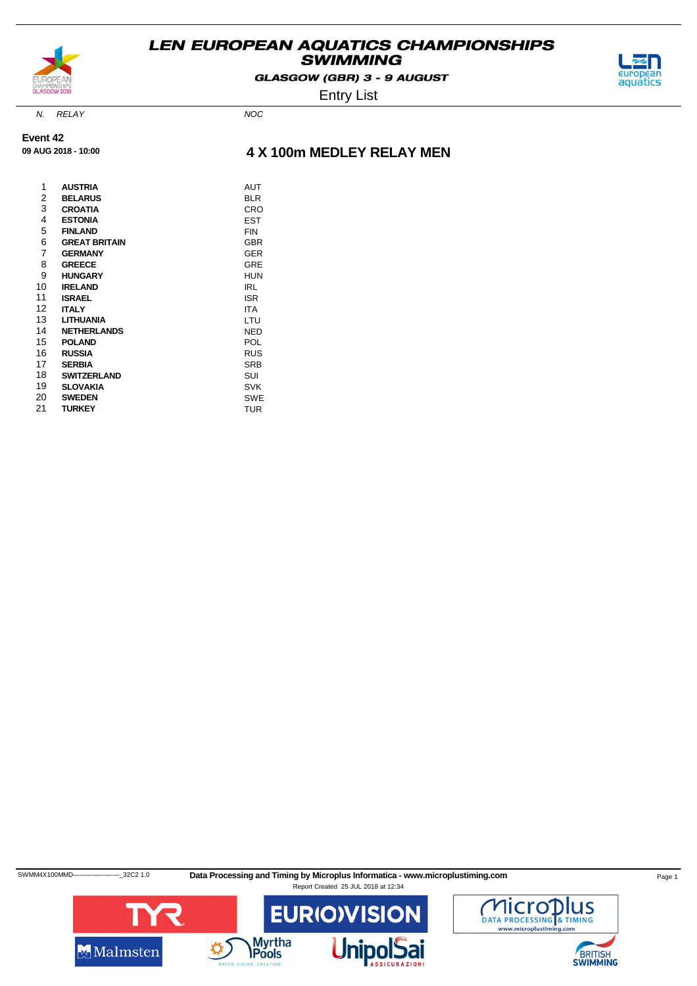

GLASGOW (GBR) 3 - 9 AUGUST

Entry List



N. RELAY NOC

**Event 42 09 AUG 2018 - 10:00**

### **4 X 100m MEDLEY RELAY MEN**

| 1  | <b>AUSTRIA</b>       | AUT        |
|----|----------------------|------------|
| 2  | <b>BELARUS</b>       | <b>BLR</b> |
| 3  | <b>CROATIA</b>       | CRO        |
| 4  | <b>ESTONIA</b>       | EST        |
| 5  | <b>FINLAND</b>       | FIN        |
| 6  | <b>GREAT BRITAIN</b> | <b>GBR</b> |
| 7  | <b>GERMANY</b>       | <b>GER</b> |
| 8  | <b>GREECE</b>        | GRE        |
| 9  | <b>HUNGARY</b>       | <b>HUN</b> |
| 10 | <b>IRELAND</b>       | IRL        |
| 11 | <b>ISRAEL</b>        | <b>ISR</b> |
| 12 | <b>ITALY</b>         | <b>ITA</b> |
| 13 | <b>LITHUANIA</b>     | LTU        |
| 14 | <b>NETHERLANDS</b>   | NED        |
| 15 | <b>POLAND</b>        | POL        |
| 16 | RUSSIA               | <b>RUS</b> |
| 17 | <b>SERBIA</b>        | <b>SRB</b> |
| 18 | <b>SWITZERLAND</b>   | SUI        |
| 19 | <b>SLOVAKIA</b>      | <b>SVK</b> |
| 20 | <b>SWEDEN</b>        | <b>SWE</b> |
| 21 | <b>TURKEY</b>        | <b>TUR</b> |

SWMM4X100MMD----------------------------32C2 1.0 Data Processing and Timing by Microplus Informatica - www.microplustiming.com Page 1